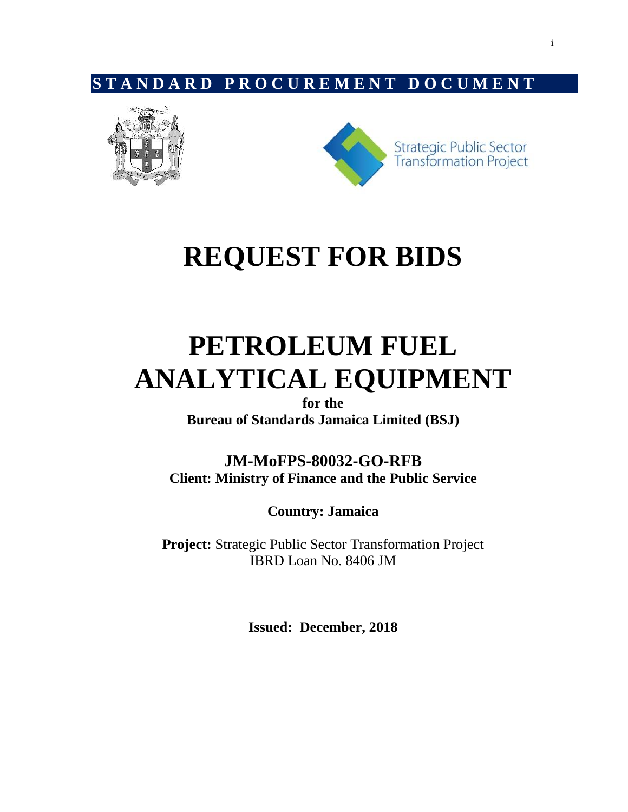**S T A N D A R D P R O C U R E M E N T D O C U M E N T** 





# **REQUEST FOR BIDS**

# **PETROLEUM FUEL ANALYTICAL EQUIPMENT**

**for the Bureau of Standards Jamaica Limited (BSJ)**

**JM-MoFPS-80032-GO-RFB Client: Ministry of Finance and the Public Service**

**Country: Jamaica**

**Project:** Strategic Public Sector Transformation Project IBRD Loan No. 8406 JM

**Issued: December, 2018**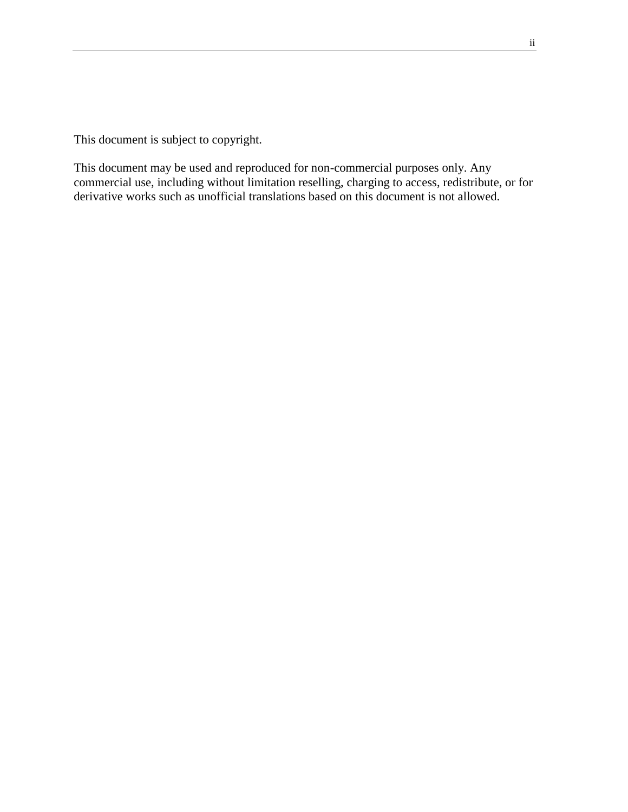This document is subject to copyright.

This document may be used and reproduced for non-commercial purposes only. Any commercial use, including without limitation reselling, charging to access, redistribute, or for derivative works such as unofficial translations based on this document is not allowed.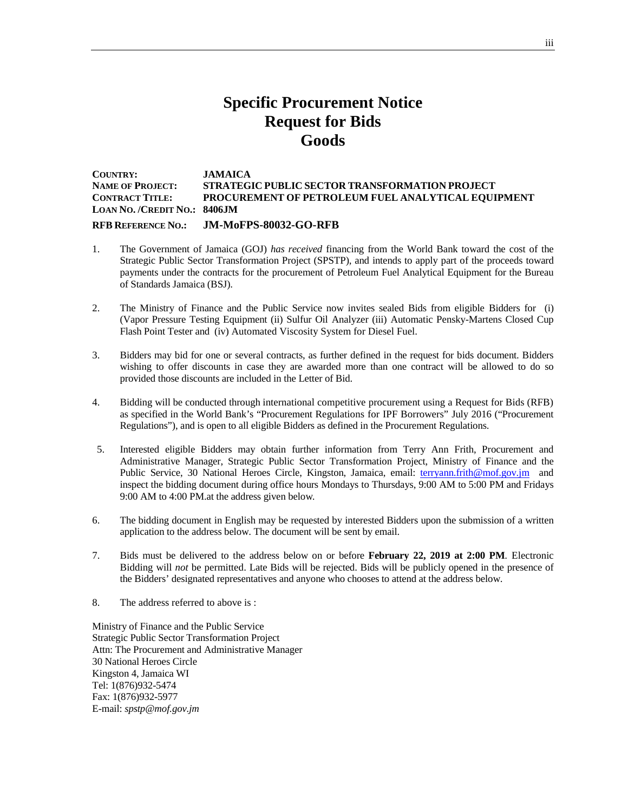### **Specific Procurement Notice Request for Bids Goods**

#### **COUNTRY: JAMAICA NAME OF PROJECT: STRATEGIC PUBLIC SECTOR TRANSFORMATION PROJECT CONTRACT TITLE: PROCUREMENT OF PETROLEUM FUEL ANALYTICAL EQUIPMENT LOAN NO. /CREDIT NO.: 8406JM**

**RFB REFERENCE NO.: JM-MoFPS-80032-GO-RFB**

- 1. The Government of Jamaica (GOJ) *has received* financing from the World Bank toward the cost of the Strategic Public Sector Transformation Project (SPSTP), and intends to apply part of the proceeds toward payments under the contracts for the procurement of Petroleum Fuel Analytical Equipment for the Bureau of Standards Jamaica (BSJ).
- 2. The Ministry of Finance and the Public Service now invites sealed Bids from eligible Bidders for (i) (Vapor Pressure Testing Equipment (ii) Sulfur Oil Analyzer (iii) Automatic Pensky-Martens Closed Cup Flash Point Tester and (iv) Automated Viscosity System for Diesel Fuel.
- 3. Bidders may bid for one or several contracts, as further defined in the request for bids document. Bidders wishing to offer discounts in case they are awarded more than one contract will be allowed to do so provided those discounts are included in the Letter of Bid.
- 4. Bidding will be conducted through international competitive procurement using a Request for Bids (RFB) as specified in the World Bank's "Procurement Regulations for IPF Borrowers" July 2016 ("Procurement Regulations"), and is open to all eligible Bidders as defined in the Procurement Regulations.
- 5. Interested eligible Bidders may obtain further information from Terry Ann Frith, Procurement and Administrative Manager, Strategic Public Sector Transformation Project, Ministry of Finance and the Public Service, 30 National Heroes Circle, Kingston, Jamaica, email: terryann.frith@mof.gov.jm and inspect the bidding document during office hours Mondays to Thursdays, 9:00 AM to 5:00 PM and Fridays 9:00 AM to 4:00 PM.at the address given below*.*
- 6. The bidding document in English may be requested by interested Bidders upon the submission of a written application to the address below. The document will be sent by email.
- 7. Bids must be delivered to the address below on or before **February 22, 2019 at 2:00 PM***.* Electronic Bidding will *not* be permitted. Late Bids will be rejected. Bids will be publicly opened in the presence of the Bidders' designated representatives and anyone who chooses to attend at the address below.
- 8. The address referred to above is :

Ministry of Finance and the Public Service Strategic Public Sector Transformation Project Attn: The Procurement and Administrative Manager 30 National Heroes Circle Kingston 4, Jamaica WI Tel: 1(876)932-5474 Fax: 1(876)932-5977 E-mail: *spstp@mof.gov.jm*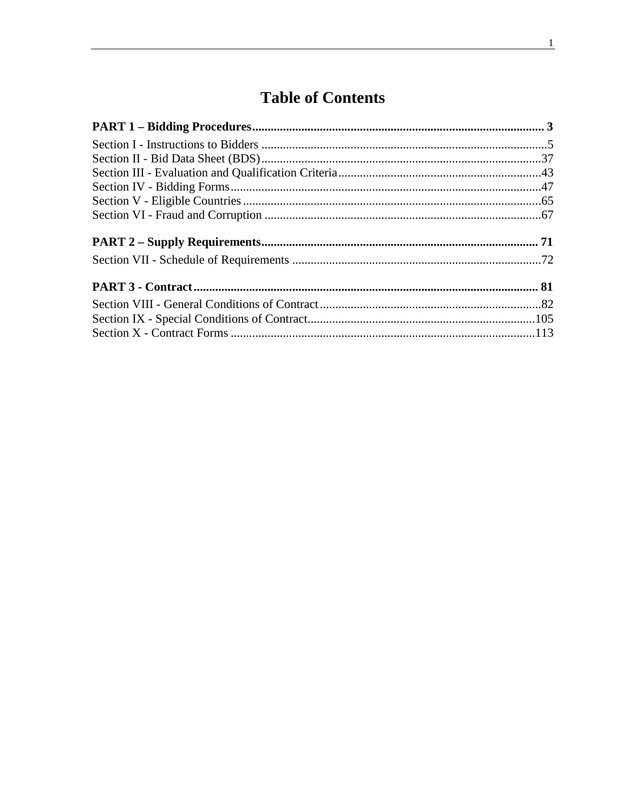### **Table of Contents**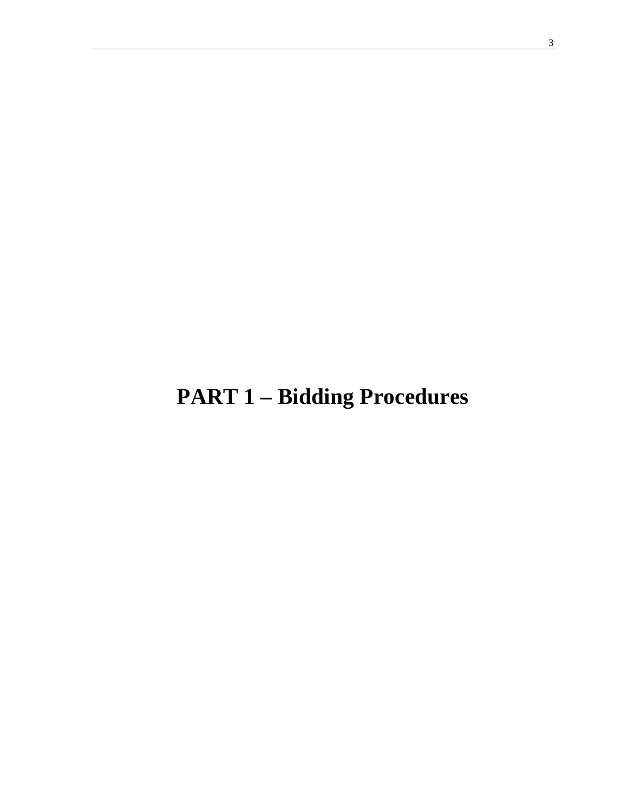## **PART 1-Bidding Procedures**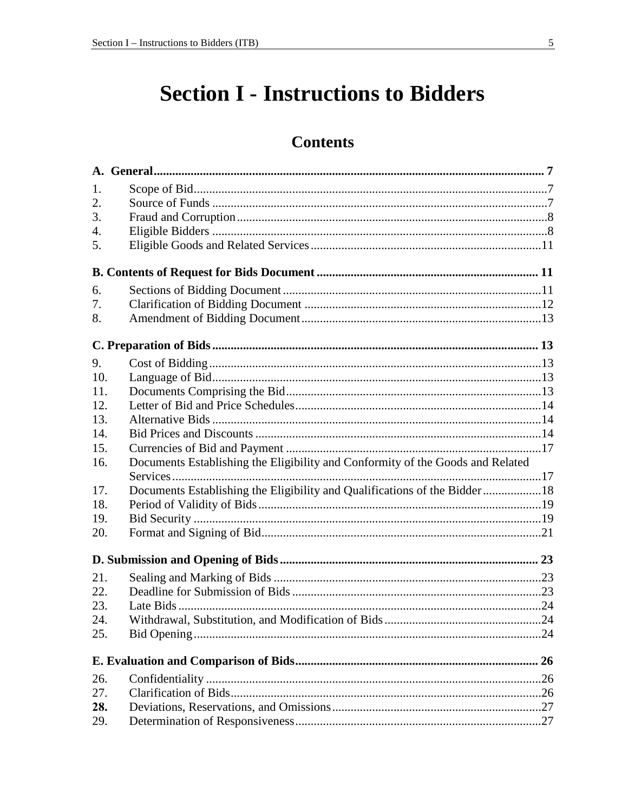### **Section I - Instructions to Bidders**

### **Contents**

| 1.  |                                                                                |  |
|-----|--------------------------------------------------------------------------------|--|
| 2.  |                                                                                |  |
| 3.  |                                                                                |  |
| 4.  |                                                                                |  |
| 5.  |                                                                                |  |
|     |                                                                                |  |
| 6.  |                                                                                |  |
| 7.  |                                                                                |  |
| 8.  |                                                                                |  |
|     |                                                                                |  |
| 9.  |                                                                                |  |
| 10. |                                                                                |  |
| 11. |                                                                                |  |
| 12. |                                                                                |  |
| 13. |                                                                                |  |
| 14. |                                                                                |  |
| 15. |                                                                                |  |
| 16. | Documents Establishing the Eligibility and Conformity of the Goods and Related |  |
| 17. | Documents Establishing the Eligibility and Qualifications of the Bidder 18     |  |
| 18. |                                                                                |  |
| 19. |                                                                                |  |
| 20. |                                                                                |  |
|     |                                                                                |  |
|     |                                                                                |  |
| 21. |                                                                                |  |
| 22. |                                                                                |  |
| 23. |                                                                                |  |
| 24. |                                                                                |  |
| 25. |                                                                                |  |
|     |                                                                                |  |
| 26. |                                                                                |  |
| 27. |                                                                                |  |
| 28. |                                                                                |  |
| 29. |                                                                                |  |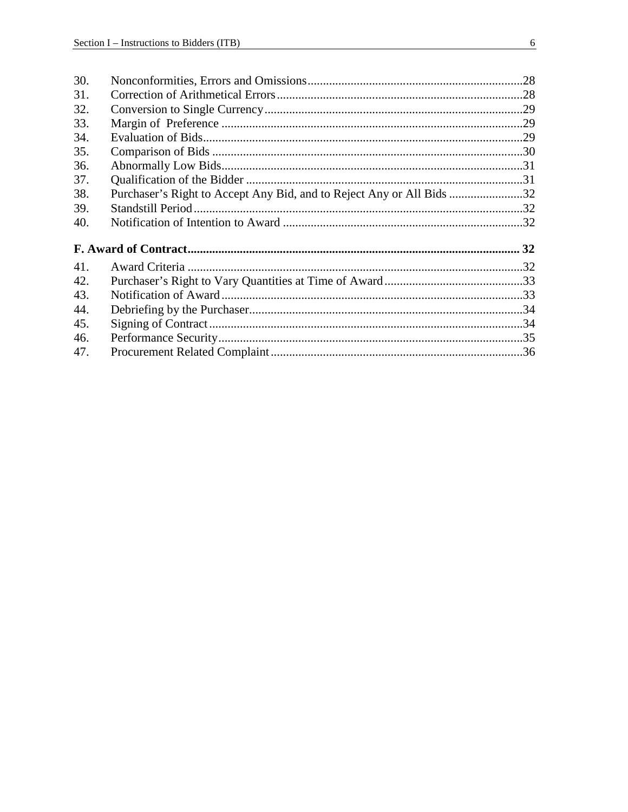| 30. |                                                                       |  |
|-----|-----------------------------------------------------------------------|--|
| 31. |                                                                       |  |
| 32. |                                                                       |  |
| 33. |                                                                       |  |
| 34. |                                                                       |  |
| 35. |                                                                       |  |
| 36. |                                                                       |  |
| 37. |                                                                       |  |
| 38. | Purchaser's Right to Accept Any Bid, and to Reject Any or All Bids 32 |  |
| 39. |                                                                       |  |
| 40. |                                                                       |  |
|     |                                                                       |  |
| 41. |                                                                       |  |
| 42. |                                                                       |  |
| 43. |                                                                       |  |
| 44. |                                                                       |  |
| 45. |                                                                       |  |
| 46. |                                                                       |  |
| 47. |                                                                       |  |
|     |                                                                       |  |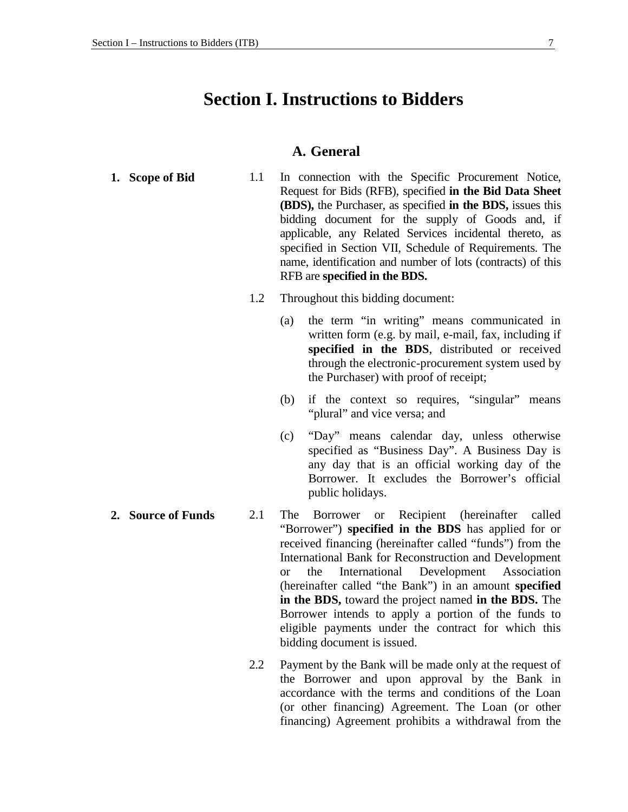### **Section I. Instructions to Bidders**

#### **A. General**

- **1. Scope of Bid** 1.1 In connection with the Specific Procurement Notice, Request for Bids (RFB), specified **in the Bid Data Sheet (BDS),** the Purchaser, as specified **in the BDS,** issues this bidding document for the supply of Goods and, if applicable, any Related Services incidental thereto, as specified in Section VII, Schedule of Requirements. The name, identification and number of lots (contracts) of this RFB are **specified in the BDS.**
	- 1.2 Throughout this bidding document:
		- (a) the term "in writing" means communicated in written form (e.g. by mail, e-mail, fax, including if **specified in the BDS**, distributed or received through the electronic-procurement system used by the Purchaser) with proof of receipt;
		- (b) if the context so requires, "singular" means "plural" and vice versa; and
		- (c) "Day" means calendar day, unless otherwise specified as "Business Day". A Business Day is any day that is an official working day of the Borrower. It excludes the Borrower's official public holidays.
- **2. Source of Funds** 2.1 The Borrower or Recipient (hereinafter called "Borrower") **specified in the BDS** has applied for or received financing (hereinafter called "funds") from the International Bank for Reconstruction and Development or the International Development Association (hereinafter called "the Bank") in an amount **specified in the BDS,** toward the project named **in the BDS.** The Borrower intends to apply a portion of the funds to eligible payments under the contract for which this bidding document is issued.
	- 2.2 Payment by the Bank will be made only at the request of the Borrower and upon approval by the Bank in accordance with the terms and conditions of the Loan (or other financing) Agreement. The Loan (or other financing) Agreement prohibits a withdrawal from the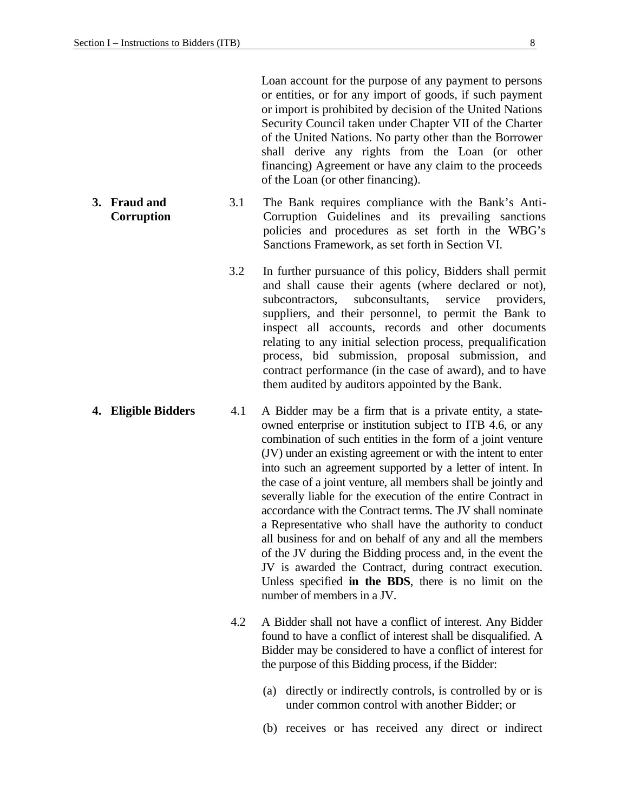Loan account for the purpose of any payment to persons or entities, or for any import of goods, if such payment or import is prohibited by decision of the United Nations Security Council taken under Chapter VII of the Charter of the United Nations. No party other than the Borrower shall derive any rights from the Loan (or other financing) Agreement or have any claim to the proceeds of the Loan (or other financing).

- 3.1 The Bank requires compliance with the Bank's Anti- Corruption Guidelines and its prevailing sanctions policies and procedures as set forth in the WBG's Sanctions Framework, as set forth in Section VI.
- 3.2 In further pursuance of this policy, Bidders shall permit and shall cause their agents (where declared or not), subcontractors, subconsultants, service providers, suppliers, and their personnel, to permit the Bank to inspect all accounts, records and other documents relating to any initial selection process, prequalification process, bid submission, proposal submission, and contract performance (in the case of award), and to have them audited by auditors appointed by the Bank.
- **4. Eligible Bidders** 4.1 A Bidder may be a firm that is a private entity, a stateowned enterprise or institution subject to ITB 4.6, or any combination of such entities in the form of a joint venture (JV) under an existing agreement or with the intent to enter into such an agreement supported by a letter of intent. In the case of a joint venture, all members shall be jointly and severally liable for the execution of the entire Contract in accordance with the Contract terms. The JV shall nominate a Representative who shall have the authority to conduct all business for and on behalf of any and all the members of the JV during the Bidding process and, in the event the JV is awarded the Contract, during contract execution. Unless specified **in the BDS**, there is no limit on the number of members in a JV.
	- 4.2 A Bidder shall not have a conflict of interest. Any Bidder found to have a conflict of interest shall be disqualified. A Bidder may be considered to have a conflict of interest for the purpose of this Bidding process, if the Bidder:
		- (a) directly or indirectly controls, is controlled by or is under common control with another Bidder; or
		- (b) receives or has received any direct or indirect

#### **3. Fraud and Corruption**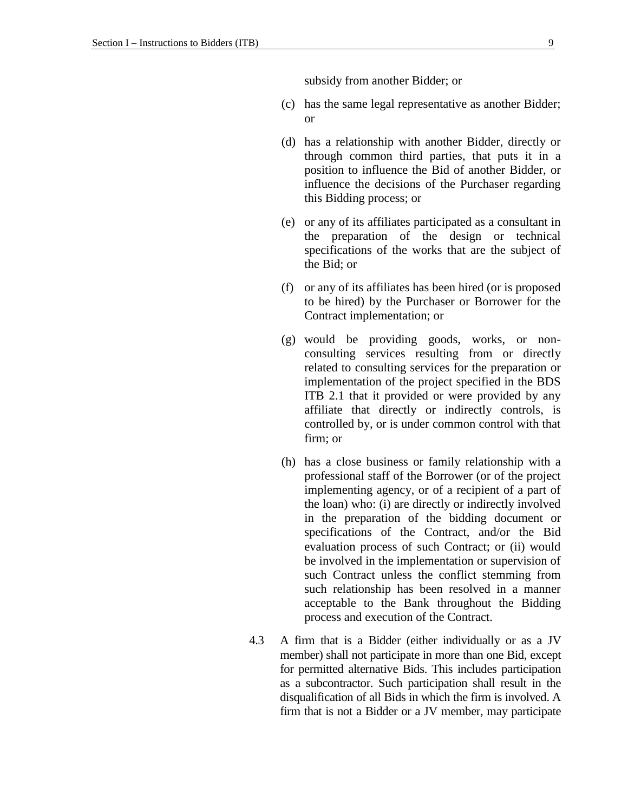subsidy from another Bidder; or

- (c) has the same legal representative as another Bidder; or
- (d) has a relationship with another Bidder, directly or through common third parties, that puts it in a position to influence the Bid of another Bidder, or influence the decisions of the Purchaser regarding this Bidding process; or
- (e) or any of its affiliates participated as a consultant in the preparation of the design or technical specifications of the works that are the subject of the Bid; or
- (f) or any of its affiliates has been hired (or is proposed to be hired) by the Purchaser or Borrower for the Contract implementation; or
- (g) would be providing goods, works, or non consulting services resulting from or directly related to consulting services for the preparation or implementation of the project specified in the BDS ITB 2.1 that it provided or were provided by any affiliate that directly or indirectly controls, is controlled by, or is under common control with that firm; or
- (h) has a close business or family relationship with a professional staff of the Borrower (or of the project implementing agency, or of a recipient of a part of the loan) who: (i) are directly or indirectly involved in the preparation of the bidding document or specifications of the Contract, and/or the Bid evaluation process of such Contract; or (ii) would be involved in the implementation or supervision of such Contract unless the conflict stemming from such relationship has been resolved in a manner acceptable to the Bank throughout the Bidding process and execution of the Contract.
- 4.3 A firm that is a Bidder (either individually or as a JV member) shall not participate in more than one Bid, except for permitted alternative Bids. This includes participation as a subcontractor. Such participation shall result in the disqualification of all Bids in which the firm is involved. A firm that is not a Bidder or a JV member, may participate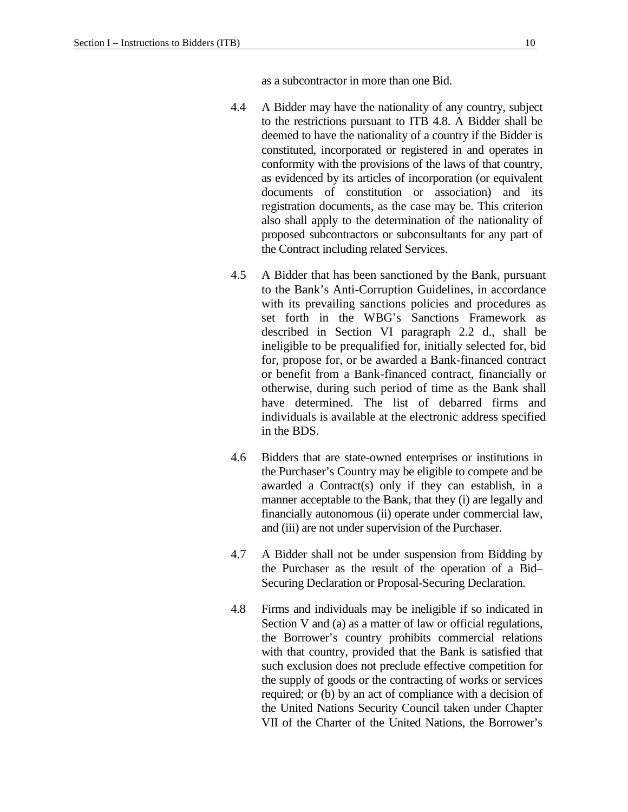as a subcontractor in more than one Bid.

- 4.4 A Bidder may have the nationality of any country, subject to the restrictions pursuant to ITB 4.8. A Bidder shall be deemed to have the nationality of a country if the Bidder is constituted, incorporated or registered in and operates in conformity with the provisions of the laws of that country, as evidenced by its articles of incorporation (or equivalent documents of constitution or association) and its registration documents, as the case may be. This criterion also shall apply to the determination of the nationality of proposed subcontractors or subconsultants for any part of the Contract including related Services.
- 4.5 A Bidder that has been sanctioned by the Bank, pursuant to the Bank's Anti-Corruption Guidelines, in accordance with its prevailing sanctions policies and procedures as set forth in the WBG's Sanctions Framework as described in Section VI paragraph 2.2 d., shall be ineligible to be prequalified for, initially selected for, bid for, propose for, or be awarded a Bank-financed contract or benefit from a Bank-financed contract, financially or otherwise, during such period of time as the Bank shall have determined. The list of debarred firms and individuals is available at the electronic address specified in the BDS.
- 4.6 Bidders that are state-owned enterprises or institutions in the Purchaser's Country may be eligible to compete and be awarded a Contract(s) only if they can establish, in a manner acceptable to the Bank, that they (i) are legally and financially autonomous (ii) operate under commercial law, and (iii) are not under supervision of the Purchaser.
- 4.7 A Bidder shall not be under suspension from Bidding by the Purchaser as the result of the operation of a Bid– Securing Declaration or Proposal-Securing Declaration.
- 4.8 Firms and individuals may be ineligible if so indicated in Section V and (a) as a matter of law or official regulations, the Borrower's country prohibits commercial relations with that country, provided that the Bank is satisfied that such exclusion does not preclude effective competition for the supply of goods or the contracting of works or services required; or (b) by an act of compliance with a decision of the United Nations Security Council taken under Chapter VII of the Charter of the United Nations, the Borrower's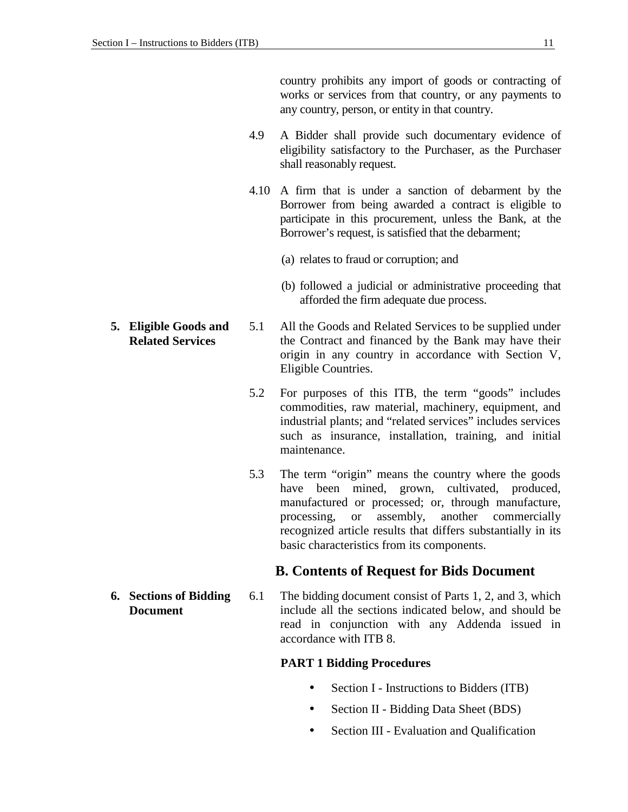country prohibits any import of goods or contracting of works or services from that country, or any payments to any country, person, or entity in that country.

- 4.9 A Bidder shall provide such documentary evidence of eligibility satisfactory to the Purchaser, as the Purchaser shall reasonably request.
- 4.10 A firm that is under a sanction of debarment by the Borrower from being awarded a contract is eligible to participate in this procurement, unless the Bank, at the Borrower's request, is satisfied that the debarment;
	- (a) relates to fraud or corruption; and
	- (b) followed a judicial or administrative proceeding that afforded the firm adequate due process.
- **5. Eligible Goods and Related Services** All the Goods and Related Services to be supplied under the Contract and financed by the Bank may have their origin in any country in accordance with Section V, Eligible Countries.
	- 5.2 For purposes of this ITB, the term "goods" includes commodities, raw material, machinery, equipment, and industrial plants; and "related services" includes services such as insurance, installation, training, and initial maintenance.
	- 5.3 The term "origin" means the country where the goods have been mined, grown, cultivated, produced, manufactured or processed; or, through manufacture, processing, or assembly, another commercially recognized article results that differs substantially in its basic characteristics from its components.

#### **B. Contents of Request for Bids Document**

**6. Sections of Bidding Document** The bidding document consist of Parts 1, 2, and 3, which include all the sections indicated below, and should be read in conjunction with any Addenda issued in accordance with ITB 8.

#### **PART 1 Bidding Procedures**

- Section I Instructions to Bidders (ITB)
- Section II Bidding Data Sheet (BDS)
- Section III Evaluation and Qualification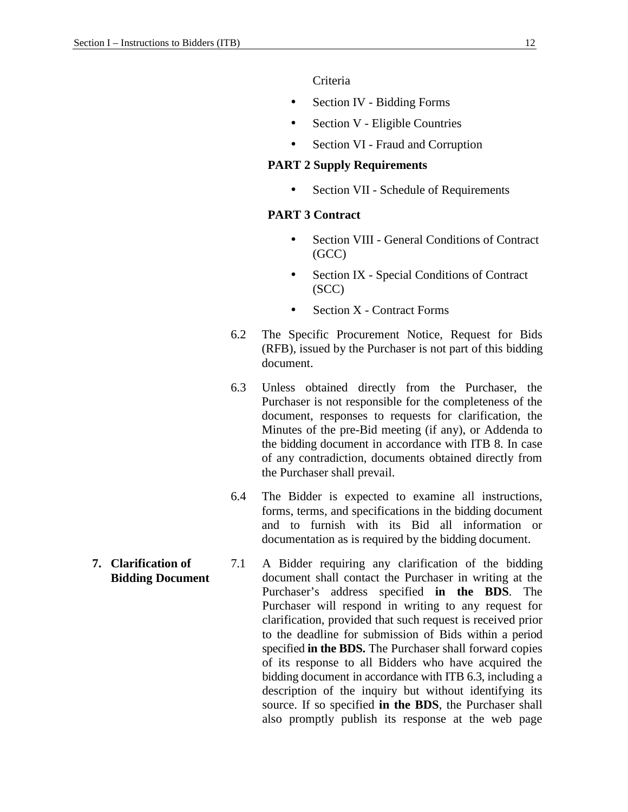Criteria

- Section IV Bidding Forms
- Section V Eligible Countries
- Section VI Fraud and Corruption

#### **PART 2 Supply Requirements**

Section VII - Schedule of Requirements

#### **PART 3 Contract**

- Section VIII General Conditions of Contract (GCC)
- Section IX Special Conditions of Contract (SCC)
- Section X Contract Forms
- 6.2 The Specific Procurement Notice, Request for Bids (RFB), issued by the Purchaser is not part of this bidding document.
- 6.3 Unless obtained directly from the Purchaser, the Purchaser is not responsible for the completeness of the document, responses to requests for clarification, the Minutes of the pre-Bid meeting (if any), or Addenda to the bidding document in accordance with ITB 8. In case of any contradiction, documents obtained directly from the Purchaser shall prevail.
- 6.4 The Bidder is expected to examine all instructions, forms, terms, and specifications in the bidding document and to furnish with its Bid all information or documentation as is required by the bidding document.
- **Bidding Document** 7.1 A Bidder requiring any clarification of the bidding document shall contact the Purchaser in writing at the Purchaser's address specified **in the BDS**. The Purchaser will respond in writing to any request for clarification, provided that such request is received prior to the deadline for submission of Bids within a period specified **in the BDS.** The Purchaser shall forward copies of its response to all Bidders who have acquired the bidding document in accordance with ITB 6.3, including a description of the inquiry but without identifying its source. If so specified **in the BDS**, the Purchaser shall also promptly publish its response at the web page
- **7. Clarification of**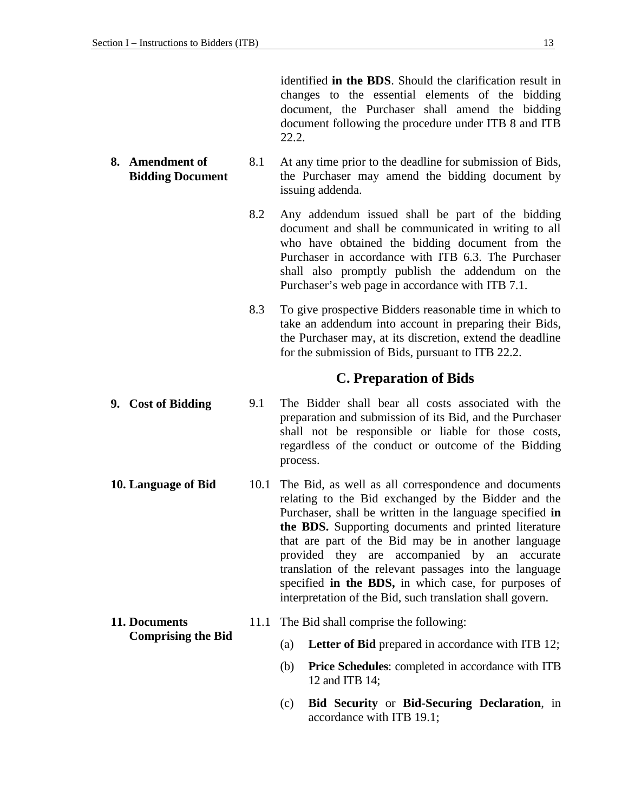identified **in the BDS**. Should the clarification result in changes to the essential elements of the bidding document, the Purchaser shall amend the bidding document following the procedure under ITB 8 and ITB 22.2.

- **8. Amendment of Bidding Document** 8.1 At any time prior to the deadline for submission of Bids, the Purchaser may amend the bidding document by issuing addenda.
	- 8.2 Any addendum issued shall be part of the bidding document and shall be communicated in writing to all who have obtained the bidding document from the Purchaser in accordance with ITB 6.3. The Purchaser shall also promptly publish the addendum on the Purchaser's web page in accordance with ITB 7.1.
	- 8.3 To give prospective Bidders reasonable time in which to take an addendum into account in preparing their Bids, the Purchaser may, at its discretion, extend the deadline for the submission of Bids, pursuant to ITB 22.2.

#### **C. Preparation of Bids**

- **9. Cost of Bidding** 9.1 The Bidder shall bear all costs associated with the preparation and submission of its Bid, and the Purchaser shall not be responsible or liable for those costs, regardless of the conduct or outcome of the Bidding process.
- **10. Language of Bid** 10.1 The Bid, as well as all correspondence and documents relating to the Bid exchanged by the Bidder and the Purchaser, shall be written in the language specified **in the BDS.** Supporting documents and printed literature that are part of the Bid may be in another language provided they are accompanied by an accurate translation of the relevant passages into the language specified **in the BDS,** in which case, for purposes of interpretation of the Bid, such translation shall govern.

#### **11. Documents** 11.1 The Bid shall comprise the following:

- **Comprising the Bid Letter of Bid** prepared in accordance with ITB 12;
	- (b) **Price Schedules**: completed in accordance with ITB 12 and ITB 14;
	- (c) **Bid Security** or **Bid-Securing Declaration**, in accordance with ITB 19.1;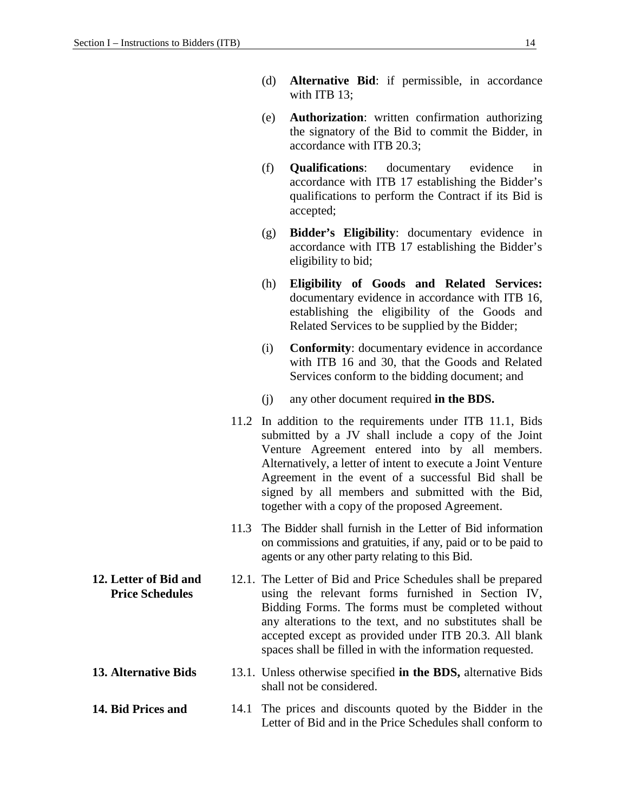- (d) **Alternative Bid**: if permissible, in accordance with ITB 13:
- (e) **Authorization**: written confirmation authorizing the signatory of the Bid to commit the Bidder, in accordance with ITB 20.3;
- (f) **Qualifications**: documentary evidence in accordance with ITB 17 establishing the Bidder's qualifications to perform the Contract if its Bid is accepted;
- (g) **Bidder's Eligibility**: documentary evidence in accordance with ITB 17 establishing the Bidder's eligibility to bid;
- (h) **Eligibility of Goods and Related Services:** documentary evidence in accordance with ITB 16, establishing the eligibility of the Goods and Related Services to be supplied by the Bidder;
- (i) **Conformity**: documentary evidence in accordance with ITB 16 and 30, that the Goods and Related Services conform to the bidding document; and
- (j) any other document required **in the BDS.**
- 11.2 In addition to the requirements under ITB 11.1, Bids submitted by a JV shall include a copy of the Joint Venture Agreement entered into by all members. Alternatively, a letter of intent to execute a Joint Venture Agreement in the event of a successful Bid shall be signed by all members and submitted with the Bid, together with a copy of the proposed Agreement.
- 11.3 The Bidder shall furnish in the Letter of Bid information on commissions and gratuities, if any, paid or to be paid to agents or any other party relating to this Bid.
- **Price Schedules** 12.1. The Letter of Bid and Price Schedules shall be prepared using the relevant forms furnished in Section IV, Bidding Forms. The forms must be completed without any alterations to the text, and no substitutes shall be accepted except as provided under ITB 20.3. All blank spaces shall be filled in with the information requested.
- **13. Alternative Bids** 13.1. Unless otherwise specified **in the BDS,** alternative Bids shall not be considered.
- **14. Bid Prices and** 14.1 The prices and discounts quoted by the Bidder in the Letter of Bid and in the Price Schedules shall conform to
- **12. Letter of Bid and**
- 
-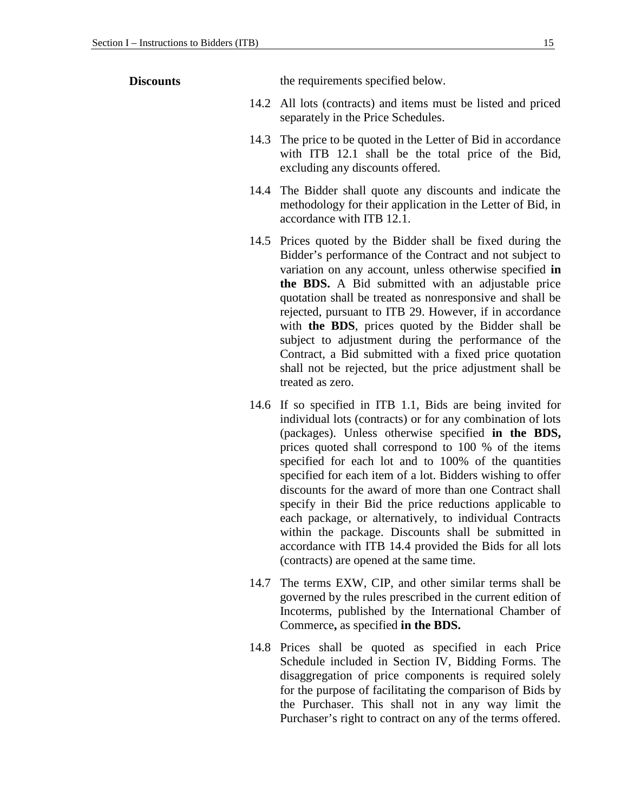**Discounts** the requirements specified below.

- 14.2 All lots (contracts) and items must be listed and priced separately in the Price Schedules.
- 14.3 The price to be quoted in the Letter of Bid in accordance with ITB 12.1 shall be the total price of the Bid, excluding any discounts offered.
- 14.4 The Bidder shall quote any discounts and indicate the methodology for their application in the Letter of Bid, in accordance with ITB 12.1.
- 14.5 Prices quoted by the Bidder shall be fixed during the Bidder's performance of the Contract and not subject to variation on any account, unless otherwise specified **in the BDS.** A Bid submitted with an adjustable price quotation shall be treated as nonresponsive and shall be rejected, pursuant to ITB 29. However, if in accordance with **the BDS**, prices quoted by the Bidder shall be subject to adjustment during the performance of the Contract, a Bid submitted with a fixed price quotation shall not be rejected, but the price adjustment shall be treated as zero.
- 14.6 If so specified in ITB 1.1, Bids are being invited for individual lots (contracts) or for any combination of lots (packages). Unless otherwise specified **in the BDS,** prices quoted shall correspond to 100 % of the items specified for each lot and to 100% of the quantities specified for each item of a lot. Bidders wishing to offer discounts for the award of more than one Contract shall specify in their Bid the price reductions applicable to each package, or alternatively, to individual Contracts within the package. Discounts shall be submitted in accordance with ITB 14.4 provided the Bids for all lots (contracts) are opened at the same time.
- 14.7 The terms EXW, CIP, and other similar terms shall be governed by the rules prescribed in the current edition of Incoterms, published by the International Chamber of Commerce**,** as specified **in the BDS.**
- 14.8 Prices shall be quoted as specified in each Price Schedule included in Section IV, Bidding Forms. The disaggregation of price components is required solely for the purpose of facilitating the comparison of Bids by the Purchaser. This shall not in any way limit the Purchaser's right to contract on any of the terms offered.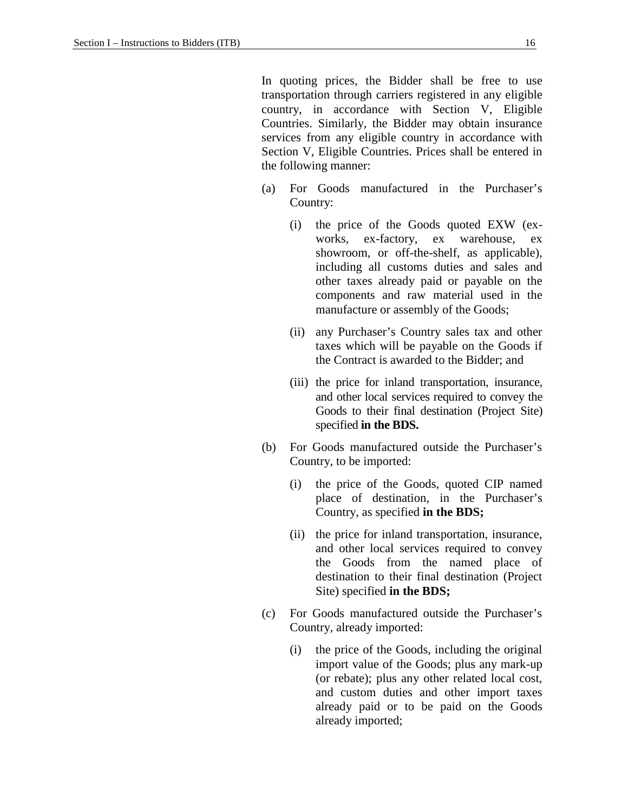In quoting prices, the Bidder shall be free to use transportation through carriers registered in any eligible country, in accordance with Section V, Eligible Countries. Similarly, the Bidder may obtain insurance services from any eligible country in accordance with Section V, Eligible Countries. Prices shall be entered in the following manner:

- (a) For Goods manufactured in the Purchaser's Country:
	- (i) the price of the Goods quoted EXW (ex works, ex-factory, ex warehouse, ex showroom, or off-the-shelf, as applicable), including all customs duties and sales and other taxes already paid or payable on the components and raw material used in the manufacture or assembly of the Goods;
	- (ii) any Purchaser's Country sales tax and other taxes which will be payable on the Goods if the Contract is awarded to the Bidder; and
	- (iii) the price for inland transportation, insurance, and other local services required to convey the Goods to their final destination (Project Site) specified **in the BDS.**
- (b) For Goods manufactured outside the Purchaser's Country, to be imported:
	- (i) the price of the Goods, quoted CIP named place of destination, in the Purchaser's Country, as specified **in the BDS;**
	- (ii) the price for inland transportation, insurance, and other local services required to convey the Goods from the named place of destination to their final destination (Project Site) specified **in the BDS;**
- (c) For Goods manufactured outside the Purchaser's Country, already imported:
	- (i) the price of the Goods, including the original import value of the Goods; plus any mark-up (or rebate); plus any other related local cost, and custom duties and other import taxes already paid or to be paid on the Goods already imported;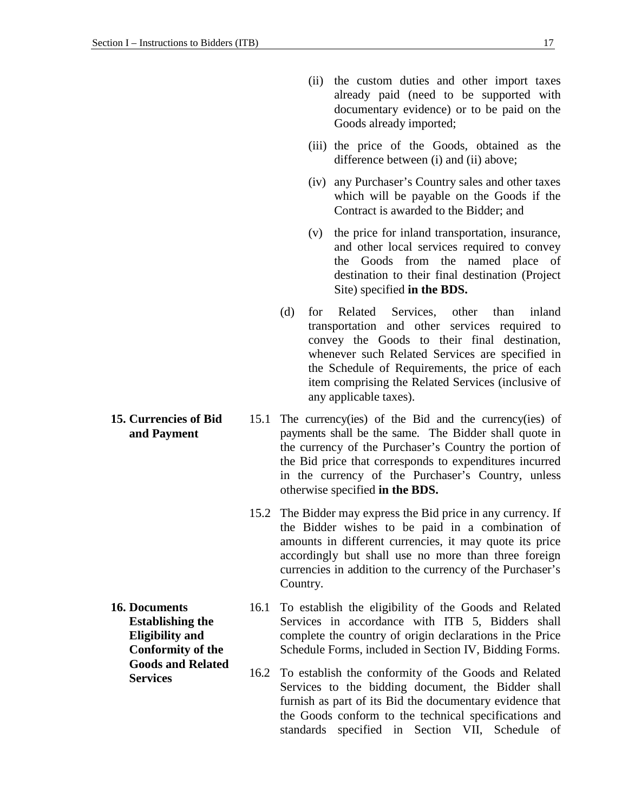- (ii) the custom duties and other import taxes already paid (need to be supported with documentary evidence) or to be paid on the Goods already imported;
- (iii) the price of the Goods, obtained as the difference between (i) and (ii) above;
- (iv) any Purchaser's Country sales and other taxes which will be payable on the Goods if the Contract is awarded to the Bidder; and
- (v) the price for inland transportation, insurance, and other local services required to convey the Goods from the named place of destination to their final destination (Project Site) specified **in the BDS.**
- (d) for Related Services, other than inland transportation and other services required to convey the Goods to their final destination, whenever such Related Services are specified in the Schedule of Requirements, the price of each item comprising the Related Services (inclusive of any applicable taxes).
- **15. Currencies of Bid and Payment** 15.1 The currency(ies) of the Bid and the currency(ies) of payments shall be the same. The Bidder shall quote in the currency of the Purchaser's Country the portion of the Bid price that corresponds to expenditures incurred in the currency of the Purchaser's Country, unless otherwise specified **in the BDS.**
	- 15.2 The Bidder may express the Bid price in any currency. If the Bidder wishes to be paid in a combination of amounts in different currencies, it may quote its price accordingly but shall use no more than three foreign currencies in addition to the currency of the Purchaser's Country.

16.1 To establish the eligibility of the Goods and Related Services in accordance with ITB 5, Bidders shall complete the country of origin declarations in the Price Schedule Forms, included in Section IV, Bidding Forms.

- 16.2 To establish the conformity of the Goods and Related Services to the bidding document, the Bidder shall furnish as part of its Bid the documentary evidence that the Goods conform to the technical specifications and standards specified in Section VII, Schedule of
- **16. Documents Establishing the Eligibility and Conformity of the Goods and Related Services**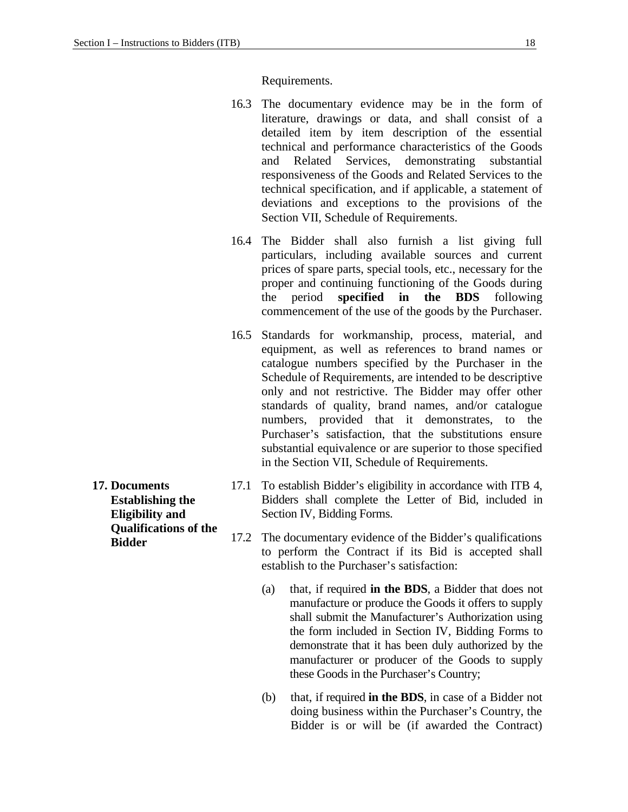Requirements.

- 16.3 The documentary evidence may be in the form of literature, drawings or data, and shall consist of a detailed item by item description of the essential technical and performance characteristics of the Goods and Related Services, demonstrating substantial responsiveness of the Goods and Related Services to the technical specification, and if applicable, a statement of deviations and exceptions to the provisions of the Section VII, Schedule of Requirements.
- 16.4 The Bidder shall also furnish a list giving full particulars, including available sources and current prices of spare parts, special tools, etc., necessary for the proper and continuing functioning of the Goods during the period **specified in the BDS** following commencement of the use of the goods by the Purchaser.
- 16.5 Standards for workmanship, process, material, and equipment, as well as references to brand names or catalogue numbers specified by the Purchaser in the Schedule of Requirements, are intended to be descriptive only and not restrictive. The Bidder may offer other standards of quality, brand names, and/or catalogue numbers, provided that it demonstrates, to the Purchaser's satisfaction, that the substitutions ensure substantial equivalence or are superior to those specified in the Section VII, Schedule of Requirements.
- 17.1 To establish Bidder's eligibility in accordance with ITB 4, Bidders shall complete the Letter of Bid, included in Section IV, Bidding Forms.
- 17.2 The documentary evidence of the Bidder's qualifications to perform the Contract if its Bid is accepted shall establish to the Purchaser's satisfaction:
	- (a) that, if required **in the BDS**, a Bidder that does not manufacture or produce the Goods it offers to supply shall submit the Manufacturer's Authorization using the form included in Section IV, Bidding Forms to demonstrate that it has been duly authorized by the manufacturer or producer of the Goods to supply these Goods in the Purchaser's Country;
	- (b) that, if required **in the BDS**, in case of a Bidder not doing business within the Purchaser's Country, the Bidder is or will be (if awarded the Contract)

**17. Documents Establishing the Eligibility and Qualifications of the Bidder**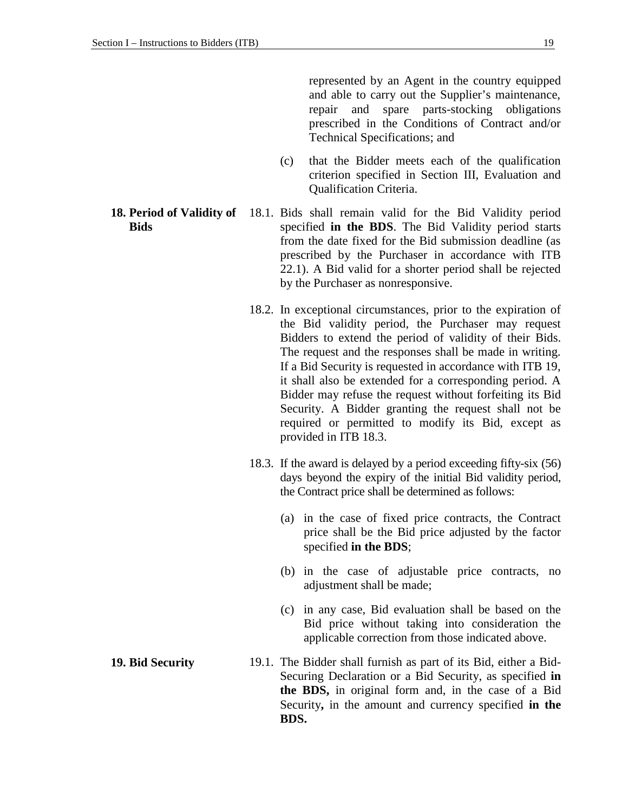represented by an Agent in the country equipped and able to carry out the Supplier's maintenance, repair and spare parts-stocking obligations prescribed in the Conditions of Contract and/or Technical Specifications; and

- (c) that the Bidder meets each of the qualification criterion specified in Section III, Evaluation and Qualification Criteria.
- **Bids** 18.1. Bids shall remain valid for the Bid Validity period specified **in the BDS**. The Bid Validity period starts from the date fixed for the Bid submission deadline (as prescribed by the Purchaser in accordance with ITB 22.1). A Bid valid for a shorter period shall be rejected by the Purchaser as nonresponsive.
	- 18.2. In exceptional circumstances, prior to the expiration of the Bid validity period, the Purchaser may request Bidders to extend the period of validity of their Bids. The request and the responses shall be made in writing. If a Bid Security is requested in accordance with ITB 19, it shall also be extended for a corresponding period. A Bidder may refuse the request without forfeiting its Bid Security. A Bidder granting the request shall not be required or permitted to modify its Bid, except as provided in ITB 18.3.
	- 18.3. If the award is delayed by a period exceeding fifty-six (56) days beyond the expiry of the initial Bid validity period, the Contract price shall be determined as follows:
		- (a) in the case of fixed price contracts, the Contract price shall be the Bid price adjusted by the factor specified **in the BDS**;
		- (b) in the case of adjustable price contracts, no adjustment shall be made;
		- (c) in any case, Bid evaluation shall be based on the Bid price without taking into consideration the applicable correction from those indicated above.
- **19. Bid Security** 19.1. The Bidder shall furnish as part of its Bid, either a Bid- Securing Declaration or a Bid Security, as specified **in the BDS,** in original form and, in the case of a Bid Security**,** in the amount and currency specified **in the BDS.**

## **18. Period of Validity of**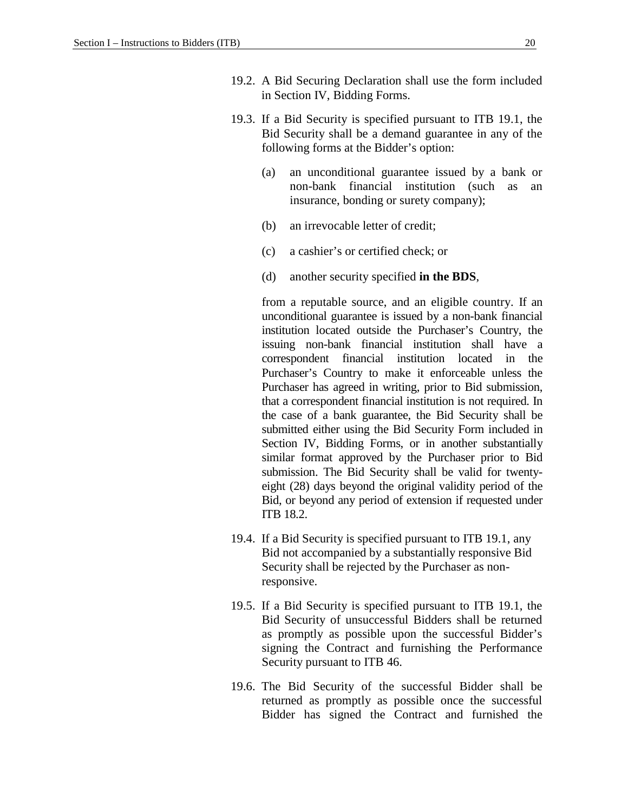- 19.2. A Bid Securing Declaration shall use the form included in Section IV, Bidding Forms.
- 19.3. If a Bid Security is specified pursuant to ITB 19.1, the Bid Security shall be a demand guarantee in any of the following forms at the Bidder's option:
	- (a) an unconditional guarantee issued by a bank or non-bank financial institution (such as an insurance, bonding or surety company);
	- (b) an irrevocable letter of credit;
	- (c) a cashier's or certified check; or
	- (d) another security specified **in the BDS**,

from a reputable source, and an eligible country. If an unconditional guarantee is issued by a non-bank financial institution located outside the Purchaser's Country, the issuing non-bank financial institution shall have a correspondent financial institution located in the Purchaser's Country to make it enforceable unless the Purchaser has agreed in writing, prior to Bid submission, that a correspondent financial institution is not required. In the case of a bank guarantee, the Bid Security shall be submitted either using the Bid Security Form included in Section IV, Bidding Forms, or in another substantially similar format approved by the Purchaser prior to Bid submission. The Bid Security shall be valid for twenty eight (28) days beyond the original validity period of the Bid, or beyond any period of extension if requested under ITB 18.2.

- 19.4. If a Bid Security is specified pursuant to ITB 19.1, any Bid not accompanied by a substantially responsive Bid Security shall be rejected by the Purchaser as nonresponsive.
- 19.5. If a Bid Security is specified pursuant to ITB 19.1, the Bid Security of unsuccessful Bidders shall be returned as promptly as possible upon the successful Bidder's signing the Contract and furnishing the Performance Security pursuant to ITB 46.
- 19.6. The Bid Security of the successful Bidder shall be returned as promptly as possible once the successful Bidder has signed the Contract and furnished the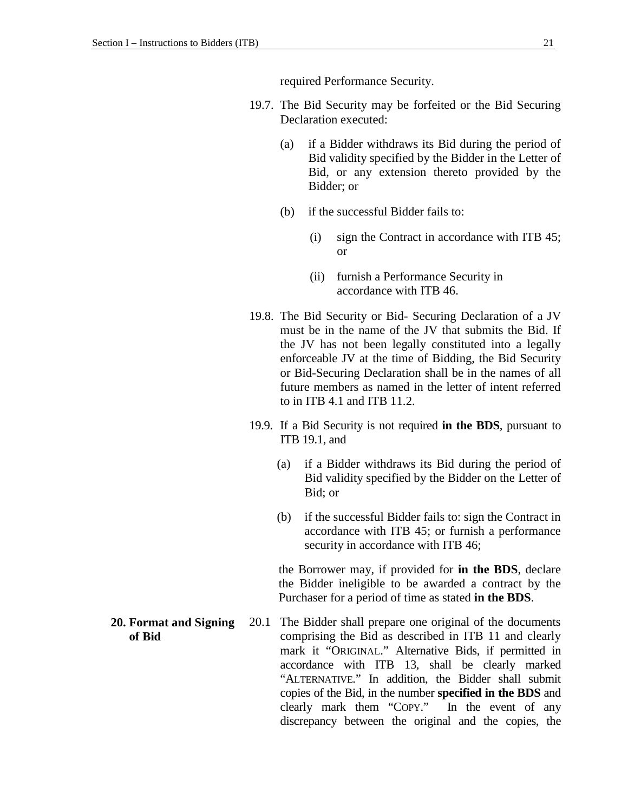required Performance Security.

- 19.7. The Bid Security may be forfeited or the Bid Securing Declaration executed:
	- (a) if a Bidder withdraws its Bid during the period of Bid validity specified by the Bidder in the Letter of Bid, or any extension thereto provided by the Bidder; or
	- (b) if the successful Bidder fails to:
		- (i) sign the Contract in accordance with ITB 45; or
		- (ii) furnish a Performance Security in accordance with ITB 46.
- 19.8. The Bid Security or Bid- Securing Declaration of a JV must be in the name of the JV that submits the Bid. If the JV has not been legally constituted into a legally enforceable JV at the time of Bidding, the Bid Security or Bid-Securing Declaration shall be in the names of all future members as named in the letter of intent referred to in ITB 4.1 and ITB 11.2.
- 19.9. If a Bid Security is not required **in the BDS**, pursuant to ITB 19.1, and
	- (a) if a Bidder withdraws its Bid during the period of Bid validity specified by the Bidder on the Letter of Bid; or
	- (b) if the successful Bidder fails to: sign the Contract in accordance with ITB 45; or furnish a performance security in accordance with ITB 46;

the Borrower may, if provided for **in the BDS**, declare the Bidder ineligible to be awarded a contract by the Purchaser for a period of time as stated **in the BDS**.

**of Bid** 20.1 The Bidder shall prepare one original of the documents comprising the Bid as described in ITB 11 and clearly mark it "ORIGINAL." Alternative Bids, if permitted in accordance with ITB 13, shall be clearly marked "ALTERNATIVE." In addition, the Bidder shall submit copies of the Bid, in the number **specified in the BDS** and clearly mark them "COPY." In the event of any discrepancy between the original and the copies, the

### **20. Format and Signing**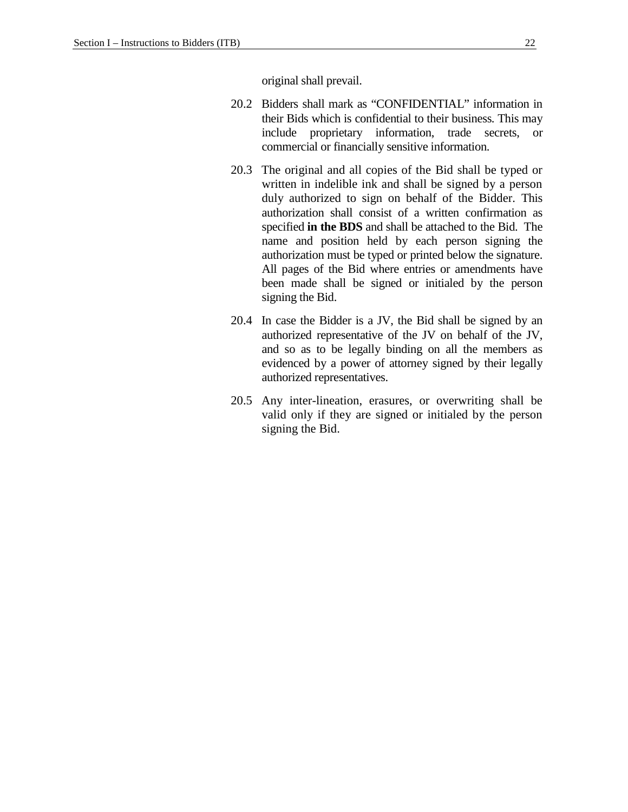original shall prevail.

- 20.2 Bidders shall mark as "CONFIDENTIAL" information in their Bids which is confidential to their business. This may include proprietary information, trade secrets, or commercial or financially sensitive information.
- 20.3 The original and all copies of the Bid shall be typed or written in indelible ink and shall be signed by a person duly authorized to sign on behalf of the Bidder. This authorization shall consist of a written confirmation as specified **in the BDS** and shall be attached to the Bid. The name and position held by each person signing the authorization must be typed or printed below the signature. All pages of the Bid where entries or amendments have been made shall be signed or initialed by the person signing the Bid.
- 20.4 In case the Bidder is a JV, the Bid shall be signed by an authorized representative of the JV on behalf of the JV, and so as to be legally binding on all the members as evidenced by a power of attorney signed by their legally authorized representatives.
- 20.5 Any inter-lineation, erasures, or overwriting shall be valid only if they are signed or initialed by the person signing the Bid.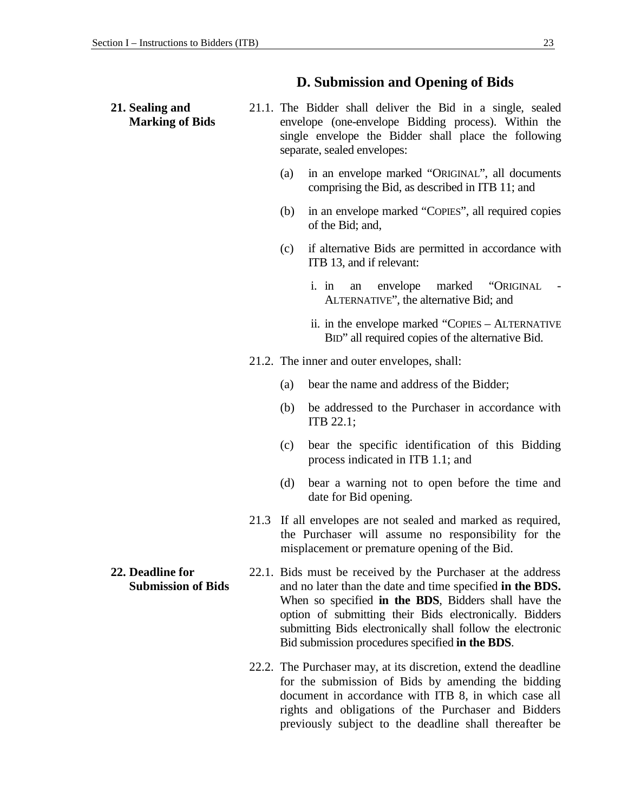### **D. Submission and Opening of Bids**

- **21. Sealing and Marking of Bids** 21.1. The Bidder shall deliver the Bid in a single, sealed envelope (one-envelope Bidding process). Within the single envelope the Bidder shall place the following
	- (a) in an envelope marked "ORIGINAL", all documents comprising the Bid, as described in ITB 11; and
	- (b) in an envelope marked "COPIES", all required copies of the Bid; and,
	- (c) if alternative Bids are permitted in accordance with ITB 13, and if relevant:
		- i. in an envelope marked "ORIGINAL ALTERNATIVE", the alternative Bid; and
		- ii. in the envelope marked "COPIES ALTERNATIVE BID" all required copies of the alternative Bid.
	- 21.2. The inner and outer envelopes, shall:

separate, sealed envelopes:

- (a) bear the name and address of the Bidder;
- (b) be addressed to the Purchaser in accordance with ITB 22.1;
- (c) bear the specific identification of this Bidding process indicated in ITB 1.1; and
- (d) bear a warning not to open before the time and date for Bid opening.
- 21.3 If all envelopes are not sealed and marked as required, the Purchaser will assume no responsibility for the misplacement or premature opening of the Bid.
- 22.1. Bids must be received by the Purchaser at the address and no later than the date and time specified **in the BDS.** When so specified **in the BDS**, Bidders shall have the option of submitting their Bids electronically. Bidders submitting Bids electronically shall follow the electronic Bid submission procedures specified **in the BDS**.
	- 22.2. The Purchaser may, at its discretion, extend the deadline for the submission of Bids by amending the bidding document in accordance with ITB 8, in which case all rights and obligations of the Purchaser and Bidders previously subject to the deadline shall thereafter be
- **22. Deadline for Submission of Bids**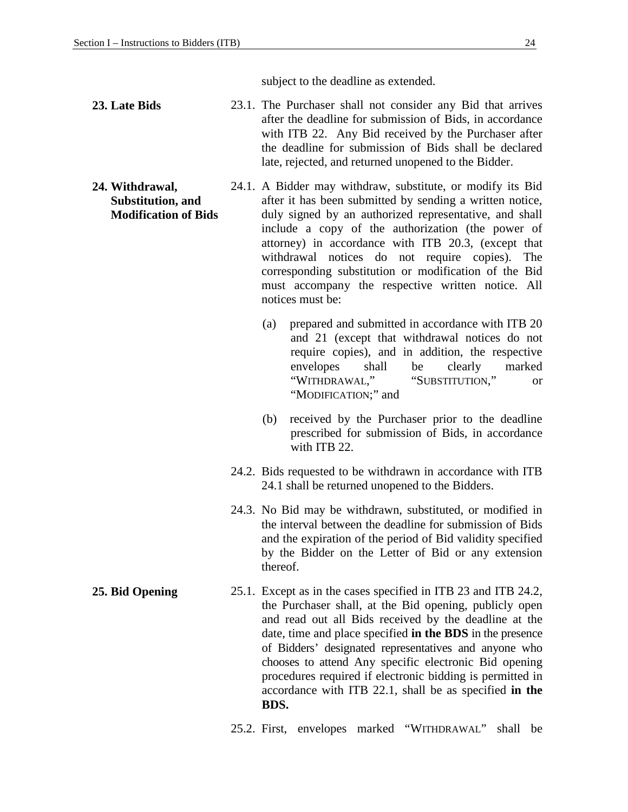subject to the deadline as extended.

- **23. Late Bids** 23.1. The Purchaser shall not consider any Bid that arrives after the deadline for submission of Bids, in accordance with ITB 22. Any Bid received by the Purchaser after the deadline for submission of Bids shall be declared late, rejected, and returned unopened to the Bidder.
- **24. Withdrawal, Substitution, and Modification of Bids** 24.1. A Bidder may withdraw, substitute, or modify its Bid after it has been submitted by sending a written notice, duly signed by an authorized representative, and shall include a copy of the authorization (the power of attorney) in accordance with ITB 20.3, (except that withdrawal notices do not require copies). The corresponding substitution or modification of the Bid must accompany the respective written notice. All notices must be:
	- (a) prepared and submitted in accordance with ITB 20 and 21 (except that withdrawal notices do not require copies), and in addition, the respective envelopes shall be clearly marked "WITHDRAWAL," "SUBSTITUTION," or "MODIFICATION;" and
	- (b) received by the Purchaser prior to the deadline prescribed for submission of Bids, in accordance with ITB 22.
	- 24.2. Bids requested to be withdrawn in accordance with ITB 24.1 shall be returned unopened to the Bidders.
	- 24.3. No Bid may be withdrawn, substituted, or modified in the interval between the deadline for submission of Bids and the expiration of the period of Bid validity specified by the Bidder on the Letter of Bid or any extension thereof.
- **25. Bid Opening** 25.1. Except as in the cases specified in ITB 23 and ITB 24.2, the Purchaser shall, at the Bid opening, publicly open and read out all Bids received by the deadline at the date, time and place specified **in the BDS** in the presence of Bidders' designated representatives and anyone who chooses to attend Any specific electronic Bid opening procedures required if electronic bidding is permitted in accordance with ITB 22.1, shall be as specified **in the BDS.**
	- 25.2. First, envelopes marked "WITHDRAWAL" shall be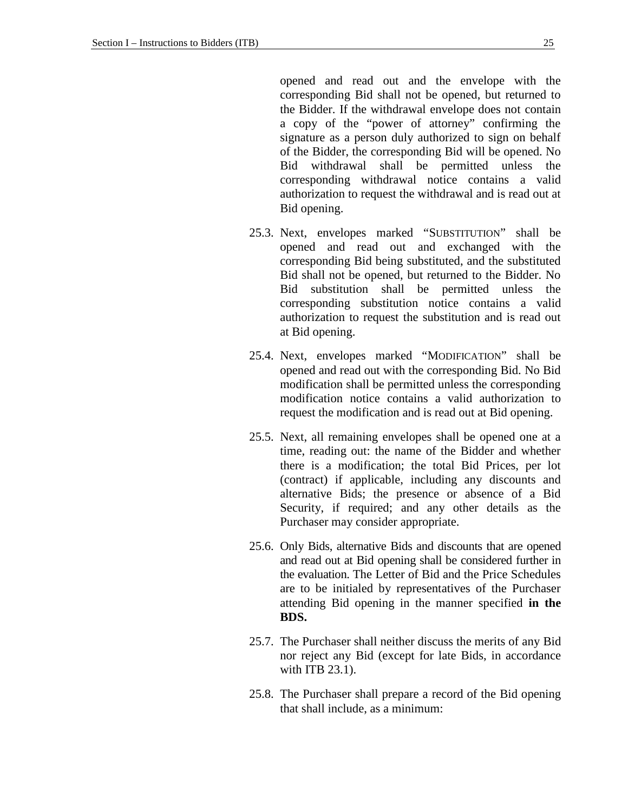opened and read out and the envelope with the corresponding Bid shall not be opened, but returned to the Bidder. If the withdrawal envelope does not contain a copy of the "power of attorney" confirming the signature as a person duly authorized to sign on behalf of the Bidder, the corresponding Bid will be opened. No Bid withdrawal shall be permitted unless the corresponding withdrawal notice contains a valid authorization to request the withdrawal and is read out at Bid opening.

- 25.3. Next, envelopes marked "SUBSTITUTION" shall be opened and read out and exchanged with the corresponding Bid being substituted, and the substituted Bid shall not be opened, but returned to the Bidder. No Bid substitution shall be permitted unless the corresponding substitution notice contains a valid authorization to request the substitution and is read out at Bid opening.
- 25.4. Next, envelopes marked "MODIFICATION" shall be opened and read out with the corresponding Bid. No Bid modification shall be permitted unless the corresponding modification notice contains a valid authorization to request the modification and is read out at Bid opening.
- 25.5. Next, all remaining envelopes shall be opened one at a time, reading out: the name of the Bidder and whether there is a modification; the total Bid Prices, per lot (contract) if applicable, including any discounts and alternative Bids; the presence or absence of a Bid Security, if required; and any other details as the Purchaser may consider appropriate.
- 25.6. Only Bids, alternative Bids and discounts that are opened and read out at Bid opening shall be considered further in the evaluation. The Letter of Bid and the Price Schedules are to be initialed by representatives of the Purchaser attending Bid opening in the manner specified **in the BDS.**
- 25.7. The Purchaser shall neither discuss the merits of any Bid nor reject any Bid (except for late Bids, in accordance with ITB 23.1).
- 25.8. The Purchaser shall prepare a record of the Bid opening that shall include, as a minimum: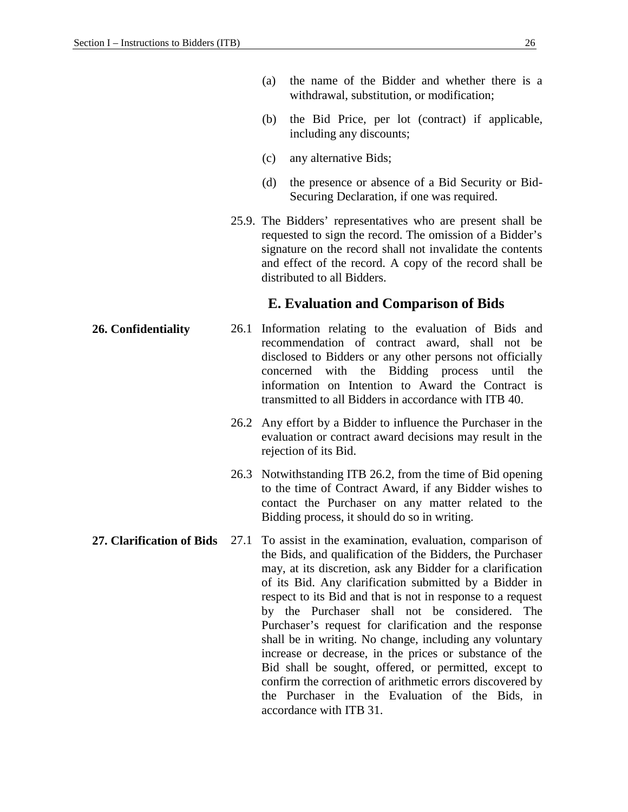- (a) the name of the Bidder and whether there is a withdrawal, substitution, or modification;
- (b) the Bid Price, per lot (contract) if applicable, including any discounts;
- (c) any alternative Bids;
- (d) the presence or absence of a Bid Security or Bid- Securing Declaration, if one was required.
- 25.9. The Bidders' representatives who are present shall be requested to sign the record. The omission of a Bidder's signature on the record shall not invalidate the contents and effect of the record. A copy of the record shall be distributed to all Bidders.

#### **E. Evaluation and Comparison of Bids**

- **26. Confidentiality** 26.1 Information relating to the evaluation of Bids and recommendation of contract award, shall not be disclosed to Bidders or any other persons not officially concerned with the Bidding process until the information on Intention to Award the Contract is transmitted to all Bidders in accordance with ITB 40.
	- 26.2 Any effort by a Bidder to influence the Purchaser in the evaluation or contract award decisions may result in the rejection of its Bid.
	- 26.3 Notwithstanding ITB 26.2, from the time of Bid opening to the time of Contract Award, if any Bidder wishes to contact the Purchaser on any matter related to the Bidding process, it should do so in writing.
- **27. Clarification of Bids** 27.1 To assist in the examination, evaluation, comparison of the Bids, and qualification of the Bidders, the Purchaser may, at its discretion, ask any Bidder for a clarification of its Bid. Any clarification submitted by a Bidder in respect to its Bid and that is not in response to a request by the Purchaser shall not be considered. The Purchaser's request for clarification and the response shall be in writing. No change, including any voluntary increase or decrease, in the prices or substance of the Bid shall be sought, offered, or permitted, except to confirm the correction of arithmetic errors discovered by the Purchaser in the Evaluation of the Bids, in accordance with ITB 31.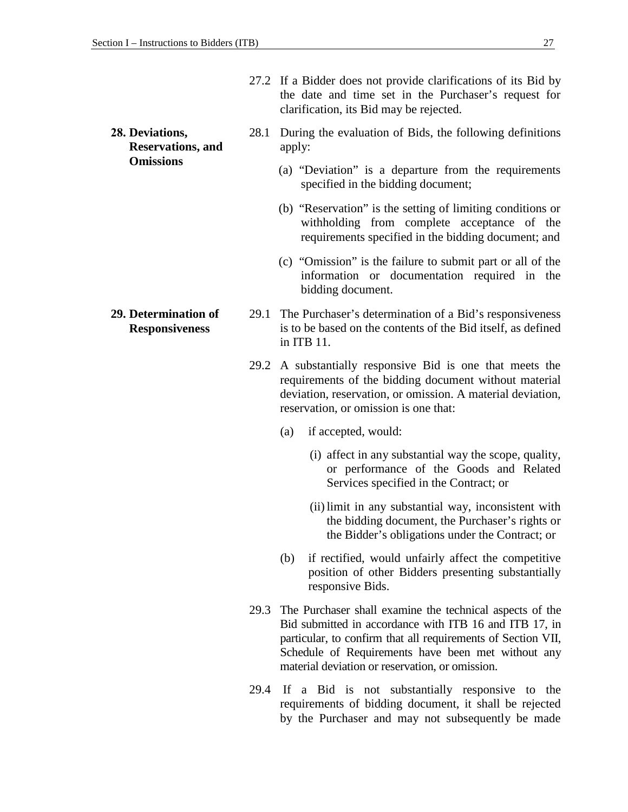- 27.2 If a Bidder does not provide clarifications of its Bid by the date and time set in the Purchaser's request for clarification, its Bid may be rejected. **28. Deviations, Reservations, and Omissions** 28.1 During the evaluation of Bids, the following definitions apply: (a) "Deviation" is a departure from the requirements specified in the bidding document; (b) "Reservation" is the setting of limiting conditions or withholding from complete acceptance of the requirements specified in the bidding document; and (c) "Omission" is the failure to submit part or all of the information or documentation required in the bidding document. **29. Determination of Responsiveness** 29.1 The Purchaser's determination of a Bid's responsiveness is to be based on the contents of the Bid itself, as defined in ITB 11. 29.2 A substantially responsive Bid is one that meets the requirements of the bidding document without material deviation, reservation, or omission. A material deviation, reservation, or omission is one that: (a) if accepted, would: (i) affect in any substantial way the scope, quality, or performance of the Goods and Related Services specified in the Contract; or
	- (ii)limit in any substantial way, inconsistent with the bidding document, the Purchaser's rights or the Bidder's obligations under the Contract; or
	- (b) if rectified, would unfairly affect the competitive position of other Bidders presenting substantially responsive Bids.
	- 29.3 The Purchaser shall examine the technical aspects of the Bid submitted in accordance with ITB 16 and ITB 17, in particular, to confirm that all requirements of Section VII, Schedule of Requirements have been met without any material deviation or reservation, or omission.
	- 29.4 If a Bid is not substantially responsive to the requirements of bidding document, it shall be rejected by the Purchaser and may not subsequently be made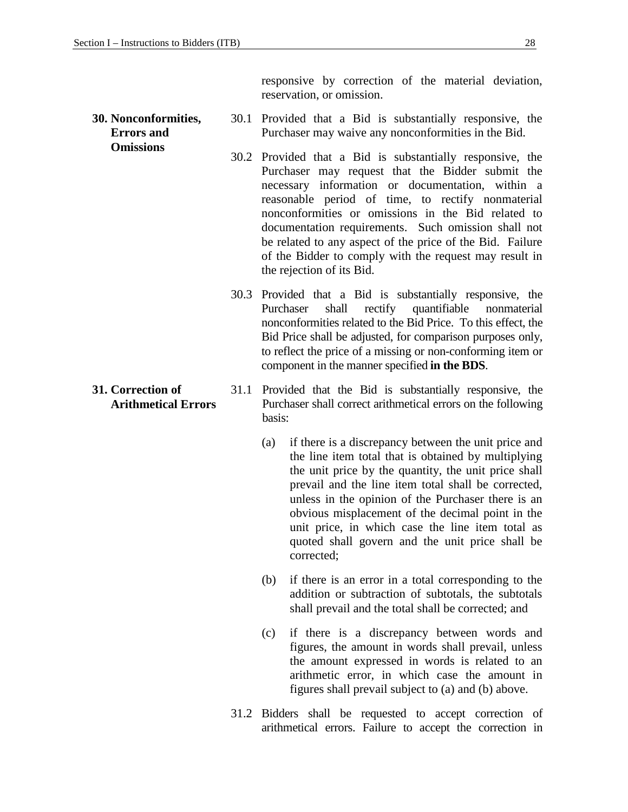responsive by correction of the material deviation, reservation, or omission.

#### **30. Nonconformities, Errors and Omissions** 30.1 Provided that a Bid is substantially responsive, the Purchaser may waive any nonconformities in the Bid.

- 30.2 Provided that a Bid is substantially responsive, the Purchaser may request that the Bidder submit the necessary information or documentation, within a reasonable period of time, to rectify nonmaterial nonconformities or omissions in the Bid related to documentation requirements. Such omission shall not be related to any aspect of the price of the Bid. Failure of the Bidder to comply with the request may result in the rejection of its Bid.
- 30.3 Provided that a Bid is substantially responsive, the Purchaser shall rectify quantifiable nonmaterial nonconformities related to the Bid Price. To this effect, the Bid Price shall be adjusted, for comparison purposes only, to reflect the price of a missing or non-conforming item or component in the manner specified **in the BDS**.
- **31. Correction of Arithmetical Errors** 31.1 Provided that the Bid is substantially responsive, the Purchaser shall correct arithmetical errors on the following basis:
	- (a) if there is a discrepancy between the unit price and the line item total that is obtained by multiplying the unit price by the quantity, the unit price shall prevail and the line item total shall be corrected, unless in the opinion of the Purchaser there is an obvious misplacement of the decimal point in the unit price, in which case the line item total as quoted shall govern and the unit price shall be corrected;
	- (b) if there is an error in a total corresponding to the addition or subtraction of subtotals, the subtotals shall prevail and the total shall be corrected; and
	- (c) if there is a discrepancy between words and figures, the amount in words shall prevail, unless the amount expressed in words is related to an arithmetic error, in which case the amount in figures shall prevail subject to (a) and (b) above.
	- 31.2 Bidders shall be requested to accept correction of arithmetical errors. Failure to accept the correction in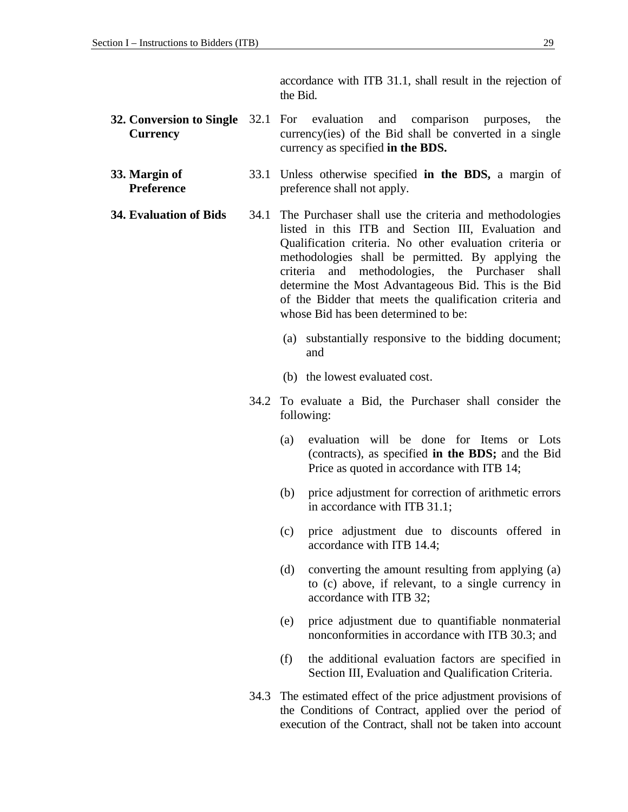accordance with ITB 31.1, shall result in the rejection of the Bid.

- **32. Conversion to Single** 32.1 For evaluation and comparison purposes, the **Currency** currency(ies) of the Bid shall be converted in a single currency as specified **in the BDS.**
- **33. Margin of Preference** 33.1 Unless otherwise specified **in the BDS,** a margin of preference shall not apply.
- **34. Evaluation of Bids** 34.1 The Purchaser shall use the criteria and methodologies listed in this ITB and Section III, Evaluation and Qualification criteria. No other evaluation criteria or methodologies shall be permitted. By applying the criteria and methodologies, the Purchaser shall determine the Most Advantageous Bid. This is the Bid of the Bidder that meets the qualification criteria and whose Bid has been determined to be:
	- (a) substantially responsive to the bidding document; and
	- (b) the lowest evaluated cost.
	- 34.2 To evaluate a Bid, the Purchaser shall consider the following:
		- (a) evaluation will be done for Items or Lots (contracts), as specified **in the BDS;** and the Bid Price as quoted in accordance with ITB 14;
		- (b) price adjustment for correction of arithmetic errors in accordance with ITB 31.1;
		- (c) price adjustment due to discounts offered in accordance with ITB 14.4;
		- (d) converting the amount resulting from applying (a) to (c) above, if relevant, to a single currency in accordance with ITB 32;
		- (e) price adjustment due to quantifiable nonmaterial nonconformities in accordance with ITB 30.3; and
		- (f) the additional evaluation factors are specified in Section III, Evaluation and Qualification Criteria.
	- 34.3 The estimated effect of the price adjustment provisions of the Conditions of Contract, applied over the period of execution of the Contract, shall not be taken into account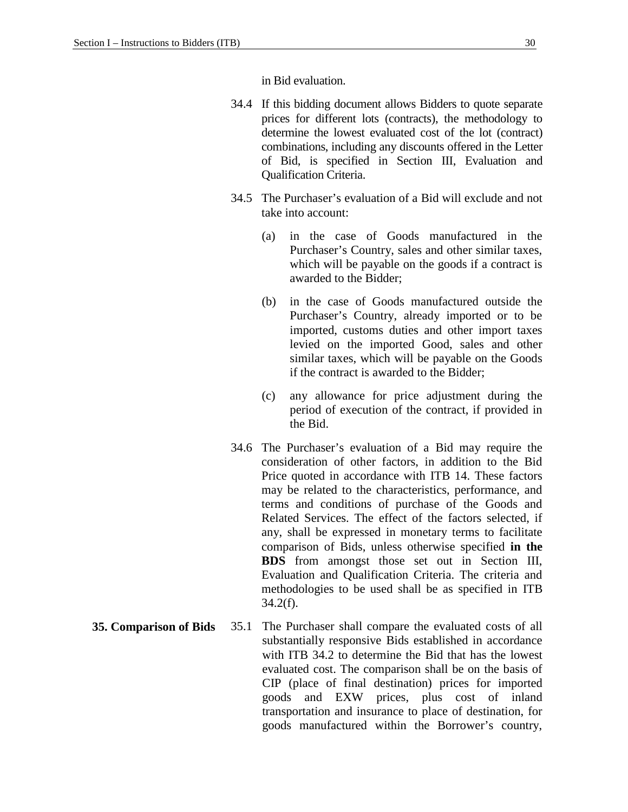in Bid evaluation.

- 34.4 If this bidding document allows Bidders to quote separate prices for different lots (contracts), the methodology to determine the lowest evaluated cost of the lot (contract) combinations, including any discounts offered in the Letter of Bid, is specified in Section III, Evaluation and Qualification Criteria.
- 34.5 The Purchaser's evaluation of a Bid will exclude and not take into account:
	- (a) in the case of Goods manufactured in the Purchaser's Country, sales and other similar taxes, which will be payable on the goods if a contract is awarded to the Bidder;
	- (b) in the case of Goods manufactured outside the Purchaser's Country, already imported or to be imported, customs duties and other import taxes levied on the imported Good, sales and other similar taxes, which will be payable on the Goods if the contract is awarded to the Bidder;
	- (c) any allowance for price adjustment during the period of execution of the contract, if provided in the Bid.
- 34.6 The Purchaser's evaluation of a Bid may require the consideration of other factors, in addition to the Bid Price quoted in accordance with ITB 14. These factors may be related to the characteristics, performance, and terms and conditions of purchase of the Goods and Related Services. The effect of the factors selected, if any, shall be expressed in monetary terms to facilitate comparison of Bids, unless otherwise specified **in the BDS** from amongst those set out in Section III, Evaluation and Qualification Criteria. The criteria and methodologies to be used shall be as specified in ITB 34.2(f).
- **35. Comparison of Bids** 35.1 The Purchaser shall compare the evaluated costs of all substantially responsive Bids established in accordance with ITB 34.2 to determine the Bid that has the lowest evaluated cost. The comparison shall be on the basis of CIP (place of final destination) prices for imported goods and EXW prices, plus cost of inland transportation and insurance to place of destination, for goods manufactured within the Borrower's country,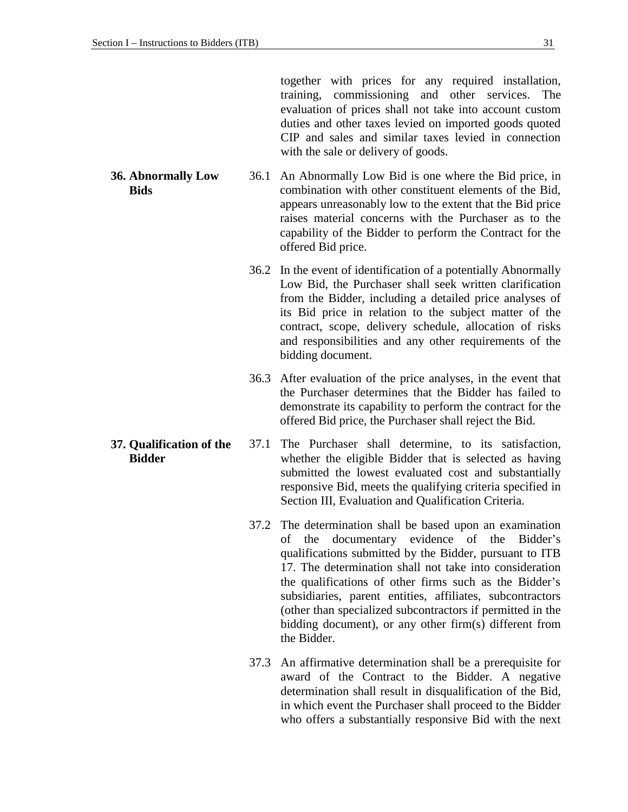together with prices for any required installation, training, commissioning and other services. The evaluation of prices shall not take into account custom duties and other taxes levied on imported goods quoted CIP and sales and similar taxes levied in connection with the sale or delivery of goods.

**36. Abnormally Low Bids** 36.1 An Abnormally Low Bid is one where the Bid price, in combination with other constituent elements of the Bid, appears unreasonably low to the extent that the Bid price raises material concerns with the Purchaser as to the capability of the Bidder to perform the Contract for the offered Bid price.

- 36.2 In the event of identification of a potentially Abnormally Low Bid, the Purchaser shall seek written clarification from the Bidder, including a detailed price analyses of its Bid price in relation to the subject matter of the contract, scope, delivery schedule, allocation of risks and responsibilities and any other requirements of the bidding document.
- 36.3 After evaluation of the price analyses, in the event that the Purchaser determines that the Bidder has failed to demonstrate its capability to perform the contract for the offered Bid price, the Purchaser shall reject the Bid.
- **37. Qualification of the Bidder** 37.1 The Purchaser shall determine, to its satisfaction, whether the eligible Bidder that is selected as having submitted the lowest evaluated cost and substantially responsive Bid, meets the qualifying criteria specified in Section III, Evaluation and Qualification Criteria.
	- 37.2 The determination shall be based upon an examination of the documentary evidence of the Bidder's qualifications submitted by the Bidder, pursuant to ITB 17. The determination shall not take into consideration the qualifications of other firms such as the Bidder's subsidiaries, parent entities, affiliates, subcontractors (other than specialized subcontractors if permitted in the bidding document), or any other firm(s) different from the Bidder.
	- 37.3 An affirmative determination shall be a prerequisite for award of the Contract to the Bidder. A negative determination shall result in disqualification of the Bid, in which event the Purchaser shall proceed to the Bidder who offers a substantially responsive Bid with the next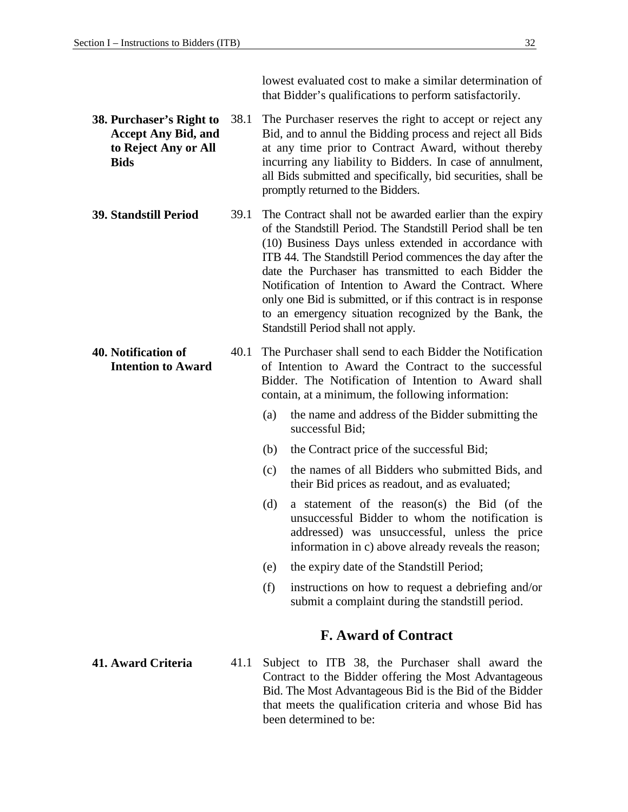lowest evaluated cost to make a similar determination of that Bidder's qualifications to perform satisfactorily.

- **38. Purchaser's Right to Accept Any Bid, and to Reject Any or All Bids** The Purchaser reserves the right to accept or reject any Bid, and to annul the Bidding process and reject all Bids at any time prior to Contract Award, without thereby incurring any liability to Bidders. In case of annulment, all Bids submitted and specifically, bid securities, shall be promptly returned to the Bidders.
- **39. Standstill Period** 39.1 The Contract shall not be awarded earlier than the expiry of the Standstill Period. The Standstill Period shall be ten (10) Business Days unless extended in accordance with ITB 44. The Standstill Period commences the day after the date the Purchaser has transmitted to each Bidder the Notification of Intention to Award the Contract. Where only one Bid is submitted, or if this contract is in response to an emergency situation recognized by the Bank, the Standstill Period shall not apply.
- **Intention to Award** 40.1 The Purchaser shall send to each Bidder the Notification of Intention to Award the Contract to the successful Bidder. The Notification of Intention to Award shall contain, at a minimum, the following information:
	- (a) the name and address of the Bidder submitting the successful Bid;
	- (b) the Contract price of the successful Bid;
	- (c) the names of all Bidders who submitted Bids, and their Bid prices as readout, and as evaluated;
	- (d) a statement of the reason(s) the Bid (of the unsuccessful Bidder to whom the notification is addressed) was unsuccessful, unless the price information in c) above already reveals the reason;
	- (e) the expiry date of the Standstill Period;
	- (f) instructions on how to request a debriefing and/or submit a complaint during the standstill period.

#### **F. Award of Contract**

**41. Award Criteria** 41.1 Subject to ITB 38, the Purchaser shall award the Contract to the Bidder offering the Most Advantageous Bid. The Most Advantageous Bid is the Bid of the Bidder that meets the qualification criteria and whose Bid has been determined to be:

## **40. Notification of**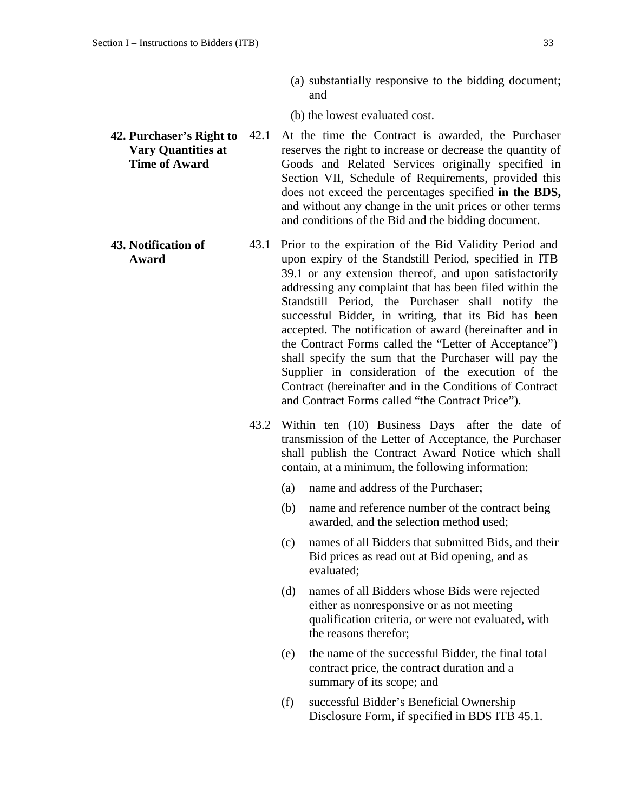(a) substantially responsive to the bidding document; and

(b) the lowest evaluated cost.

- **42. Purchaser's Right to Vary Quantities at Time of Award** At the time the Contract is awarded, the Purchaser reserves the right to increase or decrease the quantity of Goods and Related Services originally specified in Section VII, Schedule of Requirements, provided this does not exceed the percentages specified **in the BDS,** and without any change in the unit prices or other terms and conditions of the Bid and the bidding document.
- **43. Notification of Award** 43.1 Prior to the expiration of the Bid Validity Period and upon expiry of the Standstill Period, specified in ITB 39.1 or any extension thereof, and upon satisfactorily addressing any complaint that has been filed within the Standstill Period, the Purchaser shall notify the successful Bidder, in writing, that its Bid has been accepted. The notification of award (hereinafter and in the Contract Forms called the "Letter of Acceptance") shall specify the sum that the Purchaser will pay the Supplier in consideration of the execution of the Contract (hereinafter and in the Conditions of Contract and Contract Forms called "the Contract Price").
	- 43.2 Within ten (10) Business Days after the date of transmission of the Letter of Acceptance, the Purchaser shall publish the Contract Award Notice which shall contain, at a minimum, the following information:
		- (a) name and address of the Purchaser;
		- (b) name and reference number of the contract being awarded, and the selection method used;
		- (c) names of all Bidders that submitted Bids, and their Bid prices as read out at Bid opening, and as evaluated;
		- (d) names of all Bidders whose Bids were rejected either as nonresponsive or as not meeting qualification criteria, or were not evaluated, with the reasons therefor;
		- (e) the name of the successful Bidder, the final total contract price, the contract duration and a summary of its scope; and
		- (f) successful Bidder's Beneficial Ownership Disclosure Form, if specified in BDS ITB 45.1.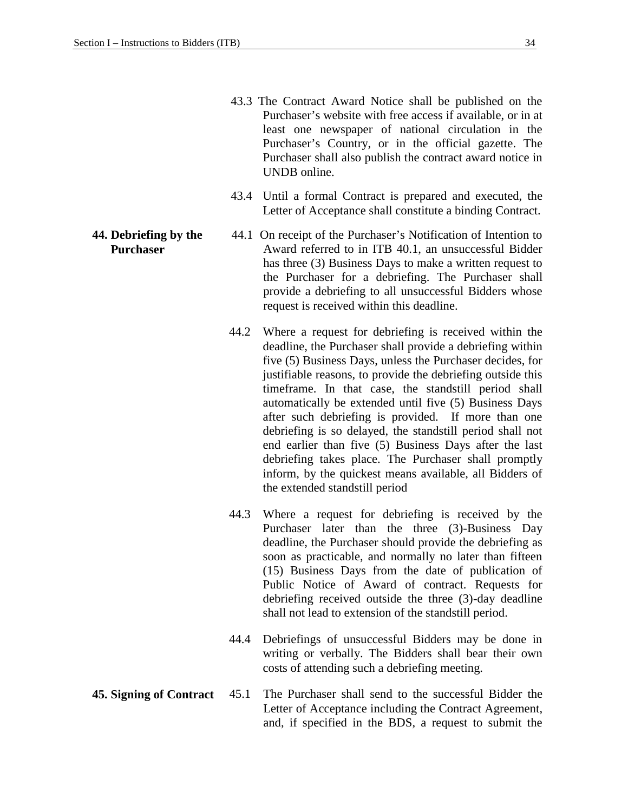- 43.3 The Contract Award Notice shall be published on the Purchaser's website with free access if available, or in at least one newspaper of national circulation in the Purchaser's Country, or in the official gazette. The Purchaser shall also publish the contract award notice in UNDB online.
- 43.4 Until a formal Contract is prepared and executed, the Letter of Acceptance shall constitute a binding Contract.
- 44.1 On receipt of the Purchaser's Notification of Intention to Award referred to in ITB 40.1, an unsuccessful Bidder has three (3) Business Days to make a written request to the Purchaser for a debriefing. The Purchaser shall provide a debriefing to all unsuccessful Bidders whose request is received within this deadline.
- 44.2 Where a request for debriefing is received within the deadline, the Purchaser shall provide a debriefing within five (5) Business Days, unless the Purchaser decides, for justifiable reasons, to provide the debriefing outside this timeframe. In that case, the standstill period shall automatically be extended until five (5) Business Days after such debriefing is provided. If more than one debriefing is so delayed, the standstill period shall not end earlier than five (5) Business Days after the last debriefing takes place. The Purchaser shall promptly inform, by the quickest means available, all Bidders of the extended standstill period
- 44.3 Where a request for debriefing is received by the Purchaser later than the three (3)-Business Day deadline, the Purchaser should provide the debriefing as soon as practicable, and normally no later than fifteen (15) Business Days from the date of publication of Public Notice of Award of contract. Requests for debriefing received outside the three (3)-day deadline shall not lead to extension of the standstill period.
- 44.4 Debriefings of unsuccessful Bidders may be done in writing or verbally. The Bidders shall bear their own costs of attending such a debriefing meeting.
- **45. Signing of Contract** 45.1 The Purchaser shall send to the successful Bidder the Letter of Acceptance including the Contract Agreement, and, if specified in the BDS, a request to submit the

**44. Debriefing by the Purchaser**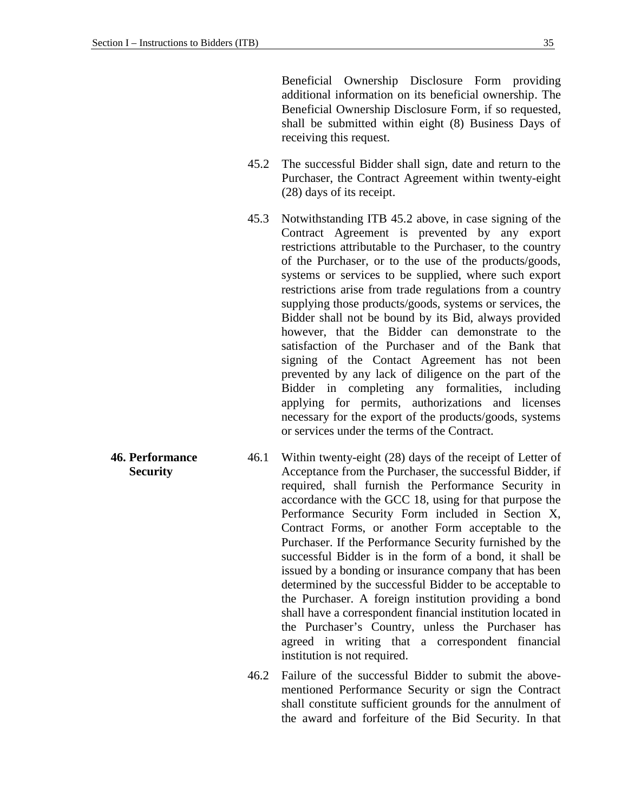Beneficial Ownership Disclosure Form providing additional information on its beneficial ownership. The Beneficial Ownership Disclosure Form, if so requested, shall be submitted within eight (8) Business Days of receiving this request.

- 45.2 The successful Bidder shall sign, date and return to the Purchaser, the Contract Agreement within twenty-eight (28) days of its receipt.
- 45.3 Notwithstanding ITB 45.2 above, in case signing of the Contract Agreement is prevented by any export restrictions attributable to the Purchaser, to the country of the Purchaser, or to the use of the products/goods, systems or services to be supplied, where such export restrictions arise from trade regulations from a country supplying those products/goods, systems or services, the Bidder shall not be bound by its Bid, always provided however, that the Bidder can demonstrate to the satisfaction of the Purchaser and of the Bank that signing of the Contact Agreement has not been prevented by any lack of diligence on the part of the Bidder in completing any formalities, including applying for permits, authorizations and licenses necessary for the export of the products/goods, systems or services under the terms of the Contract.
- 46.1 Within twenty-eight (28) days of the receipt of Letter of Acceptance from the Purchaser, the successful Bidder, if required, shall furnish the Performance Security in accordance with the GCC 18, using for that purpose the Performance Security Form included in Section X, Contract Forms, or another Form acceptable to the Purchaser. If the Performance Security furnished by the successful Bidder is in the form of a bond, it shall be issued by a bonding or insurance company that has been determined by the successful Bidder to be acceptable to the Purchaser. A foreign institution providing a bond shall have a correspondent financial institution located in the Purchaser's Country, unless the Purchaser has agreed in writing that a correspondent financial institution is not required.
	- 46.2 Failure of the successful Bidder to submit the above mentioned Performance Security or sign the Contract shall constitute sufficient grounds for the annulment of the award and forfeiture of the Bid Security. In that

**46. Performance Security**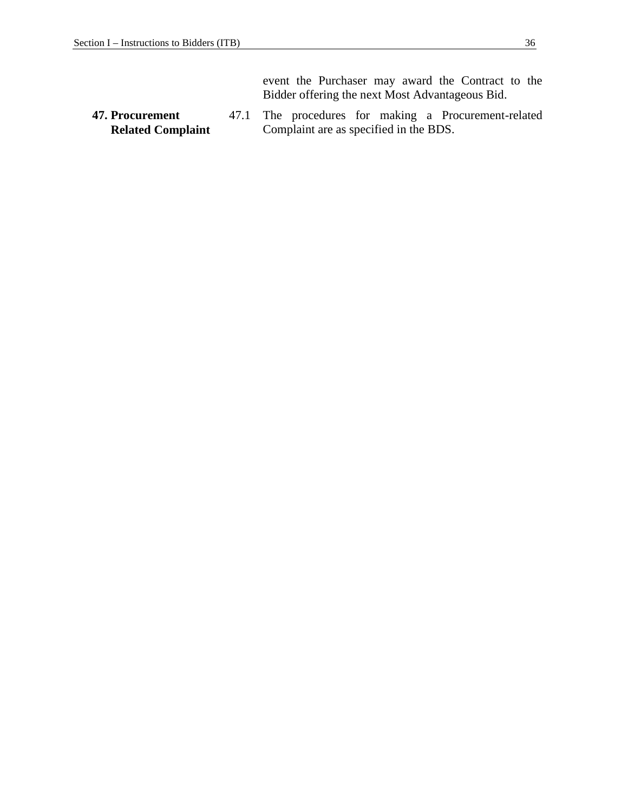event the Purchaser may award the Contract to the Bidder offering the next Most Advantageous Bid.

**47. Procurement Related Complaint** 47.1 The procedures for making a Procurement-related Complaint are as specified in the BDS.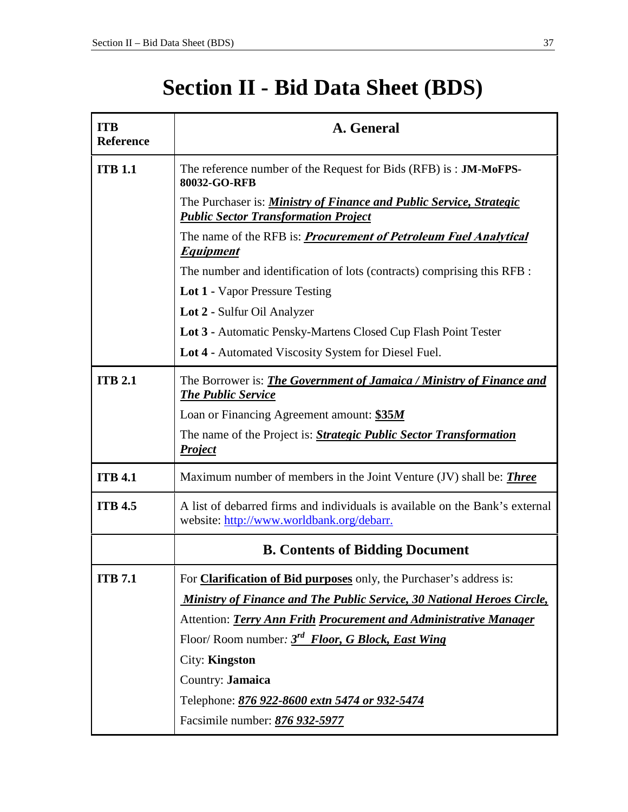# **Section II - Bid Data Sheet (BDS)**

| <b>ITB</b><br><b>Reference</b> | A. General                                                                                                                |
|--------------------------------|---------------------------------------------------------------------------------------------------------------------------|
| <b>ITB 1.1</b>                 | The reference number of the Request for Bids (RFB) is : <b>JM-MoFPS-</b><br>80032-GO-RFB                                  |
|                                | The Purchaser is: <i>Ministry of Finance and Public Service, Strategic</i><br><b>Public Sector Transformation Project</b> |
|                                | The name of the RFB is: <b>Procurement of Petroleum Fuel Analytical</b><br><b>Equipment</b>                               |
|                                | The number and identification of lots (contracts) comprising this RFB :                                                   |
|                                | <b>Lot 1 - Vapor Pressure Testing</b>                                                                                     |
|                                | Lot 2 - Sulfur Oil Analyzer                                                                                               |
|                                | Lot 3 - Automatic Pensky-Martens Closed Cup Flash Point Tester                                                            |
|                                | Lot 4 - Automated Viscosity System for Diesel Fuel.                                                                       |
| <b>ITB 2.1</b>                 | The Borrower is: <i>The Government of Jamaica / Ministry of Finance and</i><br><b>The Public Service</b>                  |
|                                | Loan or Financing Agreement amount: \$35M                                                                                 |
|                                | The name of the Project is: <i>Strategic Public Sector Transformation</i><br><b>Project</b>                               |
| <b>ITB 4.1</b>                 | Maximum number of members in the Joint Venture (JV) shall be: <i>Three</i>                                                |
| <b>ITB 4.5</b>                 | A list of debarred firms and individuals is available on the Bank's external<br>website: http://www.worldbank.org/debarr. |
|                                | <b>B. Contents of Bidding Document</b>                                                                                    |
| <b>ITB</b> 7.1                 | For <b>Clarification of Bid purposes</b> only, the Purchaser's address is:                                                |
|                                | Ministry of Finance and The Public Service, 30 National Heroes Circle,                                                    |
|                                | Attention: Terry Ann Frith Procurement and Administrative Manager                                                         |
|                                | Floor/ Room number: $3^{rd}$ Floor, G Block, East Wing                                                                    |
|                                | <b>City: Kingston</b>                                                                                                     |
|                                | Country: Jamaica                                                                                                          |
|                                | Telephone: 876 922-8600 extn 5474 or 932-5474                                                                             |
|                                | Facsimile number: 876 932-5977                                                                                            |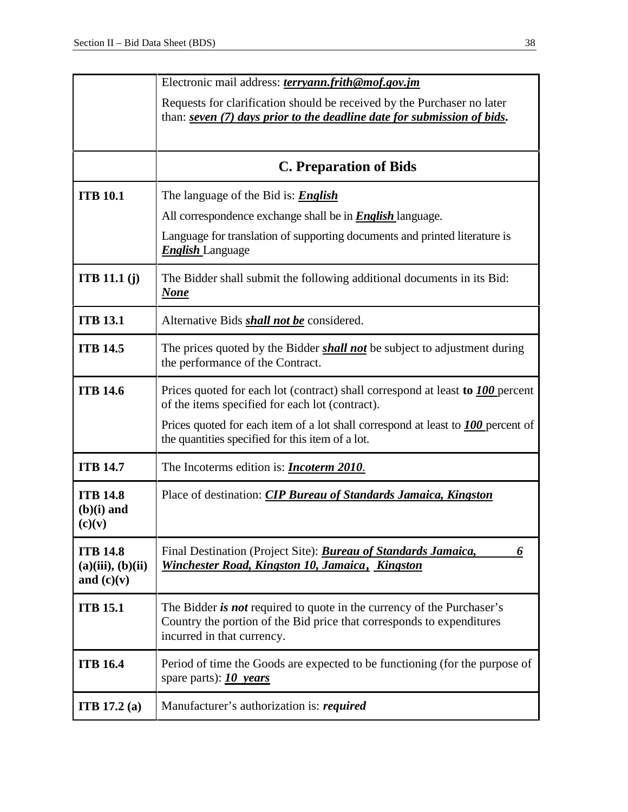|                                                      | Electronic mail address: terryann.frith@mof.gov.jm                                                                                                                            |
|------------------------------------------------------|-------------------------------------------------------------------------------------------------------------------------------------------------------------------------------|
|                                                      | Requests for clarification should be received by the Purchaser no later<br>than: seven (7) days prior to the deadline date for submission of bids.                            |
|                                                      | <b>C. Preparation of Bids</b>                                                                                                                                                 |
| <b>ITB 10.1</b>                                      | The language of the Bid is: <b>English</b>                                                                                                                                    |
|                                                      | All correspondence exchange shall be in <b>English</b> language.                                                                                                              |
|                                                      | Language for translation of supporting documents and printed literature is<br><b>English Language</b>                                                                         |
| <b>ITB</b> 11.1 $(i)$                                | The Bidder shall submit the following additional documents in its Bid:<br><b>None</b>                                                                                         |
| <b>ITB 13.1</b>                                      | Alternative Bids <i>shall not be</i> considered.                                                                                                                              |
| <b>ITB 14.5</b>                                      | The prices quoted by the Bidder <i>shall not</i> be subject to adjustment during<br>the performance of the Contract.                                                          |
| <b>ITB 14.6</b>                                      | Prices quoted for each lot (contract) shall correspond at least to 100 percent<br>of the items specified for each lot (contract).                                             |
|                                                      | Prices quoted for each item of a lot shall correspond at least to $100$ percent of<br>the quantities specified for this item of a lot.                                        |
| <b>ITB 14.7</b>                                      | The Incoterms edition is: <b>Incoterm 2010</b> .                                                                                                                              |
| <b>ITB 14.8</b><br>$(b)(i)$ and<br>(c)(v)            | Place of destination: CIP Bureau of Standards Jamaica, Kingston                                                                                                               |
| <b>ITB 14.8</b><br>(a)(iii), (b)(ii)<br>and $(c)(v)$ | Final Destination (Project Site): <b>Bureau of Standards Jamaica</b> ,<br>6<br><b>Winchester Road, Kingston 10, Jamaica, Kingston</b>                                         |
| <b>ITB 15.1</b>                                      | The Bidder is not required to quote in the currency of the Purchaser's<br>Country the portion of the Bid price that corresponds to expenditures<br>incurred in that currency. |
| <b>ITB 16.4</b>                                      | Period of time the Goods are expected to be functioning (for the purpose of<br>spare parts): $10$ years                                                                       |
| <b>ITB</b> 17.2 (a)                                  | Manufacturer's authorization is: required                                                                                                                                     |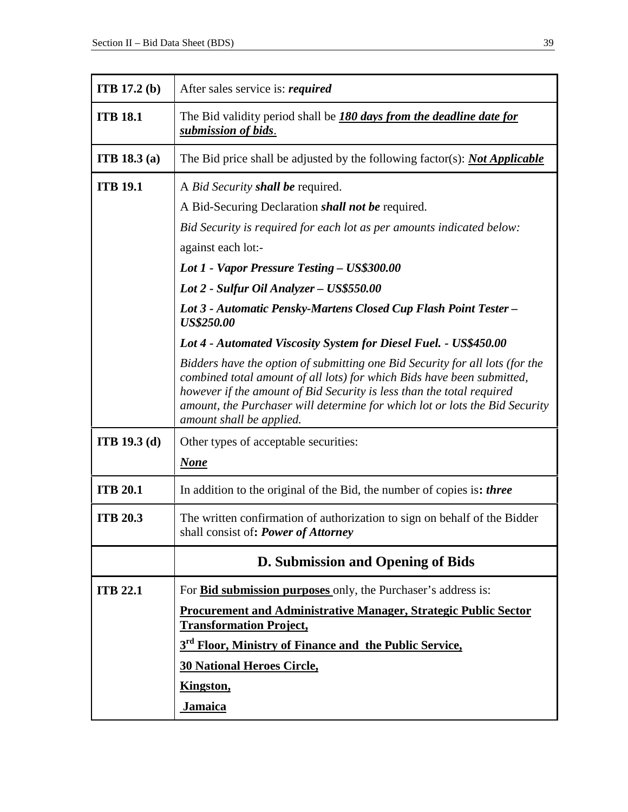| <b>ITB</b> 17.2 (b)   | After sales service is: <i>required</i>                                                                                                                                                                                                                                                                                                    |
|-----------------------|--------------------------------------------------------------------------------------------------------------------------------------------------------------------------------------------------------------------------------------------------------------------------------------------------------------------------------------------|
| <b>ITB 18.1</b>       | The Bid validity period shall be 180 days from the deadline date for<br>submission of bids.                                                                                                                                                                                                                                                |
| <b>ITB</b> 18.3 (a)   | The Bid price shall be adjusted by the following factor(s): Not Applicable                                                                                                                                                                                                                                                                 |
| <b>ITB 19.1</b>       | A <i>Bid Security</i> <b>shall be</b> required.                                                                                                                                                                                                                                                                                            |
|                       | A Bid-Securing Declaration <i>shall not be</i> required.                                                                                                                                                                                                                                                                                   |
|                       | Bid Security is required for each lot as per amounts indicated below:                                                                                                                                                                                                                                                                      |
|                       | against each lot:-                                                                                                                                                                                                                                                                                                                         |
|                       | Lot 1 - Vapor Pressure Testing - US\$300.00                                                                                                                                                                                                                                                                                                |
|                       | Lot 2 - Sulfur Oil Analyzer - US\$550.00                                                                                                                                                                                                                                                                                                   |
|                       | Lot 3 - Automatic Pensky-Martens Closed Cup Flash Point Tester -<br><b>US\$250.00</b>                                                                                                                                                                                                                                                      |
|                       | Lot 4 - Automated Viscosity System for Diesel Fuel. - US\$450.00                                                                                                                                                                                                                                                                           |
|                       | Bidders have the option of submitting one Bid Security for all lots (for the<br>combined total amount of all lots) for which Bids have been submitted,<br>however if the amount of Bid Security is less than the total required<br>amount, the Purchaser will determine for which lot or lots the Bid Security<br>amount shall be applied. |
| <b>ITB</b> 19.3 $(d)$ | Other types of acceptable securities:                                                                                                                                                                                                                                                                                                      |
|                       | <b>None</b>                                                                                                                                                                                                                                                                                                                                |
| <b>ITB 20.1</b>       | In addition to the original of the Bid, the number of copies is: three                                                                                                                                                                                                                                                                     |
| <b>ITB 20.3</b>       | The written confirmation of authorization to sign on behalf of the Bidder<br>shall consist of: Power of Attorney                                                                                                                                                                                                                           |
|                       | D. Submission and Opening of Bids                                                                                                                                                                                                                                                                                                          |
| <b>ITB 22.1</b>       | For <b>Bid submission purposes</b> only, the Purchaser's address is:                                                                                                                                                                                                                                                                       |
|                       | <b>Procurement and Administrative Manager, Strategic Public Sector</b>                                                                                                                                                                                                                                                                     |
|                       | <b>Transformation Project,</b>                                                                                                                                                                                                                                                                                                             |
|                       | 3 <sup>rd</sup> Floor, Ministry of Finance and the Public Service,                                                                                                                                                                                                                                                                         |
|                       | <b>30 National Heroes Circle,</b>                                                                                                                                                                                                                                                                                                          |
|                       | <b>Kingston</b> ,                                                                                                                                                                                                                                                                                                                          |
|                       | <b>Jamaica</b>                                                                                                                                                                                                                                                                                                                             |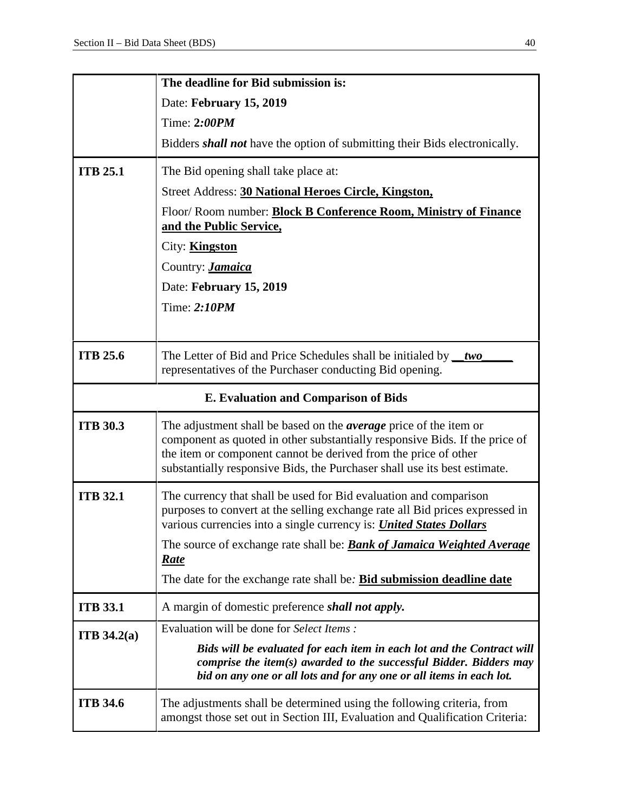|                 | The deadline for Bid submission is:                                                                                                                                                                                                                                                                     |
|-----------------|---------------------------------------------------------------------------------------------------------------------------------------------------------------------------------------------------------------------------------------------------------------------------------------------------------|
|                 | Date: February 15, 2019                                                                                                                                                                                                                                                                                 |
|                 | Time: 2:00PM                                                                                                                                                                                                                                                                                            |
|                 | Bidders <i>shall not</i> have the option of submitting their Bids electronically.                                                                                                                                                                                                                       |
| <b>ITB 25.1</b> | The Bid opening shall take place at:                                                                                                                                                                                                                                                                    |
|                 | Street Address: 30 National Heroes Circle, Kingston,                                                                                                                                                                                                                                                    |
|                 | Floor/Room number: <b>Block B Conference Room, Ministry of Finance</b><br>and the Public Service,                                                                                                                                                                                                       |
|                 | City: <b>Kingston</b>                                                                                                                                                                                                                                                                                   |
|                 | Country: <i>Jamaica</i>                                                                                                                                                                                                                                                                                 |
|                 | Date: February 15, 2019                                                                                                                                                                                                                                                                                 |
|                 | Time: 2:10PM                                                                                                                                                                                                                                                                                            |
|                 |                                                                                                                                                                                                                                                                                                         |
| <b>ITB 25.6</b> | The Letter of Bid and Price Schedules shall be initialed by <i>two</i><br>representatives of the Purchaser conducting Bid opening.                                                                                                                                                                      |
|                 | <b>E.</b> Evaluation and Comparison of Bids                                                                                                                                                                                                                                                             |
| <b>ITB 30.3</b> | The adjustment shall be based on the <i>average</i> price of the item or<br>component as quoted in other substantially responsive Bids. If the price of<br>the item or component cannot be derived from the price of other<br>substantially responsive Bids, the Purchaser shall use its best estimate. |
| <b>ITB 32.1</b> | The currency that shall be used for Bid evaluation and comparison<br>purposes to convert at the selling exchange rate all Bid prices expressed in<br>various currencies into a single currency is: <i>United States Dollars</i>                                                                         |
|                 | The source of exchange rate shall be: <b>Bank of Jamaica Weighted Average</b><br><u>Rate</u>                                                                                                                                                                                                            |
|                 | The date for the exchange rate shall be: <b>Bid submission deadline date</b>                                                                                                                                                                                                                            |
| <b>ITB 33.1</b> | A margin of domestic preference <i>shall not apply</i> .                                                                                                                                                                                                                                                |
| ITB $34.2(a)$   | Evaluation will be done for Select Items:                                                                                                                                                                                                                                                               |
|                 | Bids will be evaluated for each item in each lot and the Contract will<br>comprise the item(s) awarded to the successful Bidder. Bidders may<br>bid on any one or all lots and for any one or all items in each lot.                                                                                    |
| <b>ITB 34.6</b> | The adjustments shall be determined using the following criteria, from<br>amongst those set out in Section III, Evaluation and Qualification Criteria:                                                                                                                                                  |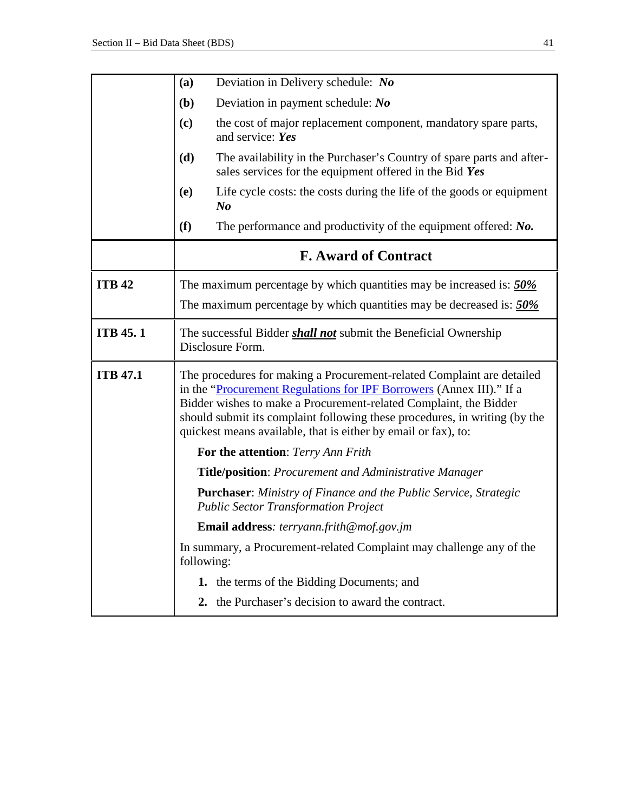|                 | Deviation in Delivery schedule: No<br>(a)                                                                                                                                                                                                                                                                                                                           |  |  |  |  |  |
|-----------------|---------------------------------------------------------------------------------------------------------------------------------------------------------------------------------------------------------------------------------------------------------------------------------------------------------------------------------------------------------------------|--|--|--|--|--|
|                 | Deviation in payment schedule: No<br>( <b>b</b> )                                                                                                                                                                                                                                                                                                                   |  |  |  |  |  |
|                 | the cost of major replacement component, mandatory spare parts,<br>(c)<br>and service: Yes                                                                                                                                                                                                                                                                          |  |  |  |  |  |
|                 | (d)<br>The availability in the Purchaser's Country of spare parts and after-<br>sales services for the equipment offered in the Bid Yes                                                                                                                                                                                                                             |  |  |  |  |  |
|                 | Life cycle costs: the costs during the life of the goods or equipment<br>(e)<br>N <sub>o</sub>                                                                                                                                                                                                                                                                      |  |  |  |  |  |
|                 | The performance and productivity of the equipment offered: No.<br>(f)                                                                                                                                                                                                                                                                                               |  |  |  |  |  |
|                 | <b>F. Award of Contract</b>                                                                                                                                                                                                                                                                                                                                         |  |  |  |  |  |
| <b>ITB 42</b>   | The maximum percentage by which quantities may be increased is: $50\%$                                                                                                                                                                                                                                                                                              |  |  |  |  |  |
|                 | The maximum percentage by which quantities may be decreased is: $50\%$                                                                                                                                                                                                                                                                                              |  |  |  |  |  |
| <b>ITB 45.1</b> | The successful Bidder <i>shall not</i> submit the Beneficial Ownership<br>Disclosure Form.                                                                                                                                                                                                                                                                          |  |  |  |  |  |
| <b>ITB 47.1</b> | The procedures for making a Procurement-related Complaint are detailed<br>in the "Procurement Regulations for IPF Borrowers (Annex III)." If a<br>Bidder wishes to make a Procurement-related Complaint, the Bidder<br>should submit its complaint following these procedures, in writing (by the<br>quickest means available, that is either by email or fax), to: |  |  |  |  |  |
|                 | For the attention: Terry Ann Frith                                                                                                                                                                                                                                                                                                                                  |  |  |  |  |  |
|                 | <b>Title/position:</b> Procurement and Administrative Manager                                                                                                                                                                                                                                                                                                       |  |  |  |  |  |
|                 | <b>Purchaser:</b> Ministry of Finance and the Public Service, Strategic<br><b>Public Sector Transformation Project</b>                                                                                                                                                                                                                                              |  |  |  |  |  |
|                 | Email address: terryann.frith@mof.gov.jm                                                                                                                                                                                                                                                                                                                            |  |  |  |  |  |
|                 |                                                                                                                                                                                                                                                                                                                                                                     |  |  |  |  |  |
|                 | In summary, a Procurement-related Complaint may challenge any of the<br>following:                                                                                                                                                                                                                                                                                  |  |  |  |  |  |
|                 | 1. the terms of the Bidding Documents; and                                                                                                                                                                                                                                                                                                                          |  |  |  |  |  |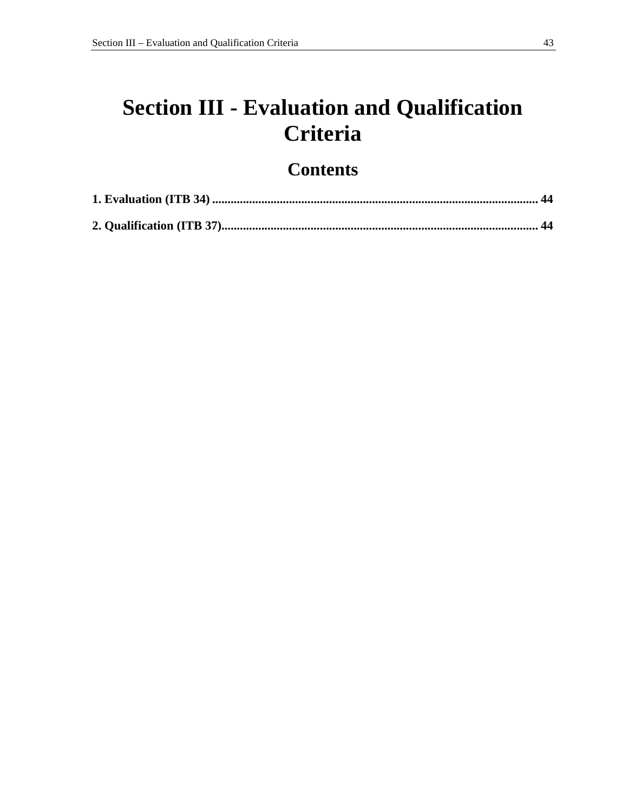# **Section III - Evaluation and Qualification Criteria**

# **Contents**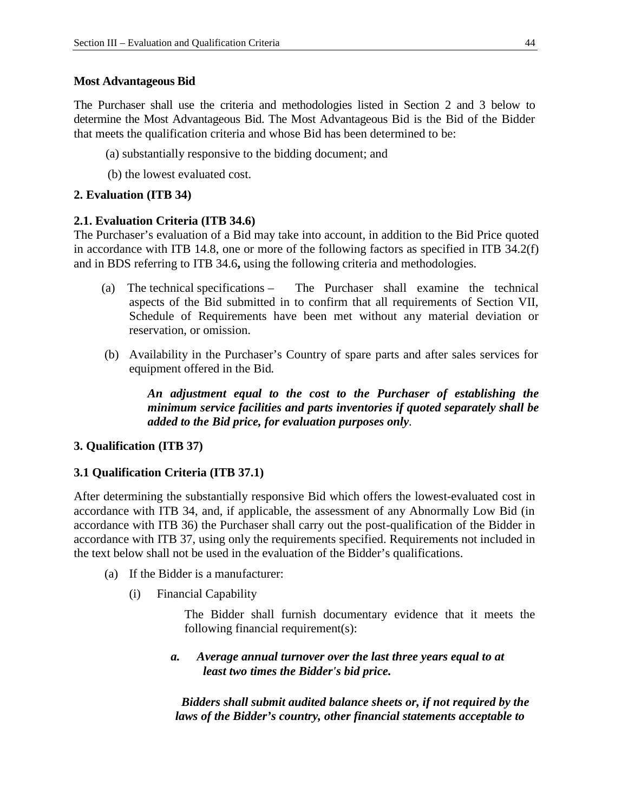### **Most Advantageous Bid**

The Purchaser shall use the criteria and methodologies listed in Section 2 and 3 below to determine the Most Advantageous Bid. The Most Advantageous Bid is the Bid of the Bidder that meets the qualification criteria and whose Bid has been determined to be:

- (a) substantially responsive to the bidding document; and
- (b) the lowest evaluated cost.

### **2. Evaluation (ITB 34)**

### **2.1. Evaluation Criteria (ITB 34.6)**

The Purchaser's evaluation of a Bid may take into account, in addition to the Bid Price quoted in accordance with ITB 14.8, one or more of the following factors as specified in ITB 34.2(f) and in BDS referring to ITB 34.6**,** using the following criteria and methodologies.

- (a) The technical specifications The Purchaser shall examine the technical aspects of the Bid submitted in to confirm that all requirements of Section VII, Schedule of Requirements have been met without any material deviation or reservation, or omission.
- (b) Availability in the Purchaser's Country of spare parts and after sales services for equipment offered in the Bid*.*

*An adjustment equal to the cost to the Purchaser of establishing the minimum service facilities and parts inventories if quoted separately shall be added to the Bid price, for evaluation purposes only.*

### **3. Qualification (ITB 37)**

### **3.1 Qualification Criteria (ITB 37.1)**

After determining the substantially responsive Bid which offers the lowest-evaluated cost in accordance with ITB 34, and, if applicable, the assessment of any Abnormally Low Bid (in accordance with ITB 36) the Purchaser shall carry out the post-qualification of the Bidder in accordance with ITB 37, using only the requirements specified. Requirements not included in the text below shall not be used in the evaluation of the Bidder's qualifications.

- (a) If the Bidder is a manufacturer:
	- (i) Financial Capability

The Bidder shall furnish documentary evidence that it meets the following financial requirement(s):

*a. Average annual turnover over the last three years equal to at least two times the Bidder's bid price.*

*Bidders shall submit audited balance sheets or, if not required by the laws of the Bidder's country, other financial statements acceptable to*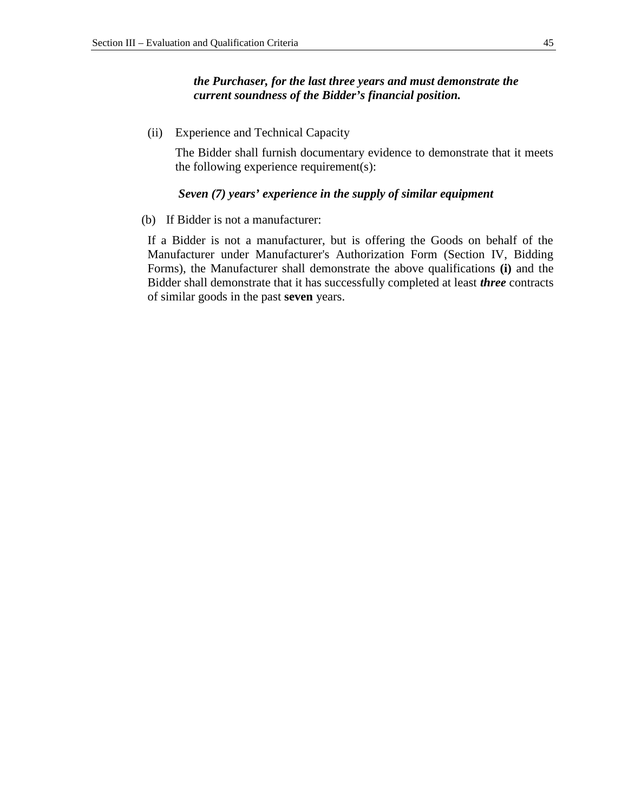### *the Purchaser, for the last three years and must demonstrate the current soundness of the Bidder's financial position.*

(ii) Experience and Technical Capacity

The Bidder shall furnish documentary evidence to demonstrate that it meets the following experience requirement(s):

### *Seven (7) years' experience in the supply of similar equipment*

(b) If Bidder is not a manufacturer:

If a Bidder is not a manufacturer, but is offering the Goods on behalf of the Manufacturer under Manufacturer's Authorization Form (Section IV, Bidding Forms), the Manufacturer shall demonstrate the above qualifications **(i)** and the Bidder shall demonstrate that it has successfully completed at least *three* contracts of similar goods in the past **seven** years.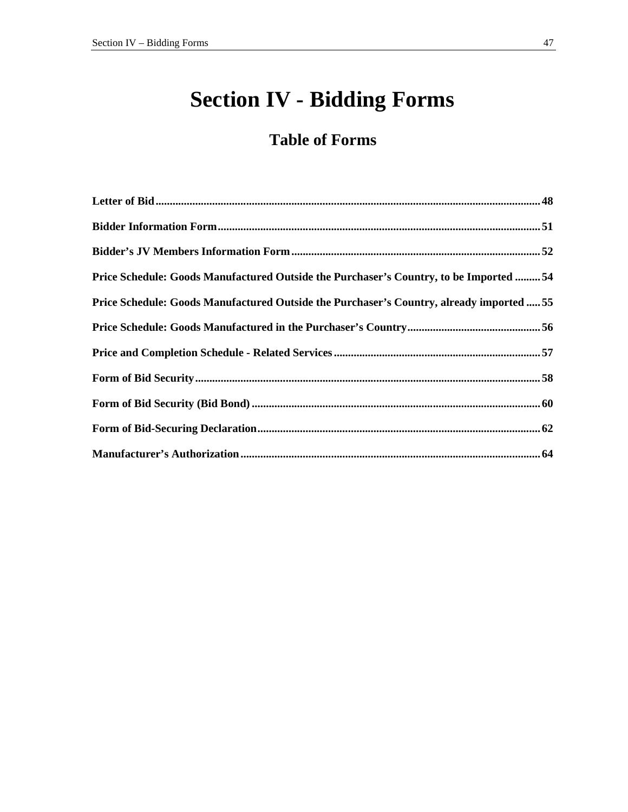# **Section IV - Bidding Forms**

# **Table of Forms**

| Price Schedule: Goods Manufactured Outside the Purchaser's Country, to be Imported  54   |  |
|------------------------------------------------------------------------------------------|--|
| Price Schedule: Goods Manufactured Outside the Purchaser's Country, already imported  55 |  |
|                                                                                          |  |
|                                                                                          |  |
|                                                                                          |  |
|                                                                                          |  |
|                                                                                          |  |
|                                                                                          |  |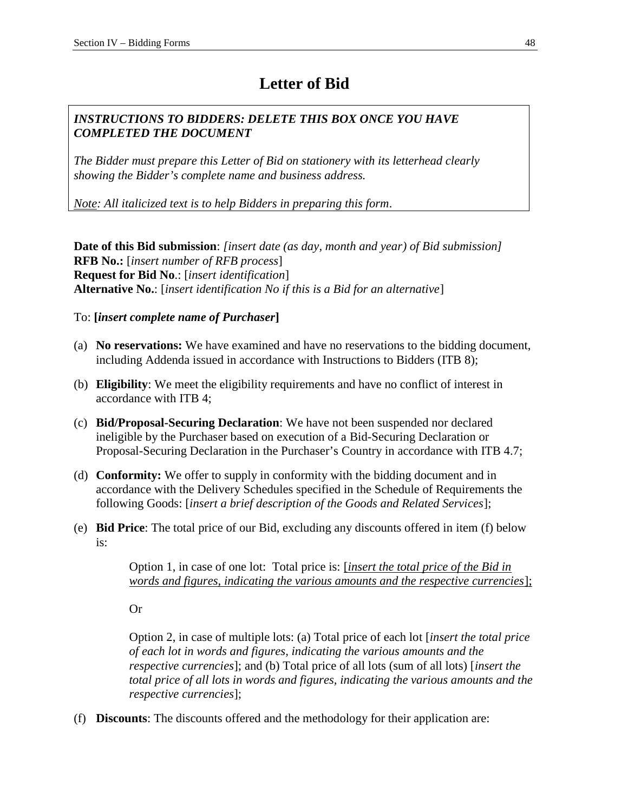# **Letter of Bid**

## *INSTRUCTIONS TO BIDDERS: DELETE THIS BOX ONCE YOU HAVE COMPLETED THE DOCUMENT*

*The Bidder must prepare this Letter of Bid on stationery with its letterhead clearly showing the Bidder's complete name and business address.*

*Note: All italicized text is to help Bidders in preparing this form.*

**Date of this Bid submission**: *[insert date (as day, month and year) of Bid submission]* **RFB No.:** [*insert number of RFB process*] **Request for Bid No**.: [*insert identification*] **Alternative No.**: [*insert identification No if this is a Bid for an alternative*]

## To: **[***insert complete name of Purchaser***]**

- (a) **No reservations:** We have examined and have no reservations to the bidding document, including Addenda issued in accordance with Instructions to Bidders (ITB 8);
- (b) **Eligibility**: We meet the eligibility requirements and have no conflict of interest in accordance with ITB 4;
- (c) **Bid/Proposal-Securing Declaration**: We have not been suspended nor declared ineligible by the Purchaser based on execution of a Bid-Securing Declaration or Proposal-Securing Declaration in the Purchaser's Country in accordance with ITB 4.7;
- (d) **Conformity:** We offer to supply in conformity with the bidding document and in accordance with the Delivery Schedules specified in the Schedule of Requirements the following Goods: [*insert a brief description of the Goods and Related Services*];
- (e) **Bid Price**: The total price of our Bid, excluding any discounts offered in item (f) below is:

Option 1, in case of one lot: Total price is: [*insert the total price of the Bid in words and figures, indicating the various amounts and the respective currencies*];

Or

Option 2, in case of multiple lots: (a) Total price of each lot [*insert the total price of each lot in words and figures, indicating the various amounts and the respective currencies*]; and (b) Total price of all lots (sum of all lots) [*insert the total price of all lots in words and figures, indicating the various amounts and the respective currencies*];

(f) **Discounts**: The discounts offered and the methodology for their application are: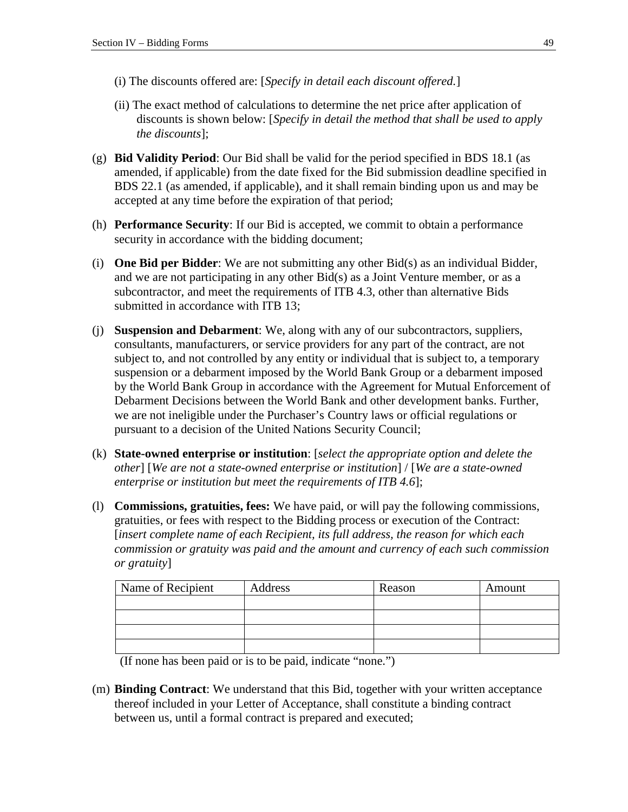- (i) The discounts offered are: [*Specify in detail each discount offered.*]
- (ii) The exact method of calculations to determine the net price after application of discounts is shown below: [*Specify in detail the method that shall be used to apply the discounts*];
- (g) **Bid Validity Period**: Our Bid shall be valid for the period specified in BDS 18.1 (as amended, if applicable) from the date fixed for the Bid submission deadline specified in BDS 22.1 (as amended, if applicable), and it shall remain binding upon us and may be accepted at any time before the expiration of that period;
- (h) **Performance Security**: If our Bid is accepted, we commit to obtain a performance security in accordance with the bidding document;
- (i) **One Bid per Bidder**: We are not submitting any other Bid(s) as an individual Bidder, and we are not participating in any other Bid(s) as a Joint Venture member, or as a subcontractor, and meet the requirements of ITB 4.3, other than alternative Bids submitted in accordance with ITB 13;
- (j) **Suspension and Debarment**: We, along with any of our subcontractors, suppliers, consultants, manufacturers, or service providers for any part of the contract, are not subject to, and not controlled by any entity or individual that is subject to, a temporary suspension or a debarment imposed by the World Bank Group or a debarment imposed by the World Bank Group in accordance with the Agreement for Mutual Enforcement of Debarment Decisions between the World Bank and other development banks. Further, we are not ineligible under the Purchaser's Country laws or official regulations or pursuant to a decision of the United Nations Security Council;
- (k) **State-owned enterprise or institution**: [*select the appropriate option and delete the other*] [*We are not a state-owned enterprise or institution*] / [*We are a state-owned enterprise or institution but meet the requirements of ITB 4.6*];
- (l) **Commissions, gratuities, fees:** We have paid, or will pay the following commissions, gratuities, or fees with respect to the Bidding process or execution of the Contract: [*insert complete name of each Recipient, its full address, the reason for which each commission or gratuity was paid and the amount and currency of each such commission or gratuity*]

| <b>Name of Recipient</b> | Address | Reason | Amount |
|--------------------------|---------|--------|--------|
|                          |         |        |        |
|                          |         |        |        |
|                          |         |        |        |
|                          |         |        |        |

(If none has been paid or is to be paid, indicate "none.")

(m) **Binding Contract**: We understand that this Bid, together with your written acceptance thereof included in your Letter of Acceptance, shall constitute a binding contract between us, until a formal contract is prepared and executed;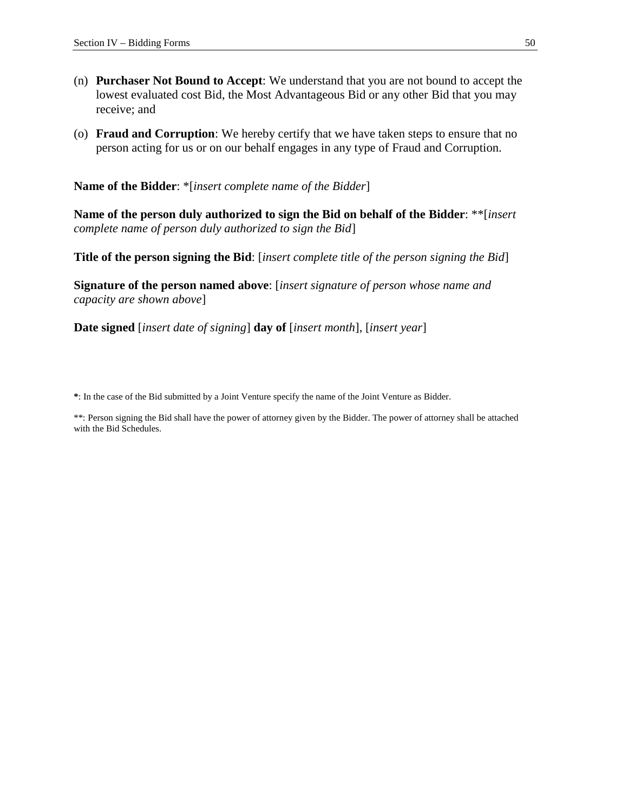- (n) **Purchaser Not Bound to Accept**: We understand that you are not bound to accept the lowest evaluated cost Bid, the Most Advantageous Bid or any other Bid that you may receive; and
- (o) **Fraud and Corruption**: We hereby certify that we have taken steps to ensure that no person acting for us or on our behalf engages in any type of Fraud and Corruption.

**Name of the Bidder**: \*[*insert complete name of the Bidder*]

**Name of the person duly authorized to sign the Bid on behalf of the Bidder**: \*\*[*insert complete name of person duly authorized to sign the Bid*]

**Title of the person signing the Bid**: [*insert complete title of the person signing the Bid*]

**Signature of the person named above**: [*insert signature of person whose name and capacity are shown above*]

**Date signed** [*insert date of signing*] **day of** [*insert month*], [*insert year*]

\*\*: Person signing the Bid shall have the power of attorney given by the Bidder. The power of attorney shall be attached with the Bid Schedules.

**<sup>\*</sup>**: In the case of the Bid submitted by a Joint Venture specify the name of the Joint Venture as Bidder.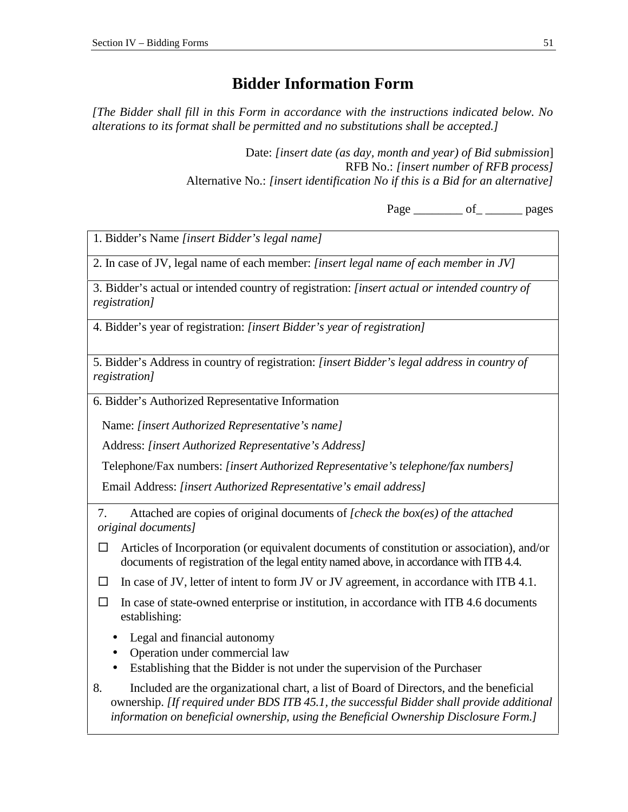# **Bidder Information Form**

*[The Bidder shall fill in this Form in accordance with the instructions indicated below. No alterations to its format shall be permitted and no substitutions shall be accepted.]*

> Date: *[insert date (as day, month and year) of Bid submission*] RFB No.: *[insert number of RFB process]* Alternative No.: *[insert identification No if this is a Bid for an alternative]*

> > Page of pages

|        | 1. Bidder's Name [insert Bidder's legal name]                                                                                                                                                                                                                                  |
|--------|--------------------------------------------------------------------------------------------------------------------------------------------------------------------------------------------------------------------------------------------------------------------------------|
|        | 2. In case of JV, legal name of each member: [insert legal name of each member in JV]                                                                                                                                                                                          |
|        | 3. Bidder's actual or intended country of registration: [insert actual or intended country of<br><i>registration</i> ]                                                                                                                                                         |
|        | 4. Bidder's year of registration: [insert Bidder's year of registration]                                                                                                                                                                                                       |
|        | 5. Bidder's Address in country of registration: [insert Bidder's legal address in country of<br><i>registration</i> ]                                                                                                                                                          |
|        | 6. Bidder's Authorized Representative Information                                                                                                                                                                                                                              |
|        | Name: [insert Authorized Representative's name]                                                                                                                                                                                                                                |
|        | Address: [insert Authorized Representative's Address]                                                                                                                                                                                                                          |
|        | Telephone/Fax numbers: [insert Authorized Representative's telephone/fax numbers]                                                                                                                                                                                              |
|        | Email Address: [insert Authorized Representative's email address]                                                                                                                                                                                                              |
| 7.     | Attached are copies of original documents of [check the box(es) of the attached<br><i>original documents]</i>                                                                                                                                                                  |
| ப      | Articles of Incorporation (or equivalent documents of constitution or association), and/or<br>documents of registration of the legal entity named above, in accordance with ITB 4.4.                                                                                           |
| □      | In case of JV, letter of intent to form JV or JV agreement, in accordance with ITB 4.1.                                                                                                                                                                                        |
| $\Box$ | In case of state-owned enterprise or institution, in accordance with ITB 4.6 documents<br>establishing:                                                                                                                                                                        |
|        | Legal and financial autonomy<br>Operation under commercial law<br>Establishing that the Bidder is not under the supervision of the Purchaser<br>$\bullet$                                                                                                                      |
| 8.     | Included are the organizational chart, a list of Board of Directors, and the beneficial<br>ownership. [If required under BDS ITB 45.1, the successful Bidder shall provide additional<br>information on beneficial ownership, using the Beneficial Ownership Disclosure Form.] |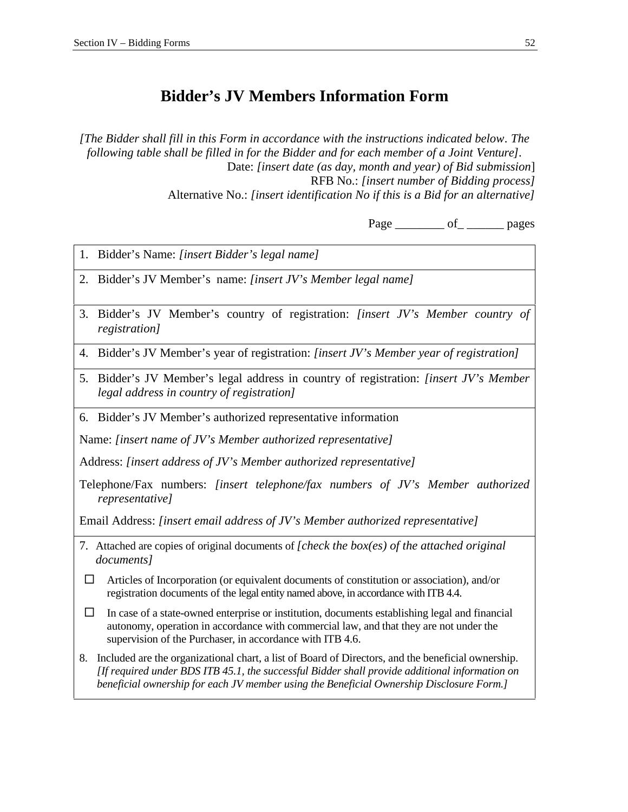# **Bidder's JV Members Information Form**

*[The Bidder shall fill in this Form in accordance with the instructions indicated below. The following table shall be filled in for the Bidder and for each member of a Joint Venture].* Date: *[insert date (as day, month and year) of Bid submission*] RFB No.: *[insert number of Bidding process]* Alternative No.: *[insert identification No if this is a Bid for an alternative]*

Page \_\_\_\_\_\_\_\_\_\_ of \_\_\_\_\_\_\_\_\_\_ pages

|  | 1. Bidder's Name: [insert Bidder's legal name] |  |  |  |
|--|------------------------------------------------|--|--|--|
|--|------------------------------------------------|--|--|--|

2. Bidder's JV Member's name: *[insert JV's Member legal name]*

- 3. Bidder's JV Member's country of registration: *[insert JV's Member country of registration]*
- 4. Bidder's JV Member's year of registration: *[insert JV's Member year of registration]*
- 5. Bidder's JV Member's legal address in country of registration: *[insert JV's Member legal address in country of registration]*
- 6. Bidder's JV Member's authorized representative information

Name: *[insert name of JV's Member authorized representative]*

Address: *[insert address of JV's Member authorized representative]*

Telephone/Fax numbers: *[insert telephone/fax numbers of JV's Member authorized representative]*

Email Address: *[insert email address of JV's Member authorized representative]*

- 7. Attached are copies of original documents of*[check the box(es) of the attached original documents]*
- $\Box$  Articles of Incorporation (or equivalent documents of constitution or association), and/or registration documents of the legal entity named above, in accordance with ITB 4.4.
- $\Box$  In case of a state-owned enterprise or institution, documents establishing legal and financial autonomy, operation in accordance with commercial law, and that they are not under the supervision of the Purchaser, in accordance with ITB 4.6.
- 8. Included are the organizational chart, a list of Board of Directors, and the beneficial ownership. *[If required under BDS ITB 45.1, the successful Bidder shall provide additional information on beneficial ownership for each JV member using the Beneficial Ownership Disclosure Form.]*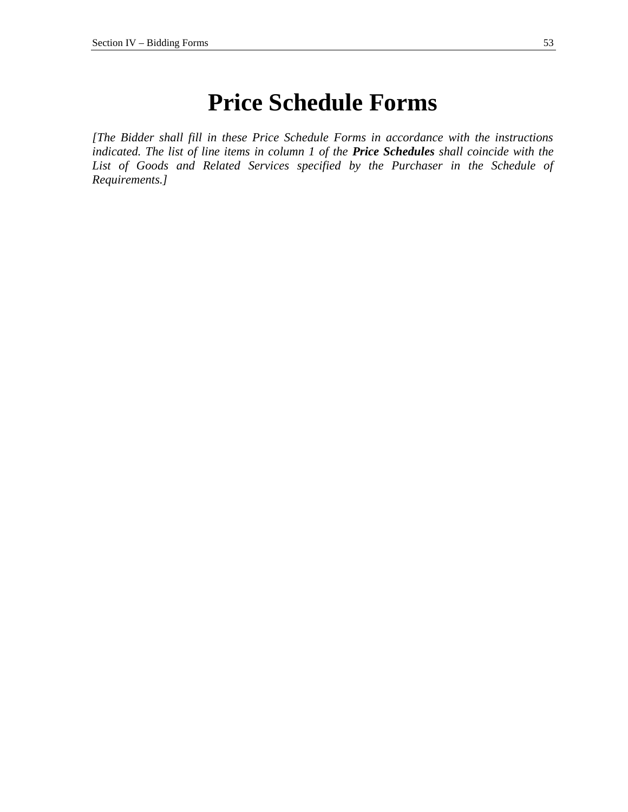# **Price Schedule Forms**

*[The Bidder shall fill in these Price Schedule Forms in accordance with the instructions indicated. The list of line items in column 1 of the Price Schedules shall coincide with the List of Goods and Related Services specified by the Purchaser in the Schedule of Requirements.]*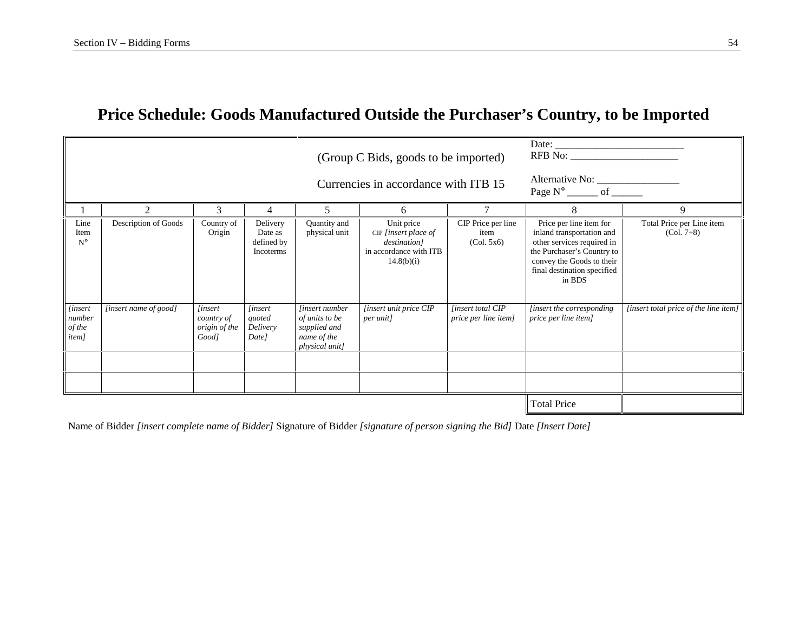|                                                     |                       |                                                               |                                                |                                                                                          | (Group C Bids, goods to be imported)<br>Currencies in accordance with ITB 15                 |                                                  | Page $N^{\circ}$ ________ of _________                                                                                                                                                 |                                           |
|-----------------------------------------------------|-----------------------|---------------------------------------------------------------|------------------------------------------------|------------------------------------------------------------------------------------------|----------------------------------------------------------------------------------------------|--------------------------------------------------|----------------------------------------------------------------------------------------------------------------------------------------------------------------------------------------|-------------------------------------------|
|                                                     | $\mathfrak{D}$        | 3                                                             | 4                                              | 5                                                                                        | 6                                                                                            |                                                  | 8                                                                                                                                                                                      | 9                                         |
| Line<br>Item<br>$\mathrm{N}^\circ$                  | Description of Goods  | Country of<br>Origin                                          | Delivery<br>Date as<br>defined by<br>Incoterms | Quantity and<br>physical unit                                                            | Unit price<br>$CIP$ [insert place of<br>destination]<br>in accordance with ITB<br>14.8(b)(i) | CIP Price per line<br>item<br>(Col. 5x6)         | Price per line item for<br>inland transportation and<br>other services required in<br>the Purchaser's Country to<br>convey the Goods to their<br>final destination specified<br>in BDS | Total Price per Line item<br>$(Col. 7+8)$ |
| <i>linsert</i><br>number<br>of the<br><i>item</i> ] | [insert name of good] | <i>linsert</i><br>country of<br><i>origin of the</i><br>Goodl | <i>linsert</i><br>quoted<br>Delivery<br>Date]  | <i>linsert number</i><br>of units to be<br>supplied and<br>name of the<br>physical unit] | [insert unit price CIP<br>per unit]                                                          | <i>linsert total CIP</i><br>price per line item] | [insert the corresponding<br>price per line item]                                                                                                                                      | [insert total price of the line item]     |
|                                                     |                       |                                                               |                                                |                                                                                          |                                                                                              |                                                  |                                                                                                                                                                                        |                                           |
|                                                     |                       |                                                               |                                                |                                                                                          |                                                                                              |                                                  | <b>Total Price</b>                                                                                                                                                                     |                                           |

# **Price Schedule: Goods Manufactured Outside the Purchaser's Country, to be Imported**

Name of Bidder *[insert complete name of Bidder]* Signature of Bidder *[signature of person signing the Bid]* Date *[Insert Date]*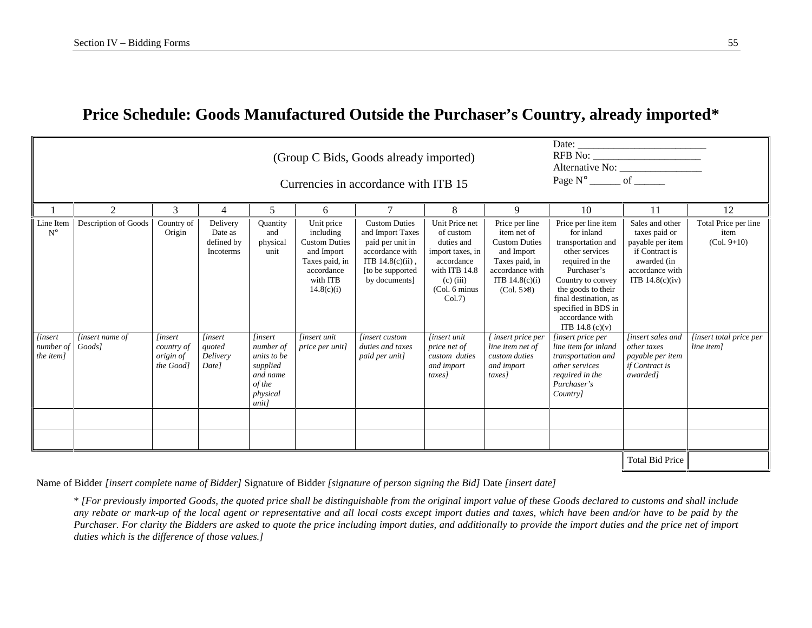### (Group C Bids, Goods already imported) Currencies in accordance with ITB 15 Date: RFB No: Alternative No: \_\_\_\_\_\_\_\_\_\_\_\_\_\_\_\_ Page  $N^{\circ}$  of \_\_\_\_\_\_\_\_  $1 \quad 2 \quad 3 \quad 4 \quad 5 \quad 6 \quad 7 \quad 8 \quad 9 \quad 10 \quad 11 \quad 12 \quad 1$ Line Item Description of Goods Country of  $\begin{array}{c|c} \n\text{D}}\n\end{array}$  Country of  $\begin{array}{c|c} \n\text{D}}\n\end{array}$ Origin Delivery Date as defined by Incoterms **Quantity** and physical unit Unit price including Custom Duties and Import Taxes paid, in accordance with ITB  $14.8(c)(i)$ Custom Duties and Import Taxes paid per unit in accordance with **ITB**  $14.8(c)(ii)$ , [to be supported by documents] Unit Price net of custom duties and import taxes, in accordance with ITB 14.8  $(c)$  (iii) (Col. 6 minus Col.7) Price per line item net of Custom Duties and Import Taxes paid, in accordance with ITB 14.8(c)(i)  $(Col. 5×8)$ Price per line item for inland transportation and other services required in the Purchaser's Country to convey the goods to their final destination, as specified in BDS in accordance with ITB 14.8 (c)(v) Sales and other taxes paid or payable per item if Contract is awarded (in accordance with ITB 14.8(c)(iv) Total Price per line item (Col. 9+10) *[insert number of the item] [insert name of Goods] [insert country of origin of the Good] [insert quoted Delivery Date] [insert number of units to be supplied and name of the physical unit] [insert unit price per unit] [insert custom duties and taxes paid per unit] [insert unit price net of custom duties and import taxes] [ insert price per line item net of custom duties and import taxes] [insert price per line item for inland transportation and other services required in the Purchaser's Country] [insert sales and other taxes payable per item if Contract is awarded] [insert total price per line item]* Total Bid Price

## **Price Schedule: Goods Manufactured Outside the Purchaser's Country, already imported\***

Name of Bidder *[insert complete name of Bidder]* Signature of Bidder *[signature of person signing the Bid]* Date *[insert date]*

\* *[For previously imported Goods, the quoted price shall be distinguishable from the original import value of these Goods declared to customs and shall include any rebate or mark-up of the local agent or representative and all local costs except import duties and taxes, which have been and/or have to be paid by the Purchaser. For clarity the Bidders are asked to quote the price including import duties, and additionally to provide the import duties and the price net of import duties which is the difference of those values.]*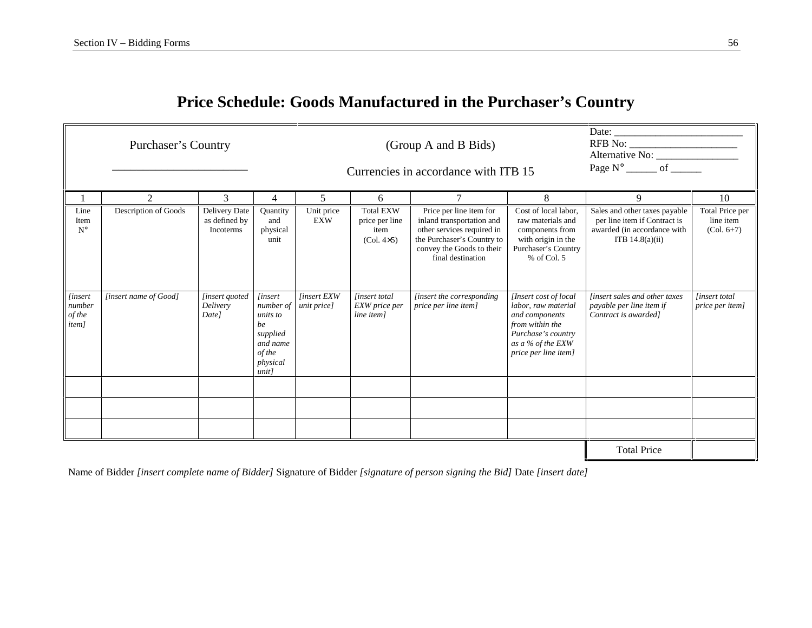|                                             | Purchaser's Country   |                                             |                                                                                                      |                                                 |                                                                       | (Group A and B Bids)<br>Currencies in accordance with ITB 15                                                                                                       |                                                                                                                                                      | Date:<br>Page $N^{\circ}$ ________ of ________                                                                    |                                              |
|---------------------------------------------|-----------------------|---------------------------------------------|------------------------------------------------------------------------------------------------------|-------------------------------------------------|-----------------------------------------------------------------------|--------------------------------------------------------------------------------------------------------------------------------------------------------------------|------------------------------------------------------------------------------------------------------------------------------------------------------|-------------------------------------------------------------------------------------------------------------------|----------------------------------------------|
|                                             | 2                     | 3                                           | 4                                                                                                    | 5                                               | 6                                                                     |                                                                                                                                                                    | 8                                                                                                                                                    | 9                                                                                                                 | 10                                           |
| Line<br>Item<br>$N^{\circ}$                 | Description of Goods  | Delivery Date<br>as defined by<br>Incoterms | Quantity<br>and<br>physical<br>unit                                                                  | Unit price<br><b>EXW</b>                        | <b>Total EXW</b><br>price per line<br>item<br>(Col. 4 <sub>x5</sub> ) | Price per line item for<br>inland transportation and<br>other services required in<br>the Purchaser's Country to<br>convey the Goods to their<br>final destination | Cost of local labor,<br>raw materials and<br>components from<br>with origin in the<br>Purchaser's Country<br>% of Col. 5                             | Sales and other taxes payable<br>per line item if Contract is<br>awarded (in accordance with<br>ITB $14.8(a)(ii)$ | Total Price per<br>line item<br>$(Col. 6+7)$ |
| <i>linsert</i><br>number<br>of the<br>item] | [insert name of Good] | <i>linsert quoted</i><br>Delivery<br>Date]  | <i>linsert</i><br>number of<br>units to<br>be<br>supplied<br>and name<br>of the<br>physical<br>unit] | <b><i><u>Iinsert EXW</u></i></b><br>unit price] | <i>linsert total</i><br>EXW price per<br>line item]                   | [insert the corresponding<br>price per line item]                                                                                                                  | [Insert cost of local<br>labor, raw material<br>and components<br>from within the<br>Purchase's country<br>as a % of the EXW<br>price per line item] | <i>linsert sales and other taxes</i><br>payable per line item if<br>Contract is awarded]                          | <i>linsert total</i><br>price per item]      |
|                                             |                       |                                             |                                                                                                      |                                                 |                                                                       |                                                                                                                                                                    |                                                                                                                                                      |                                                                                                                   |                                              |
|                                             |                       |                                             |                                                                                                      |                                                 |                                                                       |                                                                                                                                                                    |                                                                                                                                                      | <b>Total Price</b>                                                                                                |                                              |

# **Price Schedule: Goods Manufactured in the Purchaser's Country**

Name of Bidder *[insert complete name of Bidder]* Signature of Bidder *[signature of person signing the Bid]* Date *[insert date]*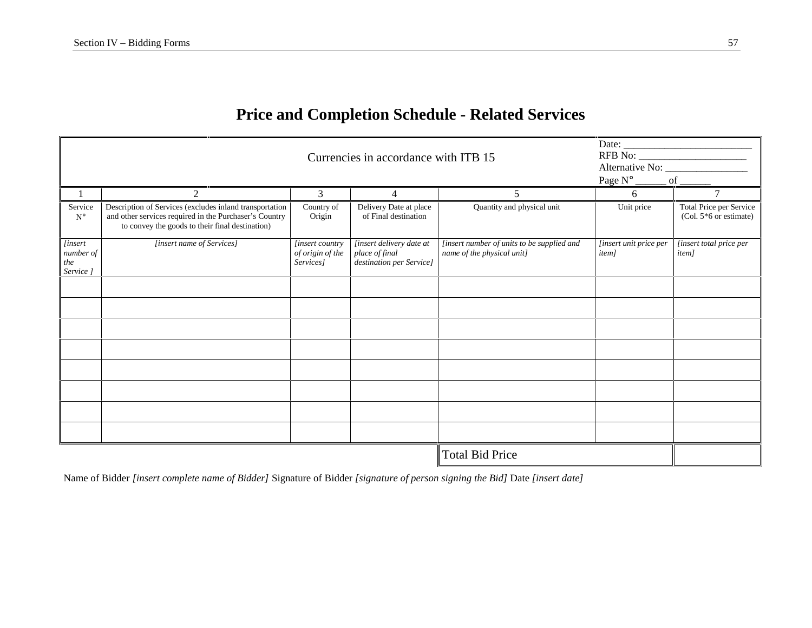# **Price and Completion Schedule - Related Services**

|                                                   |                                                                                                                                                                      |                                                  | Currencies in accordance with ITB 15<br>Page $N^{\circ}$ _______ of ______ |                                                                          |                                         |                                                     |
|---------------------------------------------------|----------------------------------------------------------------------------------------------------------------------------------------------------------------------|--------------------------------------------------|----------------------------------------------------------------------------|--------------------------------------------------------------------------|-----------------------------------------|-----------------------------------------------------|
|                                                   | 2                                                                                                                                                                    | 3                                                | 4                                                                          | 5                                                                        | 6                                       |                                                     |
| Service<br>$N^{\circ}$                            | Description of Services (excludes inland transportation<br>and other services required in the Purchaser's Country<br>to convey the goods to their final destination) | Country of<br>Origin                             | Delivery Date at place<br>of Final destination                             | Quantity and physical unit                                               | Unit price                              | Total Price per Service<br>$(Col. 5*6$ or estimate) |
| <i>linsert</i><br>number of<br>$the$<br>Service ] | [insert name of Services]                                                                                                                                            | [insert country<br>of origin of the<br>Services] | [insert delivery date at<br>place of final<br>destination per Service]     | [insert number of units to be supplied and<br>name of the physical unit] | [insert unit price per<br><i>item</i> ] | [insert total price per<br><i>item</i> ]            |
|                                                   |                                                                                                                                                                      |                                                  |                                                                            |                                                                          |                                         |                                                     |
|                                                   |                                                                                                                                                                      |                                                  |                                                                            |                                                                          |                                         |                                                     |
|                                                   |                                                                                                                                                                      |                                                  |                                                                            |                                                                          |                                         |                                                     |
|                                                   |                                                                                                                                                                      |                                                  |                                                                            |                                                                          |                                         |                                                     |
|                                                   |                                                                                                                                                                      |                                                  |                                                                            |                                                                          |                                         |                                                     |
|                                                   |                                                                                                                                                                      |                                                  |                                                                            |                                                                          |                                         |                                                     |
|                                                   |                                                                                                                                                                      |                                                  |                                                                            |                                                                          |                                         |                                                     |
|                                                   |                                                                                                                                                                      |                                                  |                                                                            |                                                                          |                                         |                                                     |
|                                                   |                                                                                                                                                                      |                                                  | <b>Total Bid Price</b>                                                     |                                                                          |                                         |                                                     |

Name of Bidder *[insert complete name of Bidder]* Signature of Bidder *[signature of person signing the Bid]* Date *[insert date]*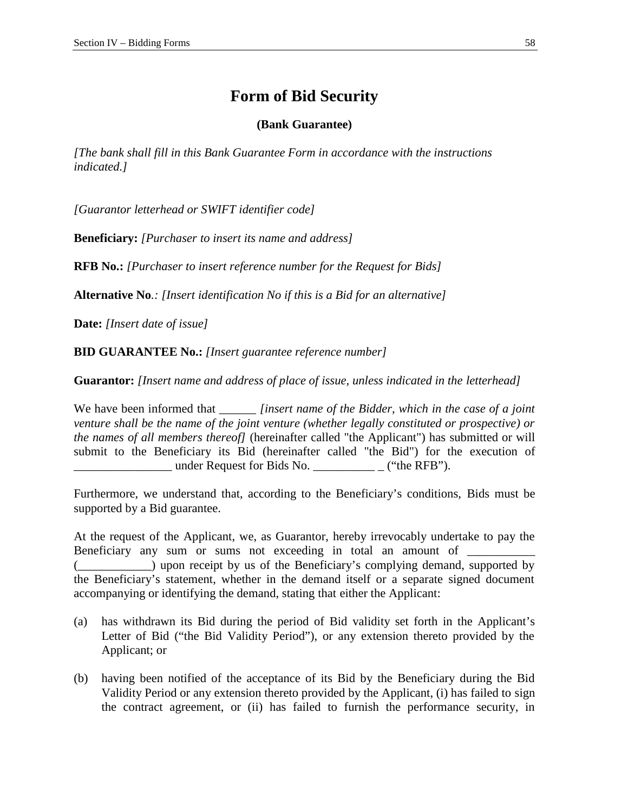# **Form of Bid Security**

### **(Bank Guarantee)**

*[The bank shall fill in this Bank Guarantee Form in accordance with the instructions indicated.]*

*[Guarantor letterhead or SWIFT identifier code]*

**Beneficiary:** *[Purchaser to insert its name and address]*

**RFB No.:** *[Purchaser to insert reference number for the Request for Bids]*

**Alternative No***.: [Insert identification No if this is a Bid for an alternative]*

**Date:** *[Insert date of issue]*

**BID GUARANTEE No.:** *[Insert guarantee reference number]*

**Guarantor:** *[Insert name and address of place of issue, unless indicated in the letterhead]*

We have been informed that <u>eight *finsert name of the Bidder*</u>, which in the case of a joint *venture shall be the name of the joint venture (whether legally constituted or prospective) or the names of all members thereof]* (hereinafter called "the Applicant") has submitted or will submit to the Beneficiary its Bid (hereinafter called "the Bid") for the execution of  $\_$  under Request for Bids No.  $\_$   $\_$  ("the RFB").

Furthermore, we understand that, according to the Beneficiary's conditions, Bids must be supported by a Bid guarantee.

At the request of the Applicant, we, as Guarantor, hereby irrevocably undertake to pay the Beneficiary any sum or sums not exceeding in total an amount of \_ (1) upon receipt by us of the Beneficiary's complying demand, supported by the Beneficiary's statement, whether in the demand itself or a separate signed document accompanying or identifying the demand, stating that either the Applicant:

- (a) has withdrawn its Bid during the period of Bid validity set forth in the Applicant's Letter of Bid ("the Bid Validity Period"), or any extension thereto provided by the Applicant; or
- (b) having been notified of the acceptance of its Bid by the Beneficiary during the Bid Validity Period or any extension thereto provided by the Applicant, (i) has failed to sign the contract agreement, or (ii) has failed to furnish the performance security, in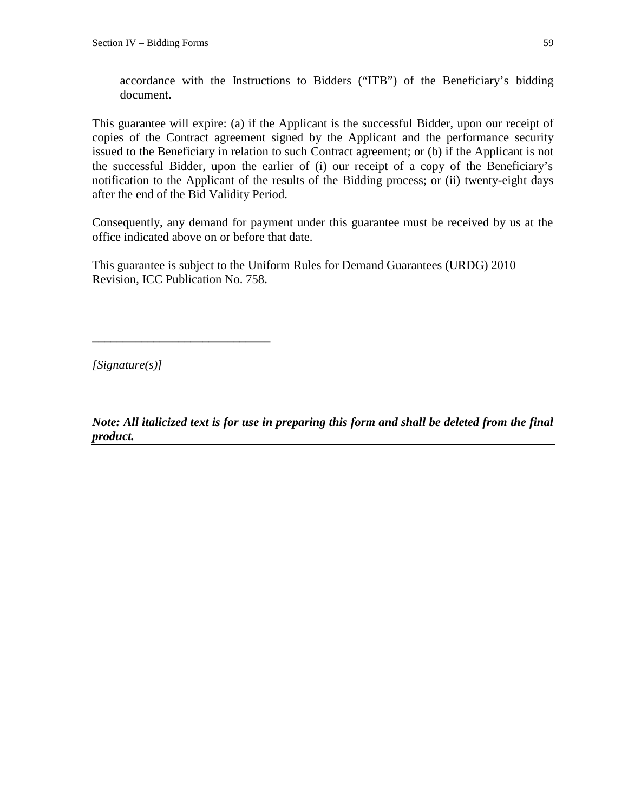accordance with the Instructions to Bidders ("ITB") of the Beneficiary's bidding document.

This guarantee will expire: (a) if the Applicant is the successful Bidder, upon our receipt of copies of the Contract agreement signed by the Applicant and the performance security issued to the Beneficiary in relation to such Contract agreement; or (b) if the Applicant is not the successful Bidder, upon the earlier of (i) our receipt of a copy of the Beneficiary's notification to the Applicant of the results of the Bidding process; or (ii) twenty-eight days after the end of the Bid Validity Period.

Consequently, any demand for payment under this guarantee must be received by us at the office indicated above on or before that date.

This guarantee is subject to the Uniform Rules for Demand Guarantees (URDG) 2010 Revision, ICC Publication No. 758.

*[Signature(s)]*

**\_\_\_\_\_\_\_\_\_\_\_\_\_\_\_\_\_\_\_\_\_\_\_\_\_\_\_\_\_**

*Note: All italicized text is for use in preparing this form and shall be deleted from the final product.*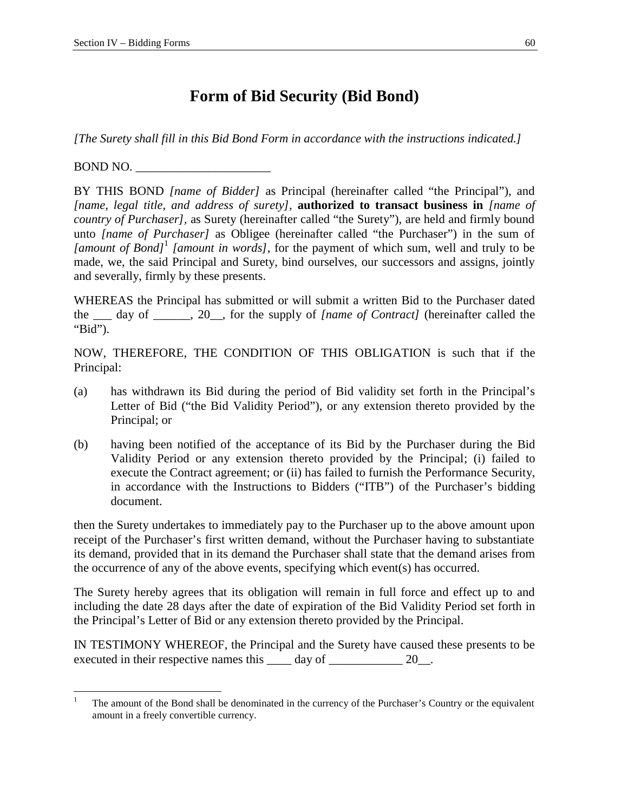# **Form of Bid Security (Bid Bond)**

*[The Surety shall fill in this Bid Bond Form in accordance with the instructions indicated.]*

BOND NO. \_\_\_\_\_\_\_\_\_\_\_\_\_\_\_\_\_\_\_\_\_\_

BY THIS BOND *[name of Bidder]* as Principal (hereinafter called "the Principal"), and *[name, legal title, and address of surety],* **authorized to transact business in** *[name of country of Purchaser],* as Surety (hereinafter called "the Surety"), are held and firmly bound unto *[name of Purchaser]* as Obligee (hereinafter called "the Purchaser") in the sum of *[amount of Bond]*<sup>1</sup> *[amount in words]*, for the payment of which sum, well and truly to be made, we, the said Principal and Surety, bind ourselves, our successors and assigns, jointly and severally, firmly by these presents.

WHEREAS the Principal has submitted or will submit a written Bid to the Purchaser dated the day of \_\_\_\_, 20<sub>\_\_</sub>, for the supply of [name of Contract] (hereinafter called the "Bid").

NOW, THEREFORE, THE CONDITION OF THIS OBLIGATION is such that if the Principal:

- (a) has withdrawn its Bid during the period of Bid validity set forth in the Principal's Letter of Bid ("the Bid Validity Period"), or any extension thereto provided by the Principal; or
- (b) having been notified of the acceptance of its Bid by the Purchaser during the Bid Validity Period or any extension thereto provided by the Principal; (i) failed to execute the Contract agreement; or (ii) has failed to furnish the Performance Security, in accordance with the Instructions to Bidders ("ITB") of the Purchaser's bidding document.

then the Surety undertakes to immediately pay to the Purchaser up to the above amount upon receipt of the Purchaser's first written demand, without the Purchaser having to substantiate its demand, provided that in its demand the Purchaser shall state that the demand arises from the occurrence of any of the above events, specifying which event(s) has occurred.

The Surety hereby agrees that its obligation will remain in full force and effect up to and including the date 28 days after the date of expiration of the Bid Validity Period set forth in the Principal's Letter of Bid or any extension thereto provided by the Principal.

IN TESTIMONY WHEREOF, the Principal and the Surety have caused these presents to be executed in their respective names this \_\_\_\_ day of \_\_\_\_\_\_\_\_\_\_\_\_\_ 20\_\_.

<sup>1</sup> The amount of the Bond shall be denominated in the currency of the Purchaser's Country or the equivalent amount in a freely convertible currency.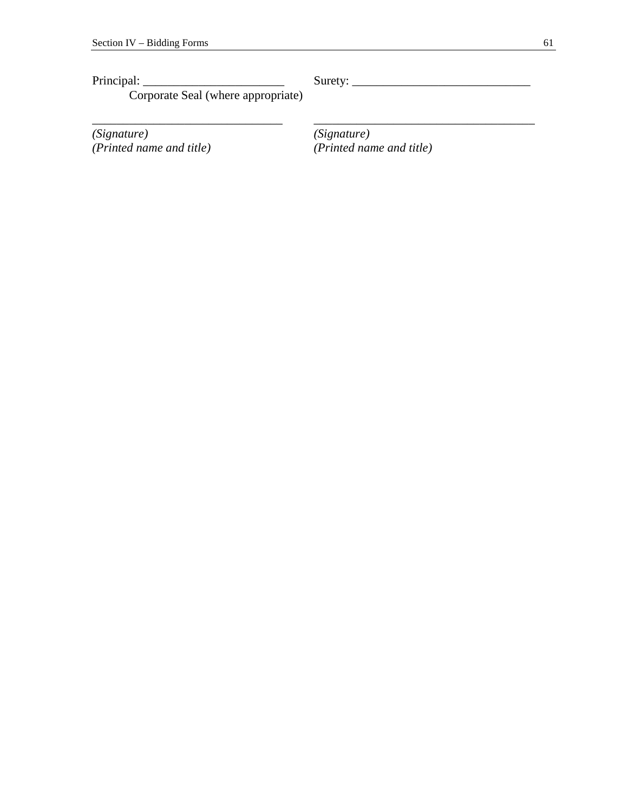Principal: \_\_\_\_\_\_\_\_\_\_\_\_\_\_\_\_\_\_\_\_\_\_\_ Surety: \_\_\_\_\_\_\_\_\_\_\_\_\_\_\_\_\_\_\_\_\_\_\_\_\_\_\_\_\_

\_\_\_\_\_\_\_\_\_\_\_\_\_\_\_\_\_\_\_\_\_\_\_\_\_\_\_\_\_\_\_ \_\_\_\_\_\_\_\_\_\_\_\_\_\_\_\_\_\_\_\_\_\_\_\_\_\_\_\_\_\_\_\_\_\_\_\_

Corporate Seal (where appropriate)

*(Signature) (Signature)*

*(Printed name and title) (Printed name and title)*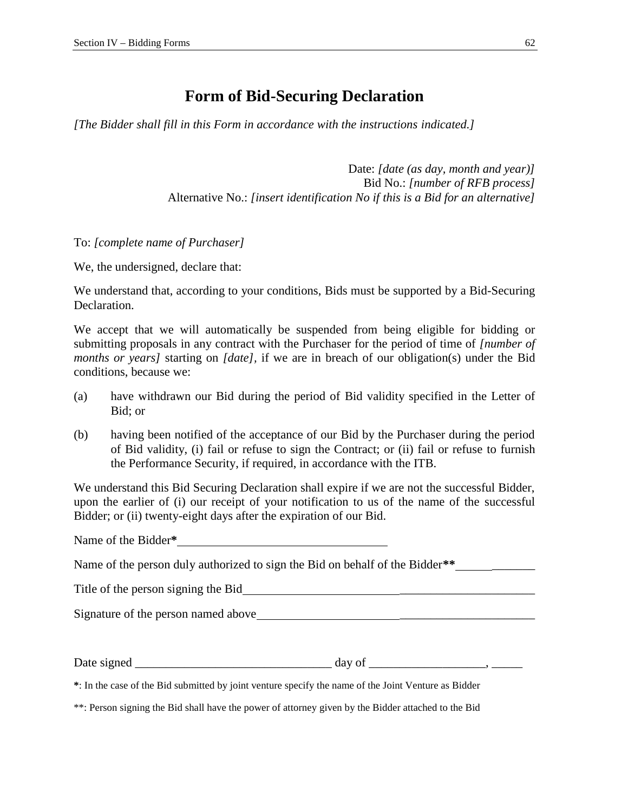# **Form of Bid-Securing Declaration**

*[The Bidder shall fill in this Form in accordance with the instructions indicated.]*

Date: *[date (as day, month and year)]* Bid No.: *[number of RFB process]* Alternative No.: *[insert identification No if this is a Bid for an alternative]*

To: *[complete name of Purchaser]*

We, the undersigned, declare that:

We understand that, according to your conditions, Bids must be supported by a Bid-Securing Declaration.

We accept that we will automatically be suspended from being eligible for bidding or submitting proposals in any contract with the Purchaser for the period of time of *[number of months or years]* starting on *[date],* if we are in breach of our obligation(s) under the Bid conditions, because we:

- (a) have withdrawn our Bid during the period of Bid validity specified in the Letter of Bid; or
- (b) having been notified of the acceptance of our Bid by the Purchaser during the period of Bid validity, (i) fail or refuse to sign the Contract; or (ii) fail or refuse to furnish the Performance Security, if required, in accordance with the ITB.

We understand this Bid Securing Declaration shall expire if we are not the successful Bidder, upon the earlier of (i) our receipt of your notification to us of the name of the successful Bidder; or (ii) twenty-eight days after the expiration of our Bid.

| Name of the Bidder* |  |
|---------------------|--|
|                     |  |

Name of the person duly authorized to sign the Bid on behalf of the Bidder<sup>\*\*</sup>

| Title of the person signing the Bid |  |  |
|-------------------------------------|--|--|
|-------------------------------------|--|--|

Signature of the person named above

| Date   | $\sim$ |
|--------|--------|
| signed | day    |
|        |        |

**\***: In the case of the Bid submitted by joint venture specify the name of the Joint Venture as Bidder

\*\*: Person signing the Bid shall have the power of attorney given by the Bidder attached to the Bid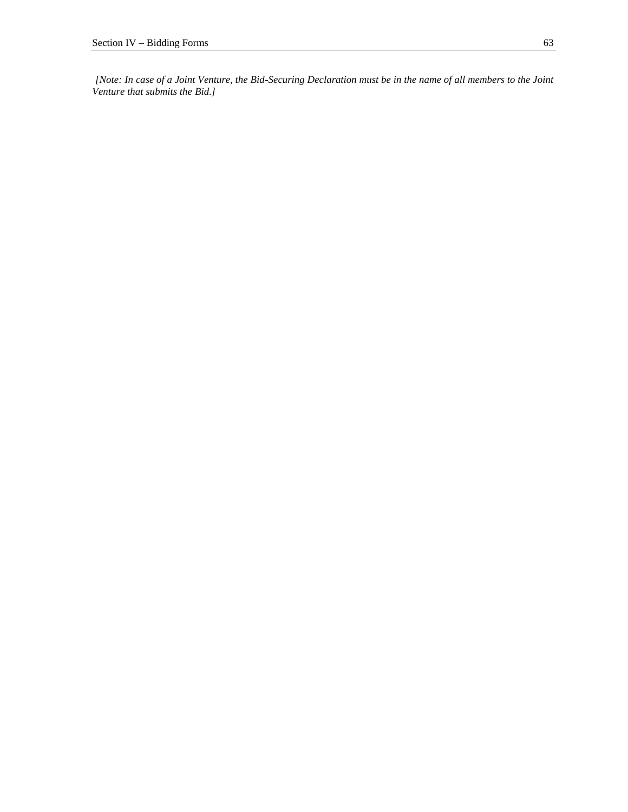*[Note: In case of a Joint Venture, the Bid-Securing Declaration must be in the name of all members to the Joint Venture that submits the Bid.]*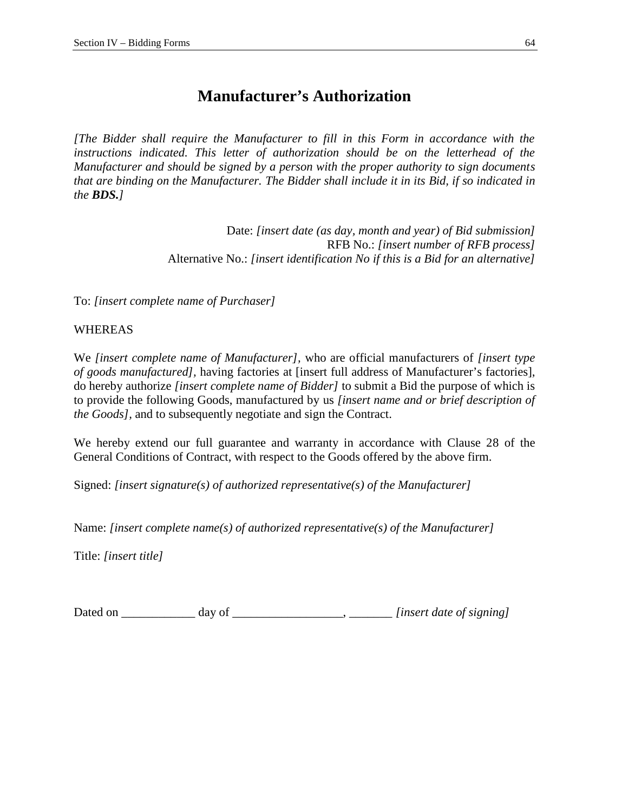## **Manufacturer's Authorization**

*[The Bidder shall require the Manufacturer to fill in this Form in accordance with the instructions indicated. This letter of authorization should be on the letterhead of the Manufacturer and should be signed by a person with the proper authority to sign documents that are binding on the Manufacturer. The Bidder shall include it in its Bid, if so indicated in the BDS.]*

> Date: *[insert date (as day, month and year) of Bid submission]* RFB No.: *[insert number of RFB process]* Alternative No.: *[insert identification No if this is a Bid for an alternative]*

To: *[insert complete name of Purchaser]*

### WHEREAS

We *[insert complete name of Manufacturer],* who are official manufacturers of *[insert type of goods manufactured],* having factories at [insert full address of Manufacturer's factories], do hereby authorize *[insert complete name of Bidder]* to submit a Bid the purpose of which is to provide the following Goods, manufactured by us *[insert name and or brief description of the Goods],* and to subsequently negotiate and sign the Contract.

We hereby extend our full guarantee and warranty in accordance with Clause 28 of the General Conditions of Contract, with respect to the Goods offered by the above firm.

Signed: *[insert signature(s) of authorized representative(s) of the Manufacturer]*

Name: *[insert complete name(s) of authorized representative(s) of the Manufacturer]*

Title: *[insert title]*

Dated on \_\_\_\_\_\_\_\_\_\_\_\_ day of \_\_\_\_\_\_\_\_\_\_\_\_\_\_\_\_\_\_, \_\_\_\_\_\_\_ *[insert date of signing]*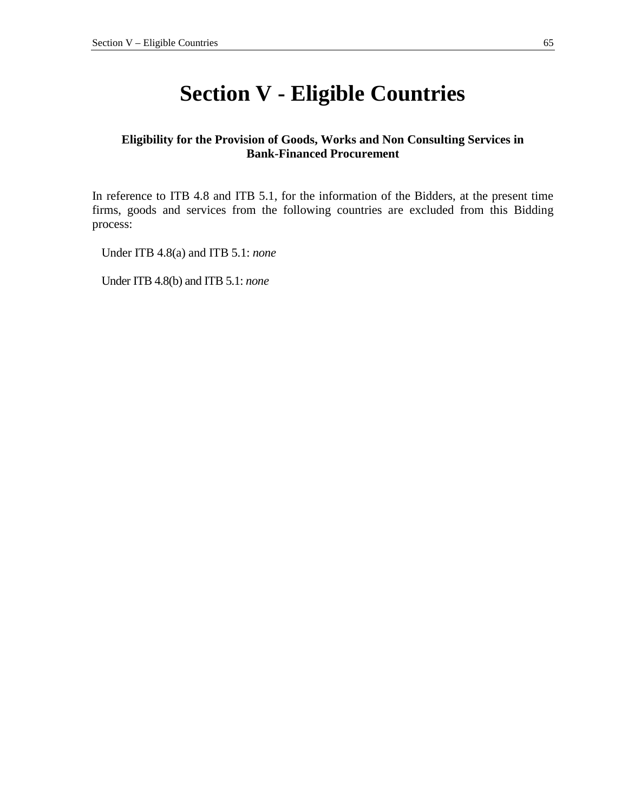# **Section V - Eligible Countries**

### **Eligibility for the Provision of Goods, Works and Non Consulting Services in Bank-Financed Procurement**

In reference to ITB 4.8 and ITB 5.1, for the information of the Bidders, at the present time firms, goods and services from the following countries are excluded from this Bidding process:

Under ITB 4.8(a) and ITB 5.1: *none*

Under ITB 4.8(b) and ITB 5.1: *none*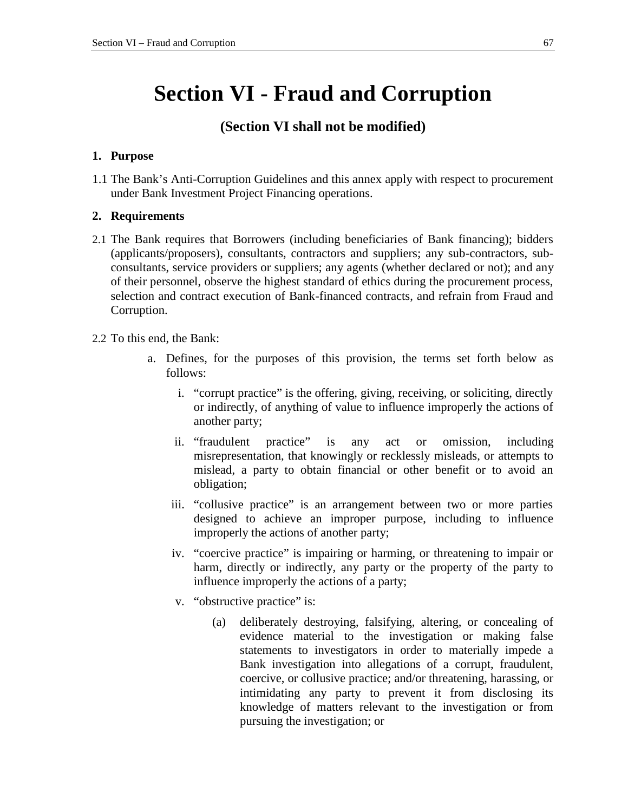# **Section VI - Fraud and Corruption**

## **(Section VI shall not be modified)**

### **1. Purpose**

1.1 The Bank's Anti-Corruption Guidelines and this annex apply with respect to procurement under Bank Investment Project Financing operations.

### **2. Requirements**

- 2.1 The Bank requires that Borrowers (including beneficiaries of Bank financing); bidders (applicants/proposers), consultants, contractors and suppliers; any sub-contractors, sub consultants, service providers or suppliers; any agents (whether declared or not); and any of their personnel, observe the highest standard of ethics during the procurement process, selection and contract execution of Bank-financed contracts, and refrain from Fraud and Corruption.
- 2.2 To this end, the Bank:
	- a. Defines, for the purposes of this provision, the terms set forth below as follows:
		- i. "corrupt practice" is the offering, giving, receiving, or soliciting, directly or indirectly, of anything of value to influence improperly the actions of another party;
		- ii. "fraudulent practice" is any act or omission, including misrepresentation, that knowingly or recklessly misleads, or attempts to mislead, a party to obtain financial or other benefit or to avoid an obligation;
		- iii. "collusive practice" is an arrangement between two or more parties designed to achieve an improper purpose, including to influence improperly the actions of another party;
		- iv. "coercive practice" is impairing or harming, or threatening to impair or harm, directly or indirectly, any party or the property of the party to influence improperly the actions of a party;
		- v. "obstructive practice" is:
			- (a) deliberately destroying, falsifying, altering, or concealing of evidence material to the investigation or making false statements to investigators in order to materially impede a Bank investigation into allegations of a corrupt, fraudulent, coercive, or collusive practice; and/or threatening, harassing, or intimidating any party to prevent it from disclosing its knowledge of matters relevant to the investigation or from pursuing the investigation; or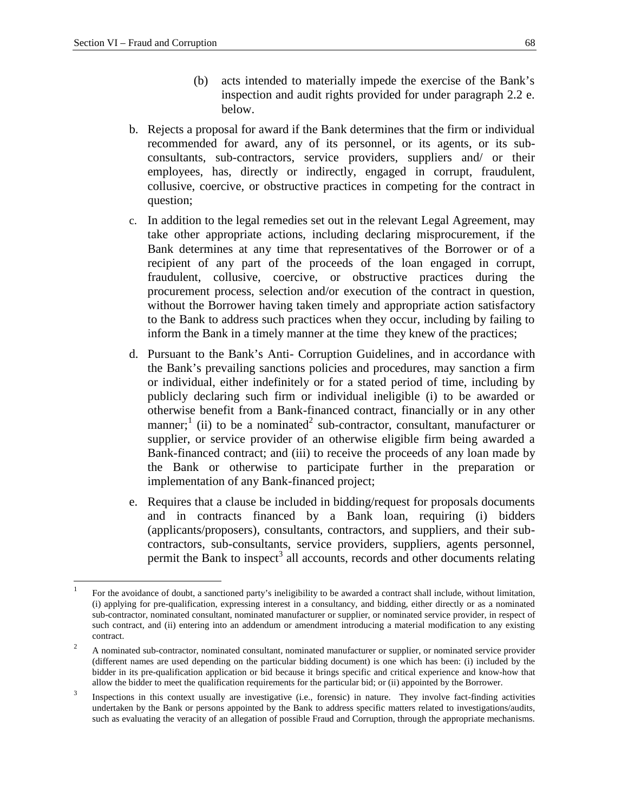- (b) acts intended to materially impede the exercise of the Bank's inspection and audit rights provided for under paragraph 2.2 e. below.
- b. Rejects a proposal for award if the Bank determines that the firm or individual recommended for award, any of its personnel, or its agents, or its sub consultants, sub-contractors, service providers, suppliers and/ or their employees, has, directly or indirectly, engaged in corrupt, fraudulent, collusive, coercive, or obstructive practices in competing for the contract in question;
- c. In addition to the legal remedies set out in the relevant Legal Agreement, may take other appropriate actions, including declaring misprocurement, if the Bank determines at any time that representatives of the Borrower or of a recipient of any part of the proceeds of the loan engaged in corrupt, fraudulent, collusive, coercive, or obstructive practices during the procurement process, selection and/or execution of the contract in question, without the Borrower having taken timely and appropriate action satisfactory to the Bank to address such practices when they occur, including by failing to inform the Bank in a timely manner at the time they knew of the practices;
- d. Pursuant to the Bank's Anti- Corruption Guidelines, and in accordance with the Bank's prevailing sanctions policies and procedures, may sanction a firm or individual, either indefinitely or for a stated period of time, including by publicly declaring such firm or individual ineligible (i) to be awarded or otherwise benefit from a Bank-financed contract, financially or in any other manner;<sup>1</sup> (ii) to be a nominated<sup>2</sup> sub-contractor, consultant, manufacturer or supplier, or service provider of an otherwise eligible firm being awarded a Bank-financed contract; and (iii) to receive the proceeds of any loan made by the Bank or otherwise to participate further in the preparation or implementation of any Bank-financed project;
- e. Requires that a clause be included in bidding/request for proposals documents and in contracts financed by a Bank loan, requiring (i) bidders (applicants/proposers), consultants, contractors, and suppliers, and their sub contractors, sub-consultants, service providers, suppliers, agents personnel, permit the Bank to inspect<sup>3</sup> all accounts, records and other documents relating

<sup>&</sup>lt;sup>1</sup> For the avoidance of doubt, a sanctioned party's ineligibility to be awarded a contract shall include, without limitation, (i) applying for pre-qualification, expressing interest in a consultancy, and bidding, either directly or as a nominated sub-contractor, nominated consultant, nominated manufacturer or supplier, or nominated service provider, in respect of such contract, and (ii) entering into an addendum or amendment introducing a material modification to any existing contract.

<sup>&</sup>lt;sup>2</sup> A nominated sub-contractor, nominated consultant, nominated manufacturer or supplier, or nominated service provider (different names are used depending on the particular bidding document) is one which has been: (i) included by the bidder in its pre-qualification application or bid because it brings specific and critical experience and know-how that allow the bidder to meet the qualification requirements for the particular bid; or (ii) appointed by the Borrower.

 $3$  Inspections in this context usually are investigative (i.e., forensic) in nature. They involve fact-finding activities undertaken by the Bank or persons appointed by the Bank to address specific matters related to investigations/audits, such as evaluating the veracity of an allegation of possible Fraud and Corruption, through the appropriate mechanisms.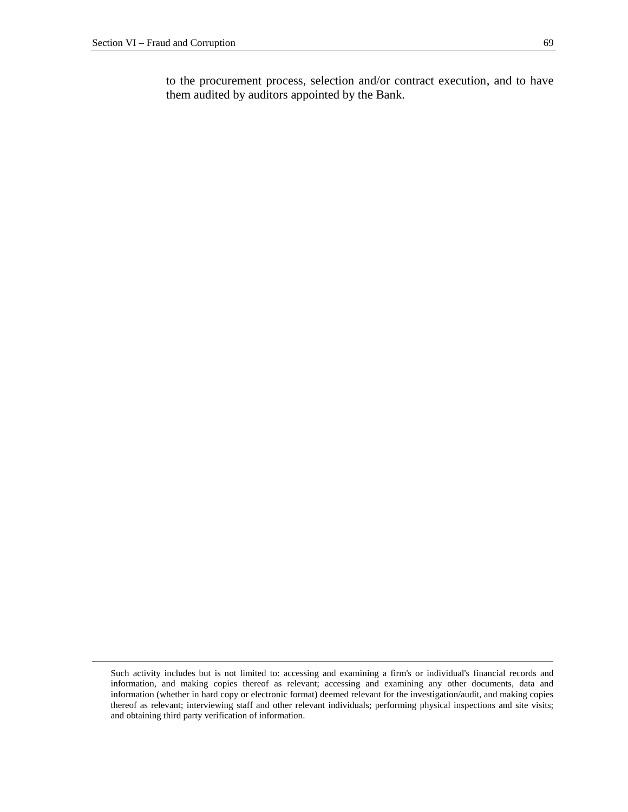to the procurement process, selection and/or contract execution, and to have them audited by auditors appointed by the Bank.

Such activity includes but is not limited to: accessing and examining a firm's or individual's financial records and information, and making copies thereof as relevant; accessing and examining any other documents, data and information (whether in hard copy or electronic format) deemed relevant for the investigation/audit, and making copies thereof as relevant; interviewing staff and other relevant individuals; performing physical inspections and site visits; and obtaining third party verification of information.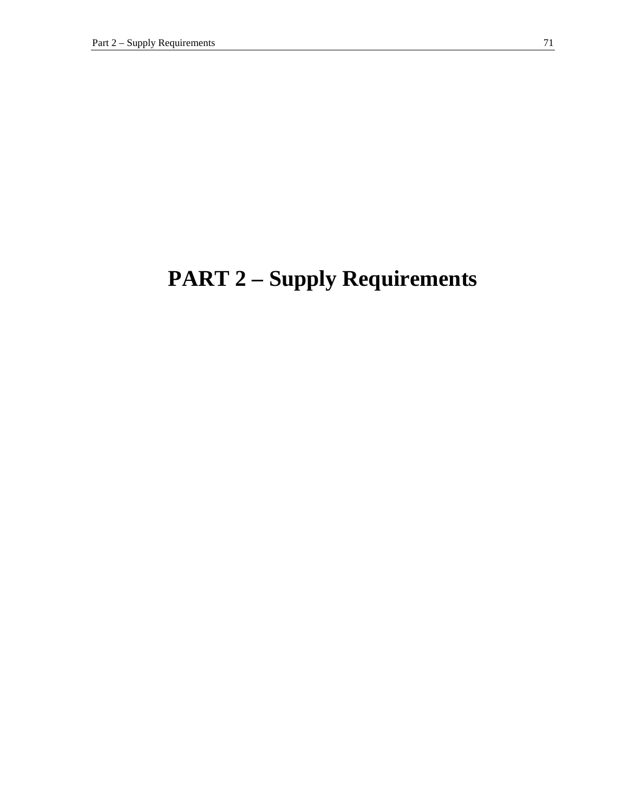# **PART 2 – Supply Requirements**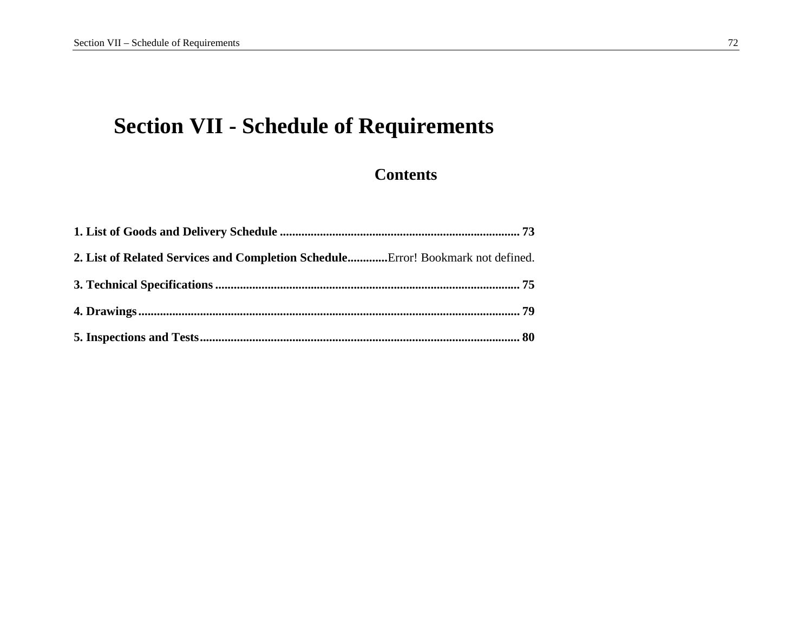# **Section VII - Schedule of Requirements**

### **Contents**

| 2. List of Related Services and Completion ScheduleError! Bookmark not defined. |  |
|---------------------------------------------------------------------------------|--|
|                                                                                 |  |
|                                                                                 |  |
|                                                                                 |  |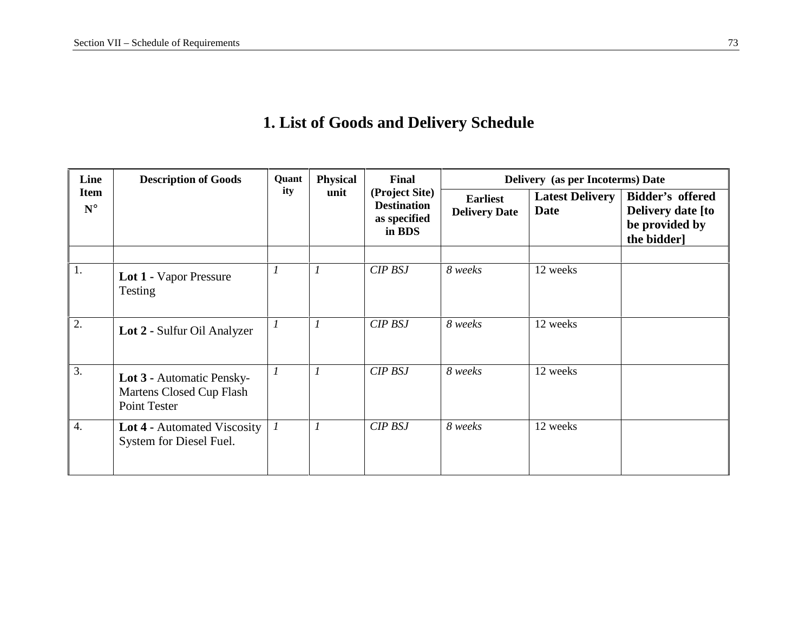## **1. List of Goods and Delivery Schedule**

| Line              | <b>Description of Goods</b>                                                  | Quant<br>ity     | Physical<br>unit | Final<br>(Project Site)<br><b>Destination</b><br>as specified<br>in BDS | Delivery (as per Incoterms) Date        |                                |                                                                                |
|-------------------|------------------------------------------------------------------------------|------------------|------------------|-------------------------------------------------------------------------|-----------------------------------------|--------------------------------|--------------------------------------------------------------------------------|
| <b>Item</b><br>NÊ |                                                                              |                  |                  |                                                                         | <b>Earliest</b><br><b>Delivery Date</b> | <b>Latest Delivery</b><br>Date | Bidder's offered<br><b>Delivery date [to]</b><br>be provided by<br>the bidder] |
| 1.                | Lot 1 - Vapor Pressure<br>Testing                                            |                  |                  | <b>CIP BSJ</b>                                                          | 8 weeks                                 | 12 weeks                       |                                                                                |
| 2.                | Lot 2 - Sulfur Oil Analyzer                                                  |                  |                  | <b>CIP BSJ</b>                                                          | 8 weeks                                 | 12 weeks                       |                                                                                |
| 3.                | Lot 3 - Automatic Pensky-<br>Martens Closed Cup Flash<br><b>Point Tester</b> | $\boldsymbol{l}$ |                  | <b>CIP BSJ</b>                                                          | 8 weeks                                 | 12 weeks                       |                                                                                |
| $\overline{4}$ .  | Lot 4 - Automated Viscosity<br>System for Diesel Fuel.                       | $\mathfrak{1}$   | $\overline{I}$   | <b>CIP BSJ</b>                                                          | 8 weeks                                 | 12 weeks                       |                                                                                |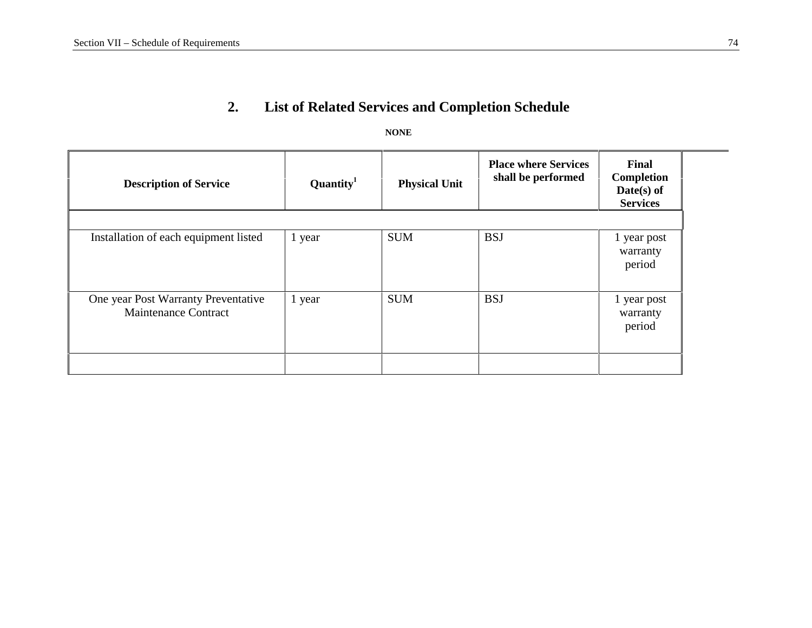### **2. List of Related Services and Completion Schedule**

#### **NONE**

| <b>Description of Service</b>                                      | Quantity <sup>1</sup> | <b>Physical Unit</b> | <b>Place where Services</b><br>shall be performed | Final<br>Completion<br>$Date(s)$ of<br><b>Services</b> |
|--------------------------------------------------------------------|-----------------------|----------------------|---------------------------------------------------|--------------------------------------------------------|
| Installation of each equipment listed                              | 1 year                | <b>SUM</b>           | <b>BSJ</b>                                        | 1 year post<br>warranty<br>period                      |
| One year Post Warranty Preventative<br><b>Maintenance Contract</b> | 1 year                | <b>SUM</b>           | <b>BSJ</b>                                        | 1 year post<br>warranty<br>period                      |
|                                                                    |                       |                      |                                                   |                                                        |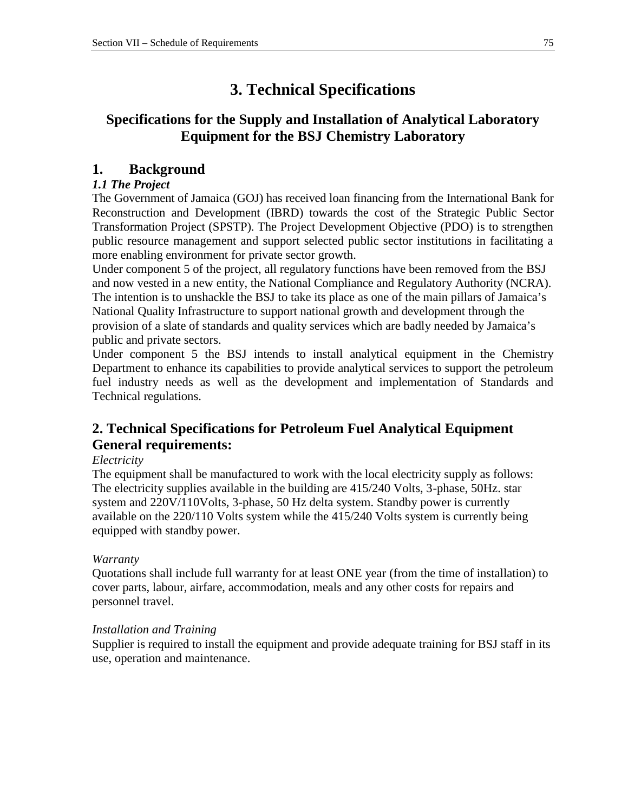### **3. Technical Specifications**

### **Specifications for the Supply and Installation of Analytical Laboratory Equipment for the BSJ Chemistry Laboratory**

### **1. Background**

#### *1.1 The Project*

The Government of Jamaica (GOJ) has received loan financing from the International Bank for Reconstruction and Development (IBRD) towards the cost of the Strategic Public Sector Transformation Project (SPSTP). The Project Development Objective (PDO) is to strengthen public resource management and support selected public sector institutions in facilitating a more enabling environment for private sector growth.

Under component 5 of the project, all regulatory functions have been removed from the BSJ and now vested in a new entity, the National Compliance and Regulatory Authority (NCRA). The intention is to unshackle the BSJ to take its place as one of the main pillars of Jamaica's National Quality Infrastructure to support national growth and development through the provision of a slate of standards and quality services which are badly needed by Jamaica's public and private sectors.

Under component 5 the BSJ intends to install analytical equipment in the Chemistry Department to enhance its capabilities to provide analytical services to support the petroleum fuel industry needs as well as the development and implementation of Standards and Technical regulations.

### **2. Technical Specifications for Petroleum Fuel Analytical Equipment General requirements:**

#### *Electricity*

The equipment shall be manufactured to work with the local electricity supply as follows: The electricity supplies available in the building are 415/240 Volts, 3-phase, 50Hz. star system and 220V/110Volts, 3-phase, 50 Hz delta system. Standby power is currently available on the 220/110 Volts system while the 415/240 Volts system is currently being equipped with standby power.

#### *Warranty*

Quotations shall include full warranty for at least ONE year (from the time of installation) to cover parts, labour, airfare, accommodation, meals and any other costs for repairs and personnel travel.

#### *Installation and Training*

Supplier is required to install the equipment and provide adequate training for BSJ staff in its use, operation and maintenance.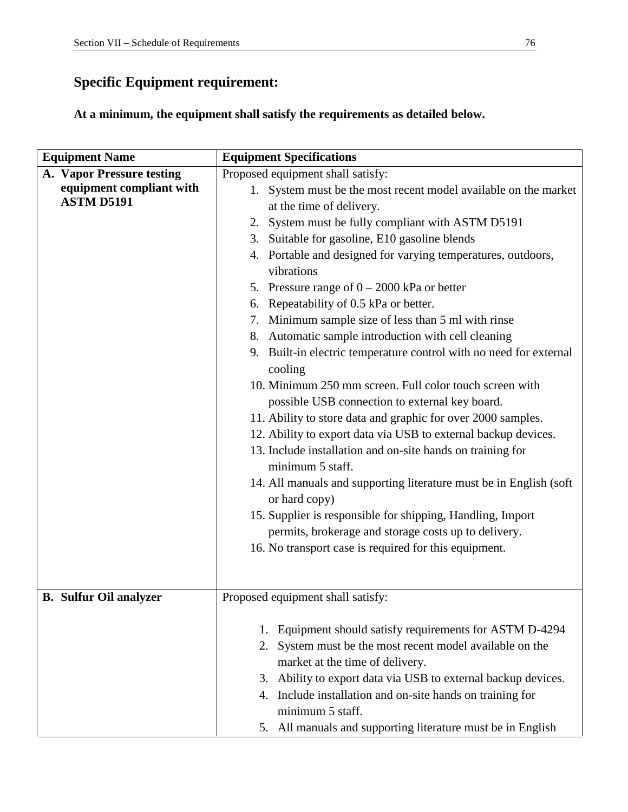### **Specific Equipment requirement:**

**At a minimum, the equipment shall satisfy the requirements as detailed below.**

| <b>Equipment Name</b>                                                      | <b>Equipment Specifications</b>                                                                                                                                                                                                                                                                                                                                                                                                                                                                                                                                                                                                                                                                                                                                                                                                                                                                                                                                                                                                                                                                                                                                                                                                       |
|----------------------------------------------------------------------------|---------------------------------------------------------------------------------------------------------------------------------------------------------------------------------------------------------------------------------------------------------------------------------------------------------------------------------------------------------------------------------------------------------------------------------------------------------------------------------------------------------------------------------------------------------------------------------------------------------------------------------------------------------------------------------------------------------------------------------------------------------------------------------------------------------------------------------------------------------------------------------------------------------------------------------------------------------------------------------------------------------------------------------------------------------------------------------------------------------------------------------------------------------------------------------------------------------------------------------------|
| A. Vapor Pressure testing<br>equipment compliant with<br><b>ASTM D5191</b> | Proposed equipment shall satisfy:<br>1. System must be the most recent model available on the market<br>at the time of delivery.<br>System must be fully compliant with ASTM D5191<br>2.<br>Suitable for gasoline, E10 gasoline blends<br>3.<br>4. Portable and designed for varying temperatures, outdoors,<br>vibrations<br>5. Pressure range of $0 - 2000$ kPa or better<br>Repeatability of 0.5 kPa or better.<br>6.<br>Minimum sample size of less than 5 ml with rinse<br>7.<br>Automatic sample introduction with cell cleaning<br>8.<br>9. Built-in electric temperature control with no need for external<br>cooling<br>10. Minimum 250 mm screen. Full color touch screen with<br>possible USB connection to external key board.<br>11. Ability to store data and graphic for over 2000 samples.<br>12. Ability to export data via USB to external backup devices.<br>13. Include installation and on-site hands on training for<br>minimum 5 staff.<br>14. All manuals and supporting literature must be in English (soft)<br>or hard copy)<br>15. Supplier is responsible for shipping, Handling, Import<br>permits, brokerage and storage costs up to delivery.<br>16. No transport case is required for this equipment. |
| <b>B.</b> Sulfur Oil analyzer                                              | Proposed equipment shall satisfy:<br>1. Equipment should satisfy requirements for ASTM D-4294<br>System must be the most recent model available on the<br>2.<br>market at the time of delivery.<br>3. Ability to export data via USB to external backup devices.<br>4. Include installation and on-site hands on training for<br>minimum 5 staff.<br>5. All manuals and supporting literature must be in English                                                                                                                                                                                                                                                                                                                                                                                                                                                                                                                                                                                                                                                                                                                                                                                                                      |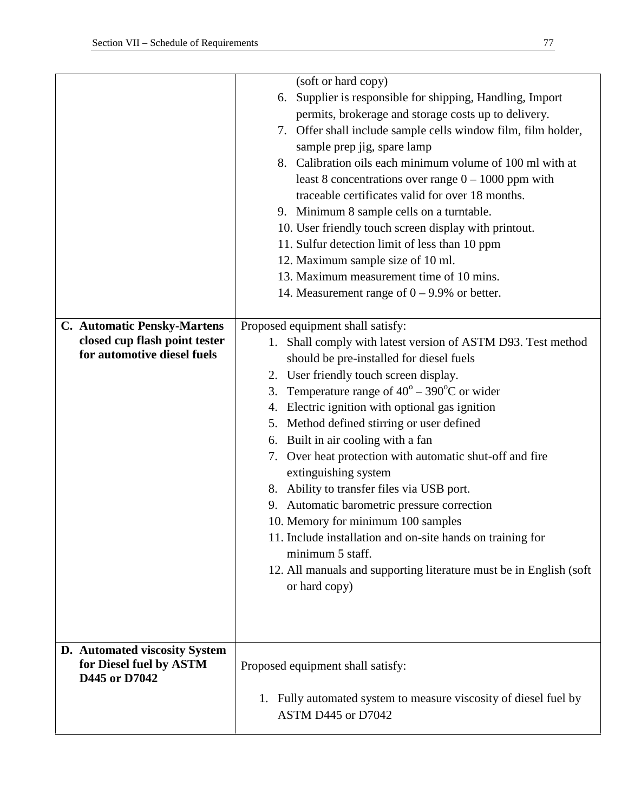| <b>C.</b> Automatic Pensky-Martens<br>closed cup flash point tester<br>for automotive diesel fuels | (soft or hard copy)<br>6. Supplier is responsible for shipping, Handling, Import<br>permits, brokerage and storage costs up to delivery.<br>7. Offer shall include sample cells window film, film holder,<br>sample prep jig, spare lamp<br>8. Calibration oils each minimum volume of 100 ml with at<br>least 8 concentrations over range $0 - 1000$ ppm with<br>traceable certificates valid for over 18 months.<br>9. Minimum 8 sample cells on a turntable.<br>10. User friendly touch screen display with printout.<br>11. Sulfur detection limit of less than 10 ppm<br>12. Maximum sample size of 10 ml.<br>13. Maximum measurement time of 10 mins.<br>14. Measurement range of $0 - 9.9\%$ or better.<br>Proposed equipment shall satisfy:<br>1. Shall comply with latest version of ASTM D93. Test method<br>should be pre-installed for diesel fuels<br>2. User friendly touch screen display.<br>Temperature range of $40^{\circ}$ – 390°C or wider<br>3.<br>Electric ignition with optional gas ignition<br>4.<br>Method defined stirring or user defined<br>5.<br>6. Built in air cooling with a fan<br>Over heat protection with automatic shut-off and fire<br>7.<br>extinguishing system<br>Ability to transfer files via USB port.<br>8.<br>9. Automatic barometric pressure correction<br>10. Memory for minimum 100 samples<br>11. Include installation and on-site hands on training for<br>minimum 5 staff.<br>12. All manuals and supporting literature must be in English (soft)<br>or hard copy) |
|----------------------------------------------------------------------------------------------------|---------------------------------------------------------------------------------------------------------------------------------------------------------------------------------------------------------------------------------------------------------------------------------------------------------------------------------------------------------------------------------------------------------------------------------------------------------------------------------------------------------------------------------------------------------------------------------------------------------------------------------------------------------------------------------------------------------------------------------------------------------------------------------------------------------------------------------------------------------------------------------------------------------------------------------------------------------------------------------------------------------------------------------------------------------------------------------------------------------------------------------------------------------------------------------------------------------------------------------------------------------------------------------------------------------------------------------------------------------------------------------------------------------------------------------------------------------------------------------------------------------------------------|
| D. Automated viscosity System<br>for Diesel fuel by ASTM<br>D445 or D7042                          | Proposed equipment shall satisfy:<br>Fully automated system to measure viscosity of diesel fuel by<br>1.<br>ASTM D445 or D7042                                                                                                                                                                                                                                                                                                                                                                                                                                                                                                                                                                                                                                                                                                                                                                                                                                                                                                                                                                                                                                                                                                                                                                                                                                                                                                                                                                                            |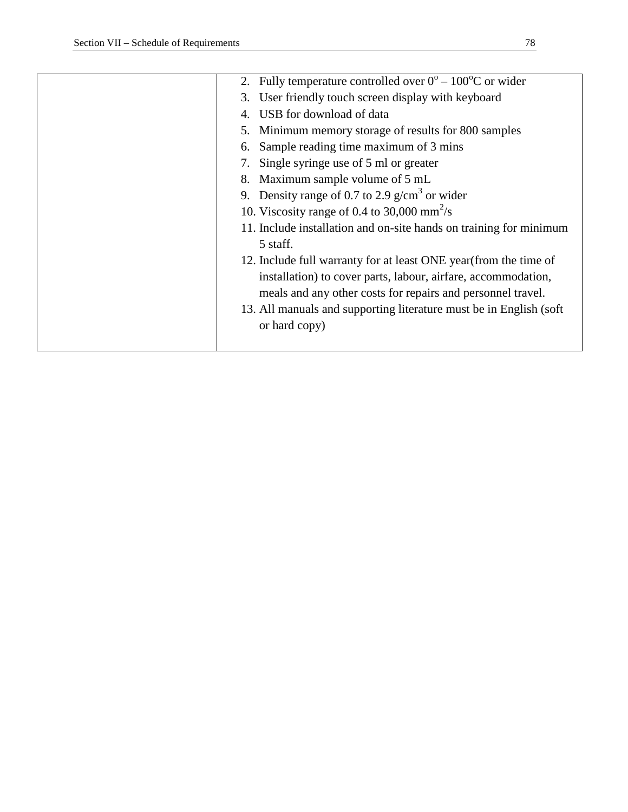| 2. Fully temperature controlled over $0^{\circ} - 100^{\circ}$ C or wider |
|---------------------------------------------------------------------------|
| 3. User friendly touch screen display with keyboard                       |
| USB for download of data<br>4.                                            |
| 5. Minimum memory storage of results for 800 samples                      |
| 6. Sample reading time maximum of 3 mins                                  |
| 7. Single syringe use of 5 ml or greater                                  |
| 8. Maximum sample volume of 5 mL                                          |
| 9. Density range of 0.7 to 2.9 $g/cm3$ or wider                           |
| 10. Viscosity range of 0.4 to 30,000 mm <sup>2</sup> /s                   |
| 11. Include installation and on-site hands on training for minimum        |
| 5 staff.                                                                  |
| 12. Include full warranty for at least ONE year (from the time of         |
| installation) to cover parts, labour, airfare, accommodation,             |
| meals and any other costs for repairs and personnel travel.               |
| 13. All manuals and supporting literature must be in English (soft)       |
| or hard copy)                                                             |
|                                                                           |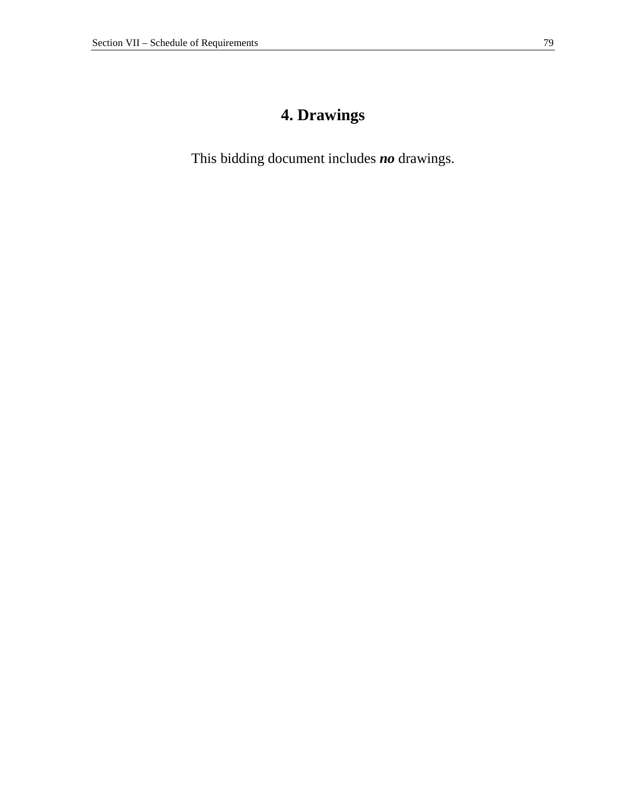## **4. Drawings**

This bidding document includes *no* drawings.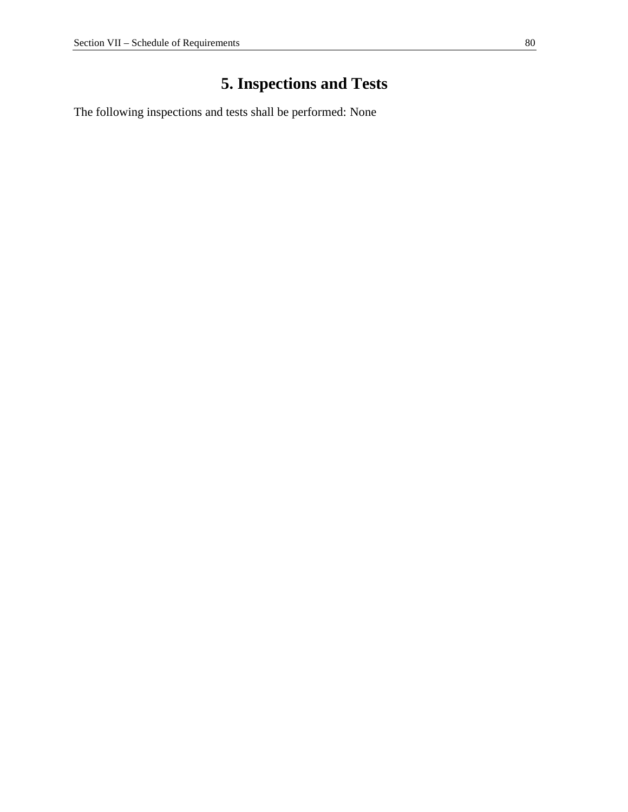## **5. Inspections and Tests**

The following inspections and tests shall be performed: None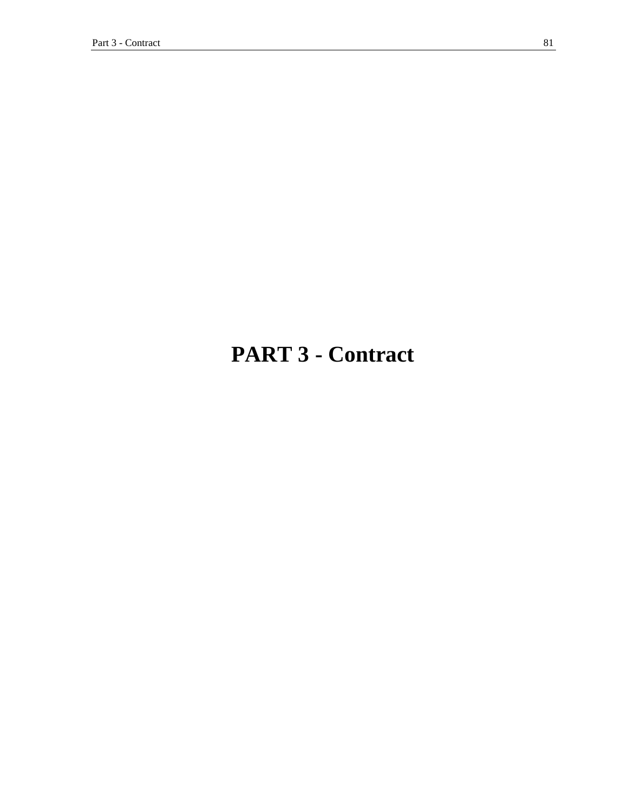# **PART 3 - Contract**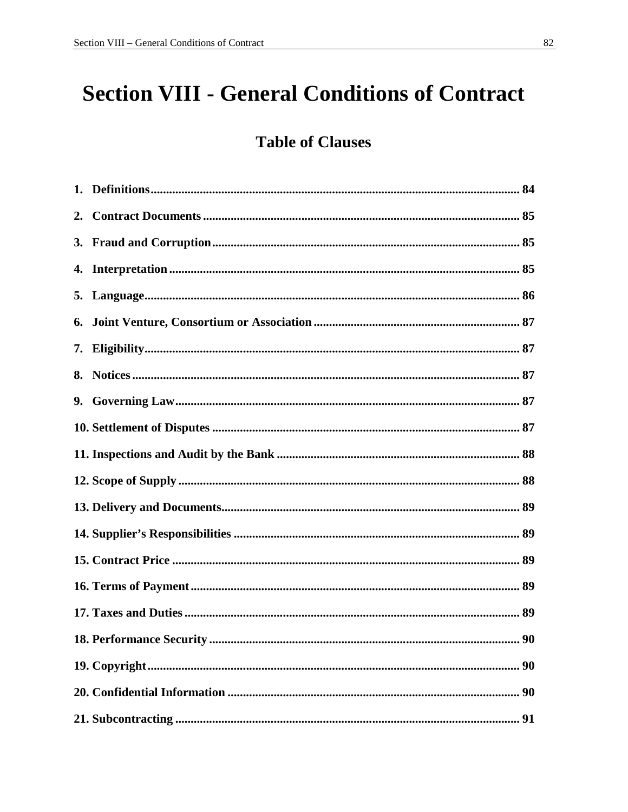# **Section VIII - General Conditions of Contract**

## **Table of Clauses**

| 2. |    |
|----|----|
|    |    |
|    |    |
|    |    |
|    |    |
|    |    |
|    |    |
| 9. |    |
|    |    |
|    |    |
|    |    |
|    |    |
|    |    |
|    |    |
|    |    |
|    |    |
|    |    |
|    | 90 |
|    |    |
|    |    |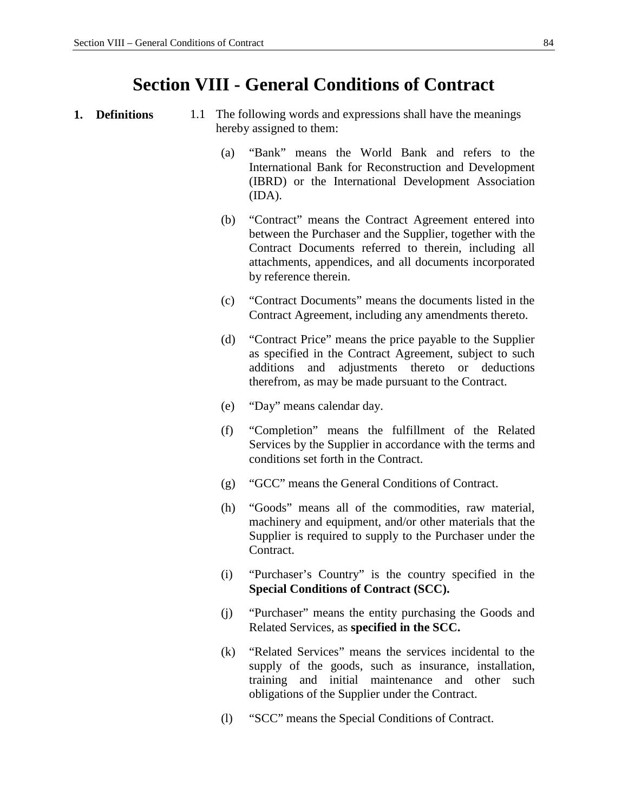### **Section VIII - General Conditions of Contract**

- **1. Definitions** 1.1 The following words and expressions shall have the meanings hereby assigned to them:
	- (a) "Bank" means the World Bank and refers to the International Bank for Reconstruction and Development (IBRD) or the International Development Association (IDA).
	- (b) "Contract" means the Contract Agreement entered into between the Purchaser and the Supplier, together with the Contract Documents referred to therein, including all attachments, appendices, and all documents incorporated by reference therein.
	- (c) "Contract Documents" means the documents listed in the Contract Agreement, including any amendments thereto.
	- (d) "Contract Price" means the price payable to the Supplier as specified in the Contract Agreement, subject to such additions and adjustments thereto or deductions therefrom, as may be made pursuant to the Contract.
	- (e) "Day" means calendar day.
	- (f) "Completion" means the fulfillment of the Related Services by the Supplier in accordance with the terms and conditions set forth in the Contract.
	- (g) "GCC" means the General Conditions of Contract.
	- (h) "Goods" means all of the commodities, raw material, machinery and equipment, and/or other materials that the Supplier is required to supply to the Purchaser under the Contract.
	- (i) "Purchaser's Country" is the country specified in the **Special Conditions of Contract (SCC).**
	- (j) "Purchaser" means the entity purchasing the Goods and Related Services, as **specified in the SCC.**
	- (k) "Related Services" means the services incidental to the supply of the goods, such as insurance, installation, training and initial maintenance and other such obligations of the Supplier under the Contract.
	- (l) "SCC" means the Special Conditions of Contract.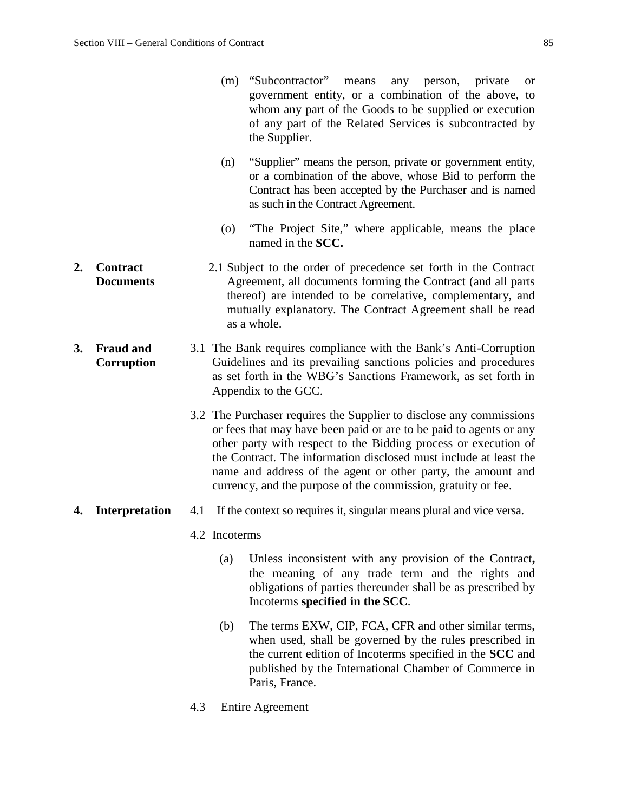- (m) "Subcontractor" means any person, private or government entity, or a combination of the above, to whom any part of the Goods to be supplied or execution of any part of the Related Services is subcontracted by the Supplier.
- (n) "Supplier" means the person, private or government entity, or a combination of the above, whose Bid to perform the Contract has been accepted by the Purchaser and is named as such in the Contract Agreement.
- (o) "The Project Site," where applicable, means the place named in the **SCC.**
- **2. Contract Documents** 2.1 Subject to the order of precedence set forth in the Contract Agreement, all documents forming the Contract (and all parts thereof) are intended to be correlative, complementary, and mutually explanatory. The Contract Agreement shall be read as a whole.
- **3. Fraud and Corruption** 3.1 The Bank requires compliance with the Bank's Anti-Corruption Guidelines and its prevailing sanctions policies and procedures as set forth in the WBG's Sanctions Framework, as set forth in Appendix to the GCC.
	- 3.2 The Purchaser requires the Supplier to disclose any commissions or fees that may have been paid or are to be paid to agents or any other party with respect to the Bidding process or execution of the Contract. The information disclosed must include at least the name and address of the agent or other party, the amount and currency, and the purpose of the commission, gratuity or fee.
- **4. Interpretation** 4.1 If the context so requires it, singular means plural and vice versa.

#### 4.2 Incoterms

- (a) Unless inconsistent with any provision of the Contract**,** the meaning of any trade term and the rights and obligations of parties thereunder shall be as prescribed by Incoterms **specified in the SCC**.
- (b) The terms EXW, CIP, FCA, CFR and other similar terms, when used, shall be governed by the rules prescribed in the current edition of Incoterms specified in the **SCC** and published by the International Chamber of Commerce in Paris, France.
- 4.3 Entire Agreement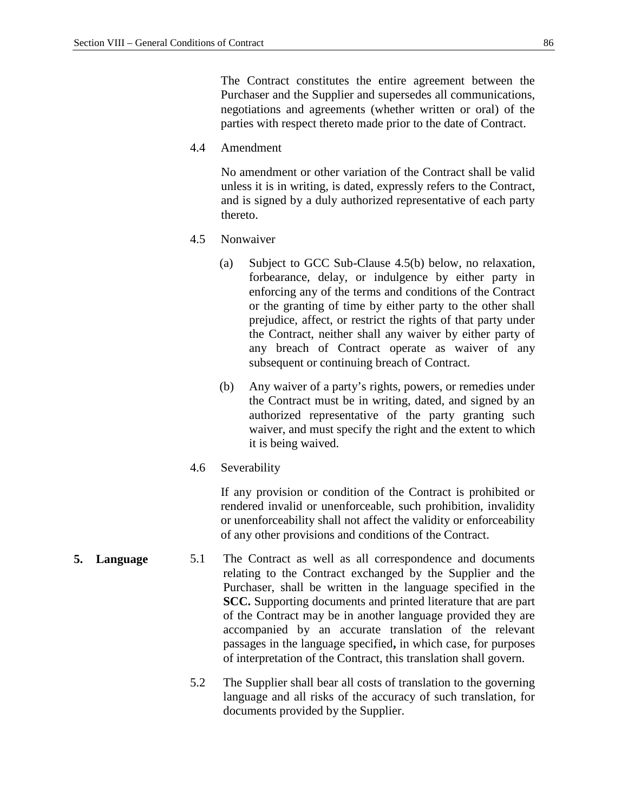The Contract constitutes the entire agreement between the Purchaser and the Supplier and supersedes all communications, negotiations and agreements (whether written or oral) of the parties with respect thereto made prior to the date of Contract.

4.4 Amendment

No amendment or other variation of the Contract shall be valid unless it is in writing, is dated, expressly refers to the Contract, and is signed by a duly authorized representative of each party thereto.

- 4.5 Nonwaiver
	- (a) Subject to GCC Sub-Clause 4.5(b) below, no relaxation, forbearance, delay, or indulgence by either party in enforcing any of the terms and conditions of the Contract or the granting of time by either party to the other shall prejudice, affect, or restrict the rights of that party under the Contract, neither shall any waiver by either party of any breach of Contract operate as waiver of any subsequent or continuing breach of Contract.
	- (b) Any waiver of a party's rights, powers, or remedies under the Contract must be in writing, dated, and signed by an authorized representative of the party granting such waiver, and must specify the right and the extent to which it is being waived.
- 4.6 Severability

If any provision or condition of the Contract is prohibited or rendered invalid or unenforceable, such prohibition, invalidity or unenforceability shall not affect the validity or enforceability of any other provisions and conditions of the Contract.

- **5. Language** 5.1 The Contract as well as all correspondence and documents relating to the Contract exchanged by the Supplier and the Purchaser, shall be written in the language specified in the **SCC.** Supporting documents and printed literature that are part of the Contract may be in another language provided they are accompanied by an accurate translation of the relevant passages in the language specified**,** in which case, for purposes of interpretation of the Contract, this translation shall govern.
	- 5.2 The Supplier shall bear all costs of translation to the governing language and all risks of the accuracy of such translation, for documents provided by the Supplier.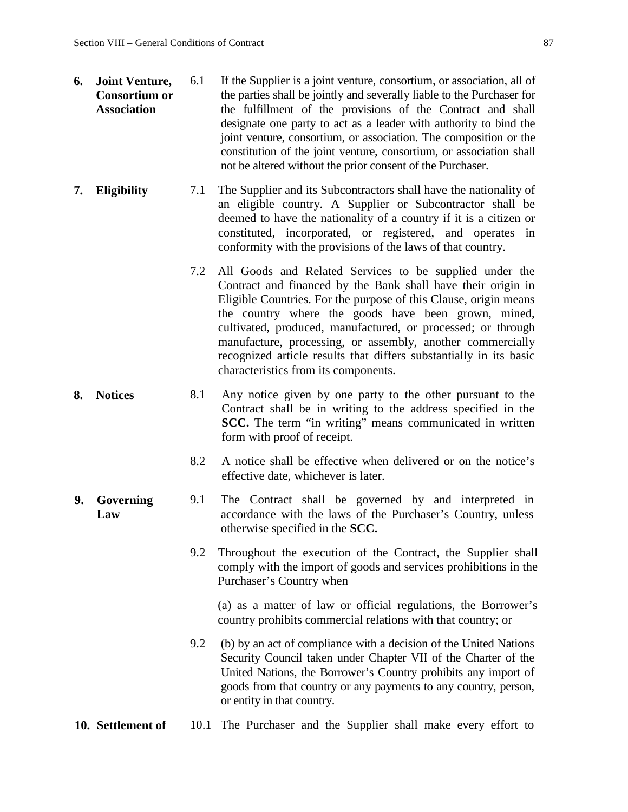- **6. Joint Venture, Consortium or Association** If the Supplier is a joint venture, consortium, or association, all of the parties shall be jointly and severally liable to the Purchaser for the fulfillment of the provisions of the Contract and shall designate one party to act as a leader with authority to bind the joint venture, consortium, or association. The composition or the constitution of the joint venture, consortium, or association shall not be altered without the prior consent of the Purchaser.
- **7. Eligibility** 7.1 The Supplier and its Subcontractors shall have the nationality of an eligible country. A Supplier or Subcontractor shall be deemed to have the nationality of a country if it is a citizen or constituted, incorporated, or registered, and operates in conformity with the provisions of the laws of that country.
	- 7.2 All Goods and Related Services to be supplied under the Contract and financed by the Bank shall have their origin in Eligible Countries. For the purpose of this Clause, origin means the country where the goods have been grown, mined, cultivated, produced, manufactured, or processed; or through manufacture, processing, or assembly, another commercially recognized article results that differs substantially in its basic characteristics from its components.
- **8. Notices** 8.1 Any notice given by one party to the other pursuant to the Contract shall be in writing to the address specified in the **SCC.** The term "in writing" means communicated in written form with proof of receipt.
	- 8.2 A notice shall be effective when delivered or on the notice's effective date, whichever is later.
- **9. Governing Law** The Contract shall be governed by and interpreted in accordance with the laws of the Purchaser's Country, unless otherwise specified in the **SCC.**
	- 9.2 Throughout the execution of the Contract, the Supplier shall comply with the import of goods and services prohibitions in the Purchaser's Country when

(a) as a matter of law or official regulations, the Borrower's country prohibits commercial relations with that country; or

- 9.2 (b) by an act of compliance with a decision of the United Nations Security Council taken under Chapter VII of the Charter of the United Nations, the Borrower's Country prohibits any import of goods from that country or any payments to any country, person, or entity in that country.
- **10. Settlement of** 10.1 The Purchaser and the Supplier shall make every effort to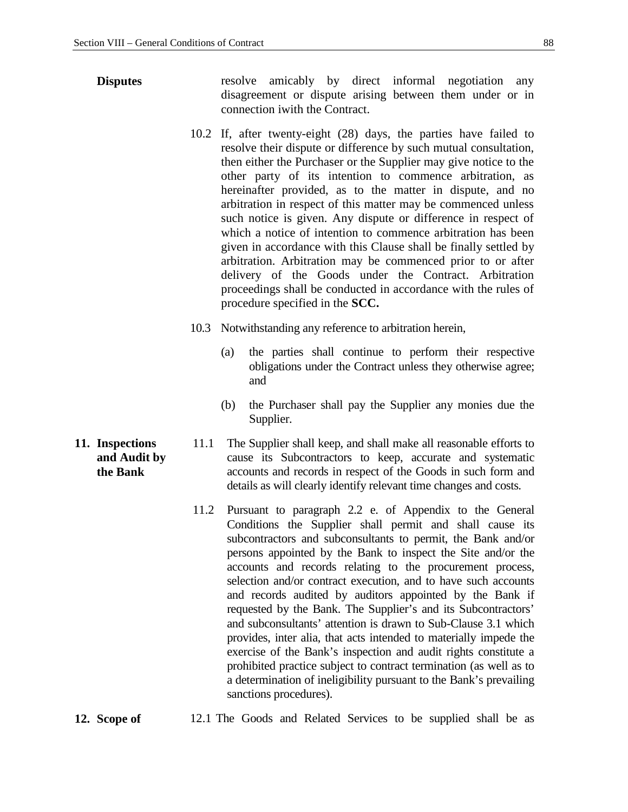- **Disputes** resolve amicably by direct informal negotiation any disagreement or dispute arising between them under or in connection iwith the Contract.
	- 10.2 If, after twenty-eight (28) days, the parties have failed to resolve their dispute or difference by such mutual consultation, then either the Purchaser or the Supplier may give notice to the other party of its intention to commence arbitration, as hereinafter provided, as to the matter in dispute, and no arbitration in respect of this matter may be commenced unless such notice is given. Any dispute or difference in respect of which a notice of intention to commence arbitration has been given in accordance with this Clause shall be finally settled by arbitration. Arbitration may be commenced prior to or after delivery of the Goods under the Contract. Arbitration proceedings shall be conducted in accordance with the rules of procedure specified in the **SCC.**
	- 10.3 Notwithstanding any reference to arbitration herein,
		- (a) the parties shall continue to perform their respective obligations under the Contract unless they otherwise agree; and
		- (b) the Purchaser shall pay the Supplier any monies due the Supplier.
	- 11.1 The Supplier shall keep, and shall make all reasonable efforts to cause its Subcontractors to keep, accurate and systematic accounts and records in respect of the Goods in such form and details as will clearly identify relevant time changes and costs.
		- 11.2 Pursuant to paragraph 2.2 e. of Appendix to the General Conditions the Supplier shall permit and shall cause its subcontractors and subconsultants to permit, the Bank and/or persons appointed by the Bank to inspect the Site and/or the accounts and records relating to the procurement process, selection and/or contract execution, and to have such accounts and records audited by auditors appointed by the Bank if requested by the Bank. The Supplier's and its Subcontractors' and subconsultants' attention is drawn to Sub-Clause 3.1 which provides, inter alia, that acts intended to materially impede the exercise of the Bank's inspection and audit rights constitute a prohibited practice subject to contract termination (as well as to a determination of ineligibility pursuant to the Bank's prevailing sanctions procedures).
- **12. Scope of** 12.1 The Goods and Related Services to be supplied shall be as

**11. Inspections and Audit by the Bank**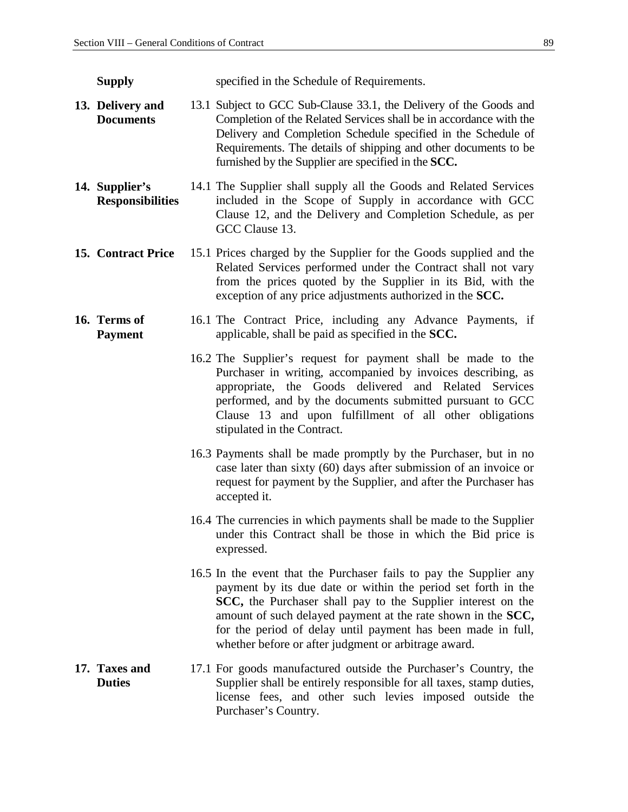| <b>Supply</b>                             | specified in the Schedule of Requirements.                                                                                                                                                                                                                                                                                                                                                  |
|-------------------------------------------|---------------------------------------------------------------------------------------------------------------------------------------------------------------------------------------------------------------------------------------------------------------------------------------------------------------------------------------------------------------------------------------------|
| 13. Delivery and<br><b>Documents</b>      | 13.1 Subject to GCC Sub-Clause 33.1, the Delivery of the Goods and<br>Completion of the Related Services shall be in accordance with the<br>Delivery and Completion Schedule specified in the Schedule of<br>Requirements. The details of shipping and other documents to be<br>furnished by the Supplier are specified in the SCC.                                                         |
| 14. Supplier's<br><b>Responsibilities</b> | 14.1 The Supplier shall supply all the Goods and Related Services<br>included in the Scope of Supply in accordance with GCC<br>Clause 12, and the Delivery and Completion Schedule, as per<br>GCC Clause 13.                                                                                                                                                                                |
| 15. Contract Price                        | 15.1 Prices charged by the Supplier for the Goods supplied and the<br>Related Services performed under the Contract shall not vary<br>from the prices quoted by the Supplier in its Bid, with the<br>exception of any price adjustments authorized in the SCC.                                                                                                                              |
| 16. Terms of<br><b>Payment</b>            | 16.1 The Contract Price, including any Advance Payments, if<br>applicable, shall be paid as specified in the SCC.                                                                                                                                                                                                                                                                           |
|                                           | 16.2 The Supplier's request for payment shall be made to the<br>Purchaser in writing, accompanied by invoices describing, as<br>appropriate, the Goods delivered and Related Services<br>performed, and by the documents submitted pursuant to GCC<br>Clause 13 and upon fulfillment of all other obligations<br>stipulated in the Contract.                                                |
|                                           | 16.3 Payments shall be made promptly by the Purchaser, but in no<br>case later than sixty (60) days after submission of an invoice or<br>request for payment by the Supplier, and after the Purchaser has<br>accepted it.                                                                                                                                                                   |
|                                           | 16.4 The currencies in which payments shall be made to the Supplier<br>under this Contract shall be those in which the Bid price is<br>expressed.                                                                                                                                                                                                                                           |
|                                           | 16.5 In the event that the Purchaser fails to pay the Supplier any<br>payment by its due date or within the period set forth in the<br>SCC, the Purchaser shall pay to the Supplier interest on the<br>amount of such delayed payment at the rate shown in the SCC,<br>for the period of delay until payment has been made in full,<br>whether before or after judgment or arbitrage award. |
| 17. Taxes and<br><b>Duties</b>            | 17.1 For goods manufactured outside the Purchaser's Country, the<br>Supplier shall be entirely responsible for all taxes, stamp duties,<br>license fees, and other such levies imposed outside the<br>Purchaser's Country.                                                                                                                                                                  |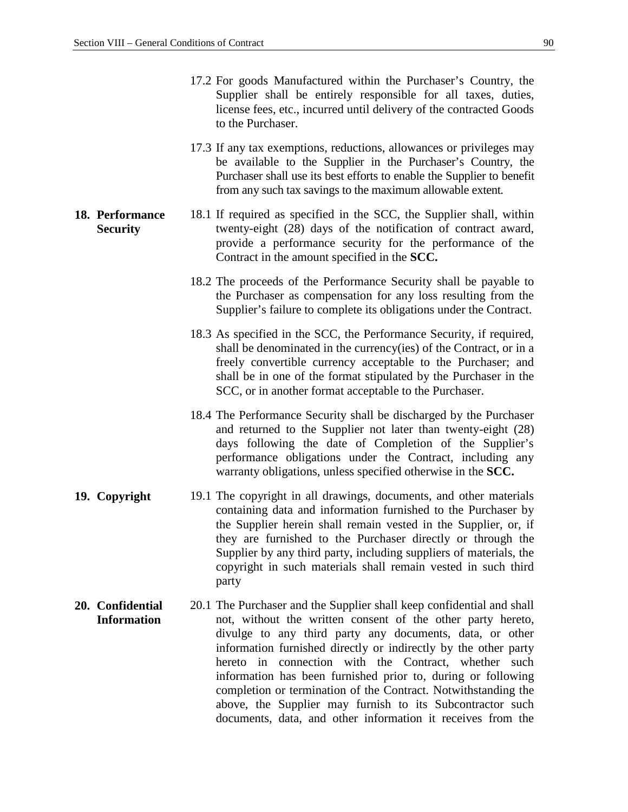- 17.2 For goods Manufactured within the Purchaser's Country, the Supplier shall be entirely responsible for all taxes, duties, license fees, etc., incurred until delivery of the contracted Goods to the Purchaser.
- 17.3 If any tax exemptions, reductions, allowances or privileges may be available to the Supplier in the Purchaser's Country, the Purchaser shall use its best efforts to enable the Supplier to benefit from any such tax savings to the maximum allowable extent.
- **18. Performance Security** 18.1 If required as specified in the SCC, the Supplier shall, within twenty-eight (28) days of the notification of contract award, provide a performance security for the performance of the Contract in the amount specified in the **SCC.**
	- 18.2 The proceeds of the Performance Security shall be payable to the Purchaser as compensation for any loss resulting from the Supplier's failure to complete its obligations under the Contract.
	- 18.3 As specified in the SCC, the Performance Security, if required, shall be denominated in the currency(ies) of the Contract, or in a freely convertible currency acceptable to the Purchaser; and shall be in one of the format stipulated by the Purchaser in the SCC, or in another format acceptable to the Purchaser.
	- 18.4 The Performance Security shall be discharged by the Purchaser and returned to the Supplier not later than twenty-eight (28) days following the date of Completion of the Supplier's performance obligations under the Contract, including any warranty obligations, unless specified otherwise in the **SCC.**
- **19. Copyright** 19.1 The copyright in all drawings, documents, and other materials containing data and information furnished to the Purchaser by the Supplier herein shall remain vested in the Supplier, or, if they are furnished to the Purchaser directly or through the Supplier by any third party, including suppliers of materials, the copyright in such materials shall remain vested in such third party
- **20. Confidential Information** 20.1 The Purchaser and the Supplier shall keep confidential and shall not, without the written consent of the other party hereto, divulge to any third party any documents, data, or other information furnished directly or indirectly by the other party hereto in connection with the Contract, whether such information has been furnished prior to, during or following completion or termination of the Contract. Notwithstanding the above, the Supplier may furnish to its Subcontractor such documents, data, and other information it receives from the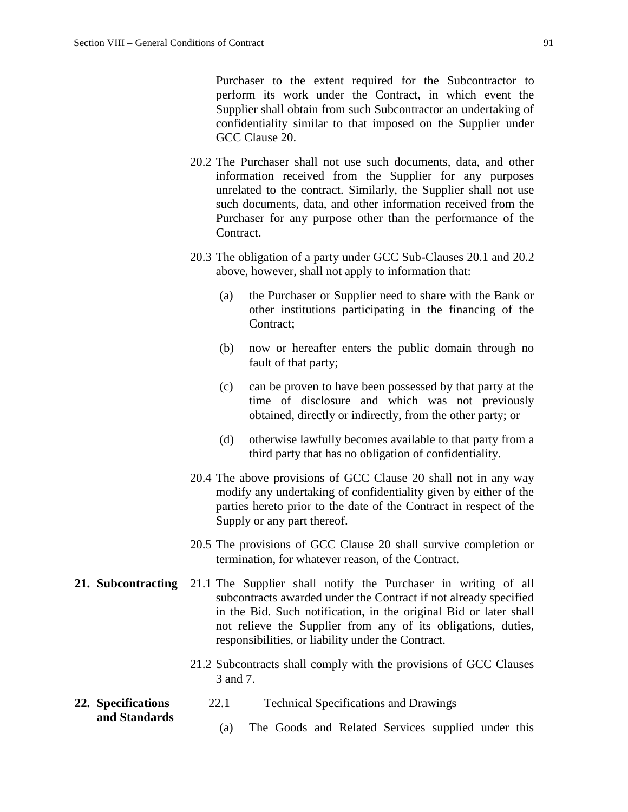Purchaser to the extent required for the Subcontractor to perform its work under the Contract, in which event the Supplier shall obtain from such Subcontractor an undertaking of confidentiality similar to that imposed on the Supplier under GCC Clause 20.

- 20.2 The Purchaser shall not use such documents, data, and other information received from the Supplier for any purposes unrelated to the contract. Similarly, the Supplier shall not use such documents, data, and other information received from the Purchaser for any purpose other than the performance of the Contract.
- 20.3 The obligation of a party under GCC Sub-Clauses 20.1 and 20.2 above, however, shall not apply to information that:
	- (a) the Purchaser or Supplier need to share with the Bank or other institutions participating in the financing of the Contract;
	- (b) now or hereafter enters the public domain through no fault of that party;
	- (c) can be proven to have been possessed by that party at the time of disclosure and which was not previously obtained, directly or indirectly, from the other party; or
	- (d) otherwise lawfully becomes available to that party from a third party that has no obligation of confidentiality.
- 20.4 The above provisions of GCC Clause 20 shall not in any way modify any undertaking of confidentiality given by either of the parties hereto prior to the date of the Contract in respect of the Supply or any part thereof.
- 20.5 The provisions of GCC Clause 20 shall survive completion or termination, for whatever reason, of the Contract.
- **21. Subcontracting** 21.1 The Supplier shall notify the Purchaser in writing of all subcontracts awarded under the Contract if not already specified in the Bid. Such notification, in the original Bid or later shall not relieve the Supplier from any of its obligations, duties, responsibilities, or liability under the Contract.
	- 21.2 Subcontracts shall comply with the provisions of GCC Clauses 3 and 7.
- **22. Specifications and Standards**
- 22.1 Technical Specifications and Drawings
	- (a) The Goods and Related Services supplied under this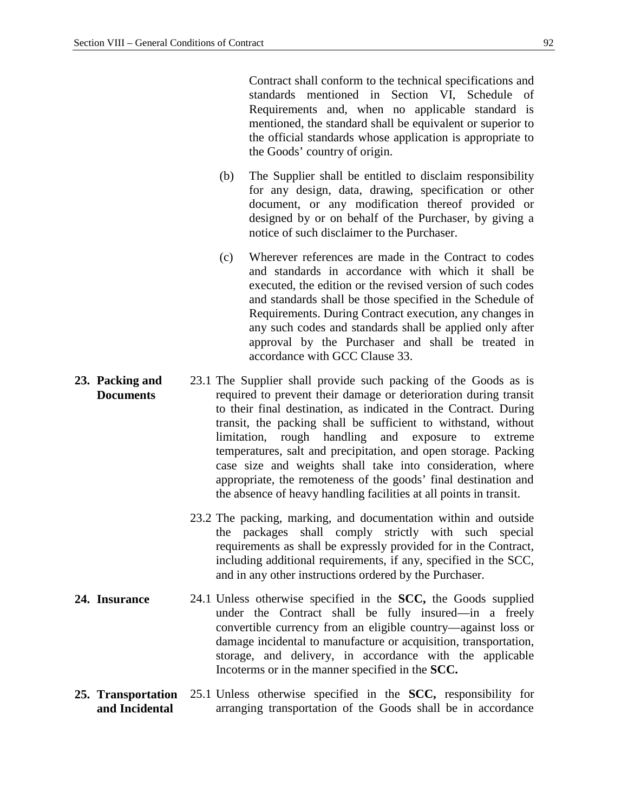Contract shall conform to the technical specifications and standards mentioned in Section VI, Schedule of Requirements and, when no applicable standard is mentioned, the standard shall be equivalent or superior to the official standards whose application is appropriate to the Goods' country of origin.

- (b) The Supplier shall be entitled to disclaim responsibility for any design, data, drawing, specification or other document, or any modification thereof provided or designed by or on behalf of the Purchaser, by giving a notice of such disclaimer to the Purchaser.
- (c) Wherever references are made in the Contract to codes and standards in accordance with which it shall be executed, the edition or the revised version of such codes and standards shall be those specified in the Schedule of Requirements. During Contract execution, any changes in any such codes and standards shall be applied only after approval by the Purchaser and shall be treated in accordance with GCC Clause 33.
- **23. Packing and Documents** 23.1 The Supplier shall provide such packing of the Goods as is required to prevent their damage or deterioration during transit to their final destination, as indicated in the Contract. During transit, the packing shall be sufficient to withstand, without limitation, rough handling and exposure to extreme temperatures, salt and precipitation, and open storage. Packing case size and weights shall take into consideration, where appropriate, the remoteness of the goods' final destination and the absence of heavy handling facilities at all points in transit.
	- 23.2 The packing, marking, and documentation within and outside the packages shall comply strictly with such special requirements as shall be expressly provided for in the Contract, including additional requirements, if any, specified in the SCC, and in any other instructions ordered by the Purchaser.
- **24. Insurance** 24.1 Unless otherwise specified in the **SCC,** the Goods supplied under the Contract shall be fully insured—in a freely convertible currency from an eligible country—against loss or damage incidental to manufacture or acquisition, transportation, storage, and delivery, in accordance with the applicable Incoterms or in the manner specified in the **SCC.**
- **25. Transportation and Incidental** 25.1 Unless otherwise specified in the **SCC,** responsibility for arranging transportation of the Goods shall be in accordance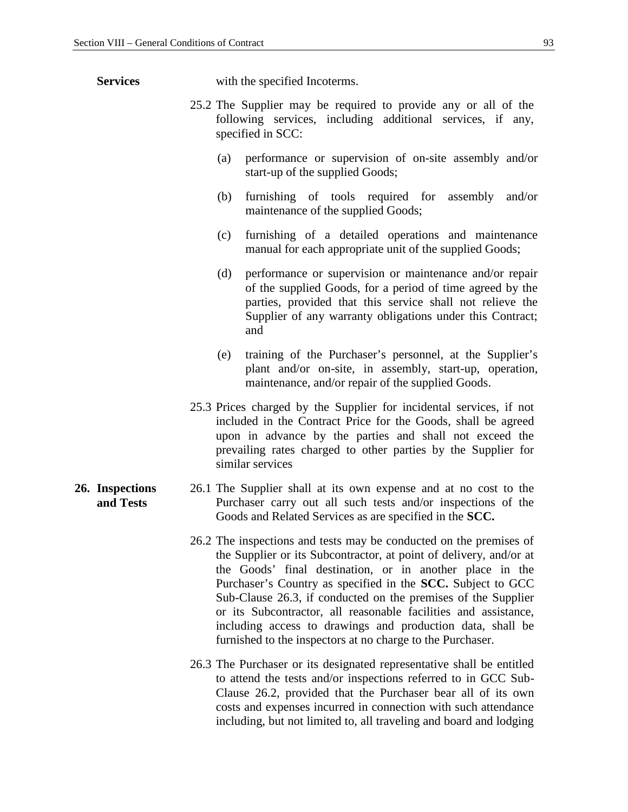| Services |
|----------|
|          |

with the specified Incoterms.

- 25.2 The Supplier may be required to provide any or all of the following services, including additional services, if any, specified in SCC:
	- (a) performance or supervision of on-site assembly and/or start-up of the supplied Goods;
	- (b) furnishing of tools required for assembly and/or maintenance of the supplied Goods;
	- (c) furnishing of a detailed operations and maintenance manual for each appropriate unit of the supplied Goods;
	- (d) performance or supervision or maintenance and/or repair of the supplied Goods, for a period of time agreed by the parties, provided that this service shall not relieve the Supplier of any warranty obligations under this Contract; and
	- (e) training of the Purchaser's personnel, at the Supplier's plant and/or on-site, in assembly, start-up, operation, maintenance, and/or repair of the supplied Goods.
- 25.3 Prices charged by the Supplier for incidental services, if not included in the Contract Price for the Goods, shall be agreed upon in advance by the parties and shall not exceed the prevailing rates charged to other parties by the Supplier for similar services
- **26. Inspections and Tests** 26.1 The Supplier shall at its own expense and at no cost to the Purchaser carry out all such tests and/or inspections of the Goods and Related Services as are specified in the **SCC.**
	- 26.2 The inspections and tests may be conducted on the premises of the Supplier or its Subcontractor, at point of delivery, and/or at the Goods' final destination, or in another place in the Purchaser's Country as specified in the **SCC.** Subject to GCC Sub-Clause 26.3, if conducted on the premises of the Supplier or its Subcontractor, all reasonable facilities and assistance, including access to drawings and production data, shall be furnished to the inspectors at no charge to the Purchaser.
	- 26.3 The Purchaser or its designated representative shall be entitled to attend the tests and/or inspections referred to in GCC Sub- Clause 26.2, provided that the Purchaser bear all of its own costs and expenses incurred in connection with such attendance including, but not limited to, all traveling and board and lodging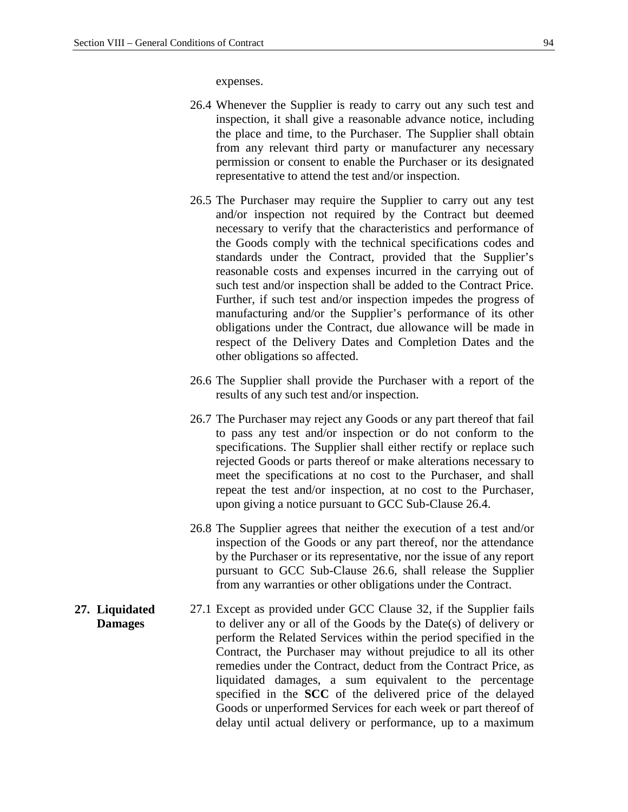expenses.

- 26.4 Whenever the Supplier is ready to carry out any such test and inspection, it shall give a reasonable advance notice, including the place and time, to the Purchaser. The Supplier shall obtain from any relevant third party or manufacturer any necessary permission or consent to enable the Purchaser or its designated representative to attend the test and/or inspection.
- 26.5 The Purchaser may require the Supplier to carry out any test and/or inspection not required by the Contract but deemed necessary to verify that the characteristics and performance of the Goods comply with the technical specifications codes and standards under the Contract, provided that the Supplier's reasonable costs and expenses incurred in the carrying out of such test and/or inspection shall be added to the Contract Price. Further, if such test and/or inspection impedes the progress of manufacturing and/or the Supplier's performance of its other obligations under the Contract, due allowance will be made in respect of the Delivery Dates and Completion Dates and the other obligations so affected.
- 26.6 The Supplier shall provide the Purchaser with a report of the results of any such test and/or inspection.
- 26.7 The Purchaser may reject any Goods or any part thereof that fail to pass any test and/or inspection or do not conform to the specifications. The Supplier shall either rectify or replace such rejected Goods or parts thereof or make alterations necessary to meet the specifications at no cost to the Purchaser, and shall repeat the test and/or inspection, at no cost to the Purchaser, upon giving a notice pursuant to GCC Sub-Clause 26.4.
- 26.8 The Supplier agrees that neither the execution of a test and/or inspection of the Goods or any part thereof, nor the attendance by the Purchaser or its representative, nor the issue of any report pursuant to GCC Sub-Clause 26.6, shall release the Supplier from any warranties or other obligations under the Contract.
- **27. Liquidated Damages** 27.1 Except as provided under GCC Clause 32, if the Supplier fails to deliver any or all of the Goods by the Date(s) of delivery or perform the Related Services within the period specified in the Contract, the Purchaser may without prejudice to all its other remedies under the Contract, deduct from the Contract Price, as liquidated damages, a sum equivalent to the percentage specified in the **SCC** of the delivered price of the delayed Goods or unperformed Services for each week or part thereof of delay until actual delivery or performance, up to a maximum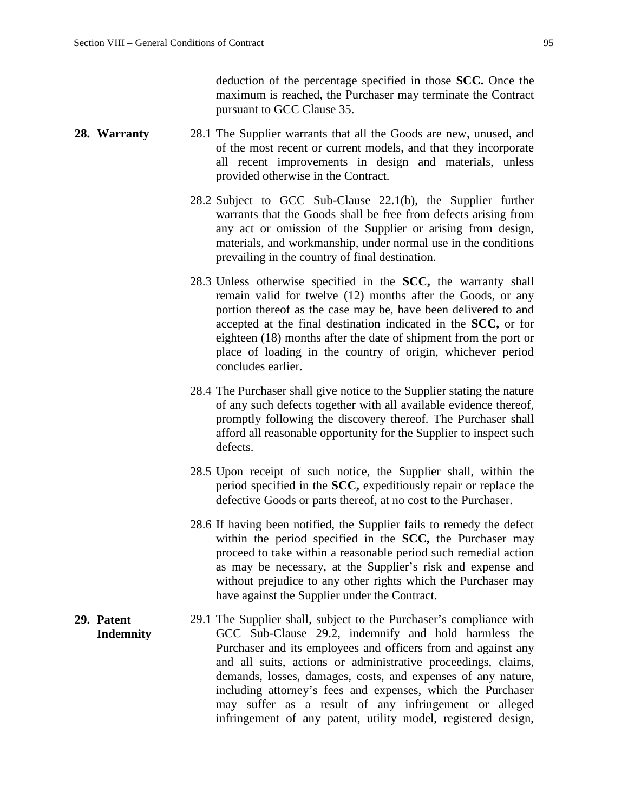deduction of the percentage specified in those **SCC.** Once the maximum is reached, the Purchaser may terminate the Contract pursuant to GCC Clause 35.

- **28. Warranty** 28.1 The Supplier warrants that all the Goods are new, unused, and of the most recent or current models, and that they incorporate all recent improvements in design and materials, unless provided otherwise in the Contract.
	- 28.2 Subject to GCC Sub-Clause 22.1(b), the Supplier further warrants that the Goods shall be free from defects arising from any act or omission of the Supplier or arising from design, materials, and workmanship, under normal use in the conditions prevailing in the country of final destination.
	- 28.3 Unless otherwise specified in the **SCC,** the warranty shall remain valid for twelve (12) months after the Goods, or any portion thereof as the case may be, have been delivered to and accepted at the final destination indicated in the **SCC,** or for eighteen (18) months after the date of shipment from the port or place of loading in the country of origin, whichever period concludes earlier.
	- 28.4 The Purchaser shall give notice to the Supplier stating the nature of any such defects together with all available evidence thereof, promptly following the discovery thereof. The Purchaser shall afford all reasonable opportunity for the Supplier to inspect such defects.
	- 28.5 Upon receipt of such notice, the Supplier shall, within the period specified in the **SCC,** expeditiously repair or replace the defective Goods or parts thereof, at no cost to the Purchaser.
	- 28.6 If having been notified, the Supplier fails to remedy the defect within the period specified in the **SCC,** the Purchaser may proceed to take within a reasonable period such remedial action as may be necessary, at the Supplier's risk and expense and without prejudice to any other rights which the Purchaser may have against the Supplier under the Contract.
- **29. Patent Indemnity** 29.1 The Supplier shall, subject to the Purchaser's compliance with GCC Sub-Clause 29.2, indemnify and hold harmless the Purchaser and its employees and officers from and against any and all suits, actions or administrative proceedings, claims, demands, losses, damages, costs, and expenses of any nature, including attorney's fees and expenses, which the Purchaser may suffer as a result of any infringement or alleged infringement of any patent, utility model, registered design,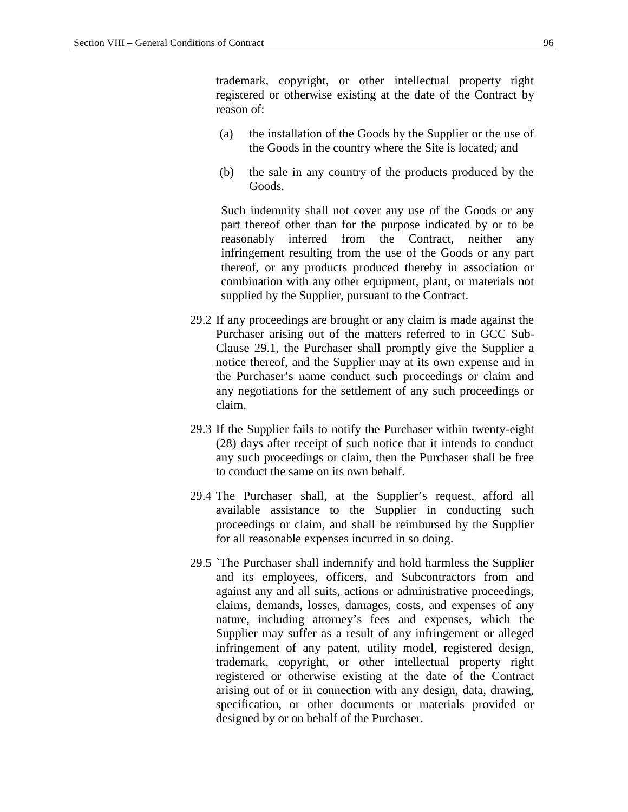trademark, copyright, or other intellectual property right registered or otherwise existing at the date of the Contract by reason of:

- (a) the installation of the Goods by the Supplier or the use of the Goods in the country where the Site is located; and
- (b) the sale in any country of the products produced by the Goods.

Such indemnity shall not cover any use of the Goods or any part thereof other than for the purpose indicated by or to be reasonably inferred from the Contract, neither any infringement resulting from the use of the Goods or any part thereof, or any products produced thereby in association or combination with any other equipment, plant, or materials not supplied by the Supplier, pursuant to the Contract.

- 29.2 If any proceedings are brought or any claim is made against the Purchaser arising out of the matters referred to in GCC Sub- Clause 29.1, the Purchaser shall promptly give the Supplier a notice thereof, and the Supplier may at its own expense and in the Purchaser's name conduct such proceedings or claim and any negotiations for the settlement of any such proceedings or claim.
- 29.3 If the Supplier fails to notify the Purchaser within twenty-eight (28) days after receipt of such notice that it intends to conduct any such proceedings or claim, then the Purchaser shall be free to conduct the same on its own behalf.
- 29.4 The Purchaser shall, at the Supplier's request, afford all available assistance to the Supplier in conducting such proceedings or claim, and shall be reimbursed by the Supplier for all reasonable expenses incurred in so doing.
- 29.5 `The Purchaser shall indemnify and hold harmless the Supplier and its employees, officers, and Subcontractors from and against any and all suits, actions or administrative proceedings, claims, demands, losses, damages, costs, and expenses of any nature, including attorney's fees and expenses, which the Supplier may suffer as a result of any infringement or alleged infringement of any patent, utility model, registered design, trademark, copyright, or other intellectual property right registered or otherwise existing at the date of the Contract arising out of or in connection with any design, data, drawing, specification, or other documents or materials provided or designed by or on behalf of the Purchaser.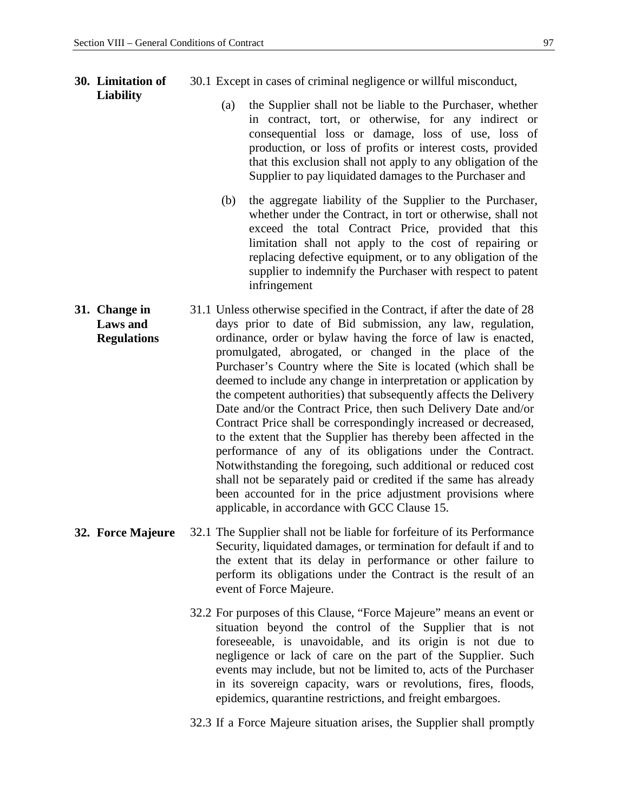- **30. Limitation of Liability** 30.1 Except in cases of criminal negligence or willful misconduct,
	- (a) the Supplier shall not be liable to the Purchaser, whether in contract, tort, or otherwise, for any indirect or consequential loss or damage, loss of use, loss of production, or loss of profits or interest costs, provided that this exclusion shall not apply to any obligation of the Supplier to pay liquidated damages to the Purchaser and
	- (b) the aggregate liability of the Supplier to the Purchaser, whether under the Contract, in tort or otherwise, shall not exceed the total Contract Price, provided that this limitation shall not apply to the cost of repairing or replacing defective equipment, or to any obligation of the supplier to indemnify the Purchaser with respect to patent infringement
- **31. Change in Laws and Regulations** 31.1 Unless otherwise specified in the Contract, if after the date of 28 days prior to date of Bid submission, any law, regulation, ordinance, order or bylaw having the force of law is enacted, promulgated, abrogated, or changed in the place of the Purchaser's Country where the Site is located (which shall be deemed to include any change in interpretation or application by the competent authorities) that subsequently affects the Delivery Date and/or the Contract Price, then such Delivery Date and/or Contract Price shall be correspondingly increased or decreased, to the extent that the Supplier has thereby been affected in the performance of any of its obligations under the Contract. Notwithstanding the foregoing, such additional or reduced cost shall not be separately paid or credited if the same has already been accounted for in the price adjustment provisions where applicable, in accordance with GCC Clause 15.
- **32. Force Majeure** 32.1 The Supplier shall not be liable for forfeiture of its Performance Security, liquidated damages, or termination for default if and to the extent that its delay in performance or other failure to perform its obligations under the Contract is the result of an event of Force Majeure.
	- 32.2 For purposes of this Clause, "Force Majeure" means an event or situation beyond the control of the Supplier that is not foreseeable, is unavoidable, and its origin is not due to negligence or lack of care on the part of the Supplier. Such events may include, but not be limited to, acts of the Purchaser in its sovereign capacity, wars or revolutions, fires, floods, epidemics, quarantine restrictions, and freight embargoes.
	- 32.3 If a Force Majeure situation arises, the Supplier shall promptly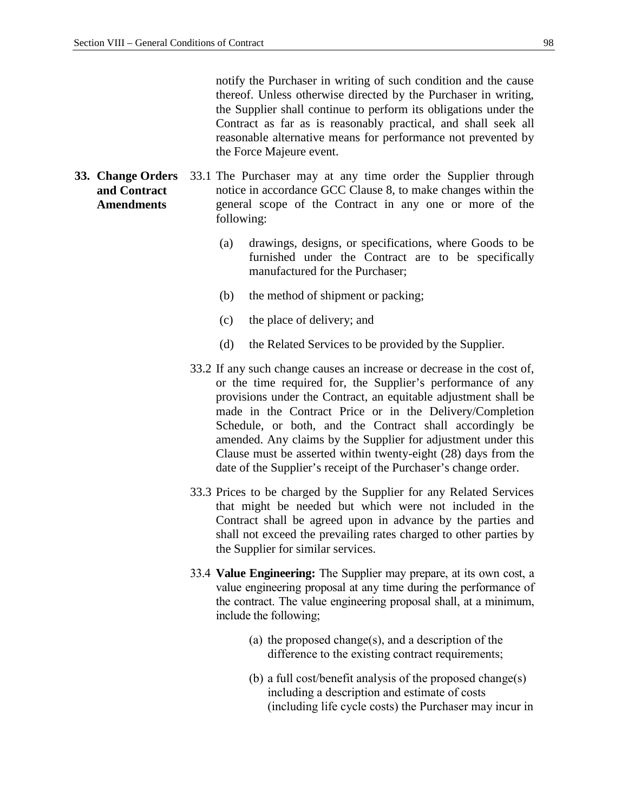notify the Purchaser in writing of such condition and the cause thereof. Unless otherwise directed by the Purchaser in writing, the Supplier shall continue to perform its obligations under the Contract as far as is reasonably practical, and shall seek all reasonable alternative means for performance not prevented by the Force Majeure event.

- **33. Change Orders and Contract Amendments** 33.1 The Purchaser may at any time order the Supplier through notice in accordance GCC Clause 8, to make changes within the general scope of the Contract in any one or more of the following:
	- (a) drawings, designs, or specifications, where Goods to be furnished under the Contract are to be specifically manufactured for the Purchaser;
	- (b) the method of shipment or packing;
	- (c) the place of delivery; and
	- (d) the Related Services to be provided by the Supplier.
	- 33.2 If any such change causes an increase or decrease in the cost of, or the time required for, the Supplier's performance of any provisions under the Contract, an equitable adjustment shall be made in the Contract Price or in the Delivery/Completion Schedule, or both, and the Contract shall accordingly be amended. Any claims by the Supplier for adjustment under this Clause must be asserted within twenty-eight (28) days from the date of the Supplier's receipt of the Purchaser's change order.
	- 33.3 Prices to be charged by the Supplier for any Related Services that might be needed but which were not included in the Contract shall be agreed upon in advance by the parties and shall not exceed the prevailing rates charged to other parties by the Supplier for similar services.
	- 33.4 **Value Engineering:** The Supplier may prepare, at its own cost, a value engineering proposal at any time during the performance of the contract. The value engineering proposal shall, at a minimum, include the following;
		- (a) the proposed change(s), and a description of the difference to the existing contract requirements;
		- (b) a full cost/benefit analysis of the proposed change(s) including a description and estimate of costs (including life cycle costs) the Purchaser may incur in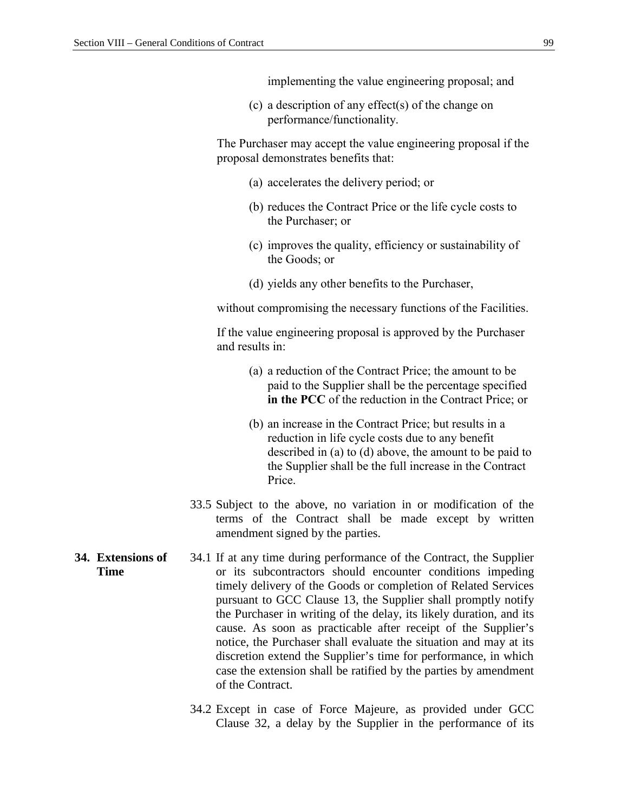implementing the value engineering proposal; and

(c) a description of any effect(s) of the change on performance/functionality.

The Purchaser may accept the value engineering proposal if the proposal demonstrates benefits that:

- (a) accelerates the delivery period; or
- (b) reduces the Contract Price or the life cycle costs to the Purchaser; or
- (c) improves the quality, efficiency or sustainability of the Goods; or
- (d) yields any other benefits to the Purchaser,

without compromising the necessary functions of the Facilities.

If the value engineering proposal is approved by the Purchaser and results in:

- (a) a reduction of the Contract Price; the amount to be paid to the Supplier shall be the percentage specified **in the PCC** of the reduction in the Contract Price; or
- (b) an increase in the Contract Price; but results in a reduction in life cycle costs due to any benefit described in (a) to (d) above, the amount to be paid to the Supplier shall be the full increase in the Contract Price.
- 33.5 Subject to the above, no variation in or modification of the terms of the Contract shall be made except by written amendment signed by the parties.
- **34. Extensions of Time** 34.1 If at any time during performance of the Contract, the Supplier or its subcontractors should encounter conditions impeding timely delivery of the Goods or completion of Related Services pursuant to GCC Clause 13, the Supplier shall promptly notify the Purchaser in writing of the delay, its likely duration, and its cause. As soon as practicable after receipt of the Supplier's notice, the Purchaser shall evaluate the situation and may at its discretion extend the Supplier's time for performance, in which case the extension shall be ratified by the parties by amendment of the Contract.
	- 34.2 Except in case of Force Majeure, as provided under GCC Clause 32, a delay by the Supplier in the performance of its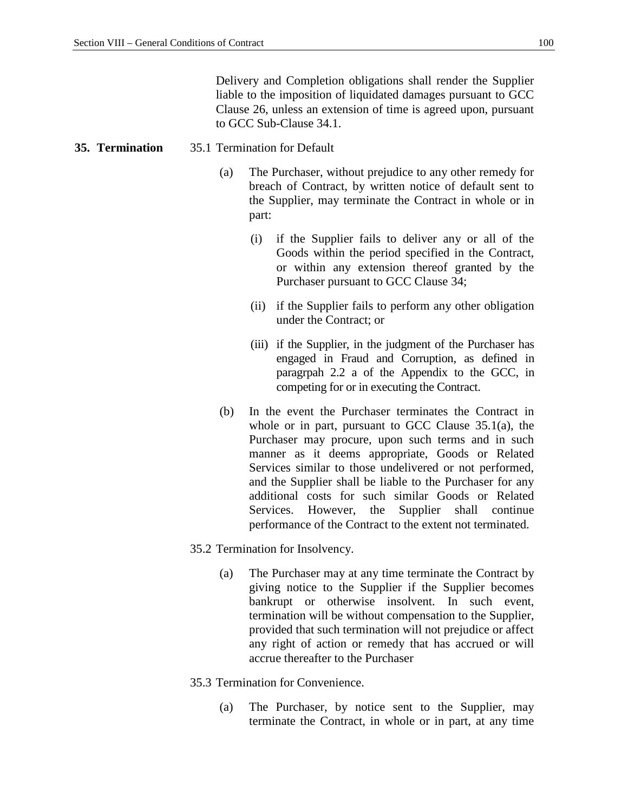Delivery and Completion obligations shall render the Supplier liable to the imposition of liquidated damages pursuant to GCC Clause 26, unless an extension of time is agreed upon, pursuant to GCC Sub-Clause 34.1.

#### **35. Termination** 35.1 Termination for Default

- (a) The Purchaser, without prejudice to any other remedy for breach of Contract, by written notice of default sent to the Supplier, may terminate the Contract in whole or in part:
	- (i) if the Supplier fails to deliver any or all of the Goods within the period specified in the Contract, or within any extension thereof granted by the Purchaser pursuant to GCC Clause 34;
	- (ii) if the Supplier fails to perform any other obligation under the Contract; or
	- (iii) if the Supplier, in the judgment of the Purchaser has engaged in Fraud and Corruption, as defined in paragrpah 2.2 a of the Appendix to the GCC, in competing for or in executing the Contract.
- (b) In the event the Purchaser terminates the Contract in whole or in part, pursuant to GCC Clause 35.1(a), the Purchaser may procure, upon such terms and in such manner as it deems appropriate, Goods or Related Services similar to those undelivered or not performed, and the Supplier shall be liable to the Purchaser for any additional costs for such similar Goods or Related Services. However, the Supplier shall continue performance of the Contract to the extent not terminated.
- 35.2 Termination for Insolvency.
	- (a) The Purchaser may at any time terminate the Contract by giving notice to the Supplier if the Supplier becomes bankrupt or otherwise insolvent. In such event, termination will be without compensation to the Supplier, provided that such termination will not prejudice or affect any right of action or remedy that has accrued or will accrue thereafter to the Purchaser
- 35.3 Termination for Convenience.
	- (a) The Purchaser, by notice sent to the Supplier, may terminate the Contract, in whole or in part, at any time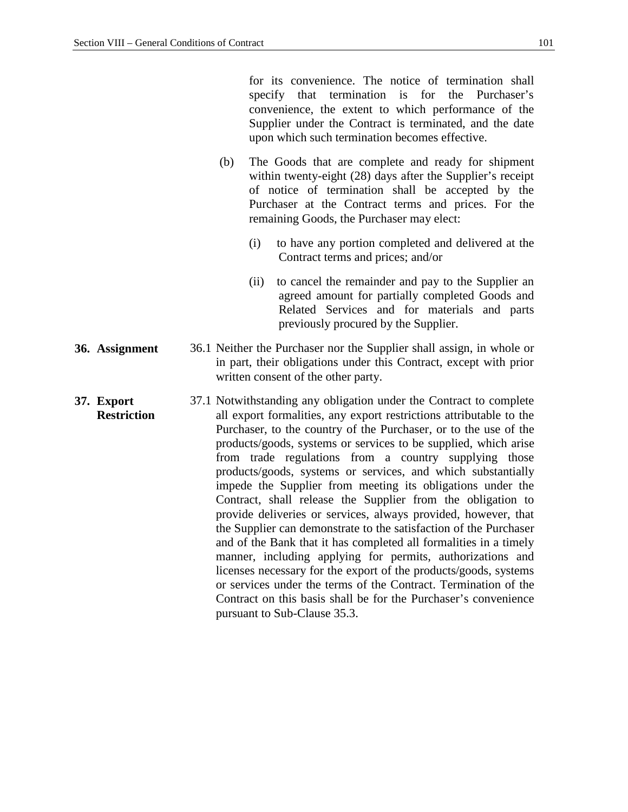for its convenience. The notice of termination shall specify that termination is for the Purchaser's convenience, the extent to which performance of the Supplier under the Contract is terminated, and the date upon which such termination becomes effective.

- (b) The Goods that are complete and ready for shipment within twenty-eight (28) days after the Supplier's receipt of notice of termination shall be accepted by the Purchaser at the Contract terms and prices. For the remaining Goods, the Purchaser may elect:
	- (i) to have any portion completed and delivered at the Contract terms and prices; and/or
	- (ii) to cancel the remainder and pay to the Supplier an agreed amount for partially completed Goods and Related Services and for materials and parts previously procured by the Supplier.
- **36. Assignment** 36.1 Neither the Purchaser nor the Supplier shall assign, in whole or in part, their obligations under this Contract, except with prior written consent of the other party.
- **37. Export Restriction** 37.1 Notwithstanding any obligation under the Contract to complete all export formalities, any export restrictions attributable to the Purchaser, to the country of the Purchaser, or to the use of the products/goods, systems or services to be supplied, which arise from trade regulations from a country supplying those products/goods, systems or services, and which substantially impede the Supplier from meeting its obligations under the Contract, shall release the Supplier from the obligation to provide deliveries or services, always provided, however, that the Supplier can demonstrate to the satisfaction of the Purchaser and of the Bank that it has completed all formalities in a timely manner, including applying for permits, authorizations and licenses necessary for the export of the products/goods, systems or services under the terms of the Contract. Termination of the Contract on this basis shall be for the Purchaser's convenience pursuant to Sub-Clause 35.3.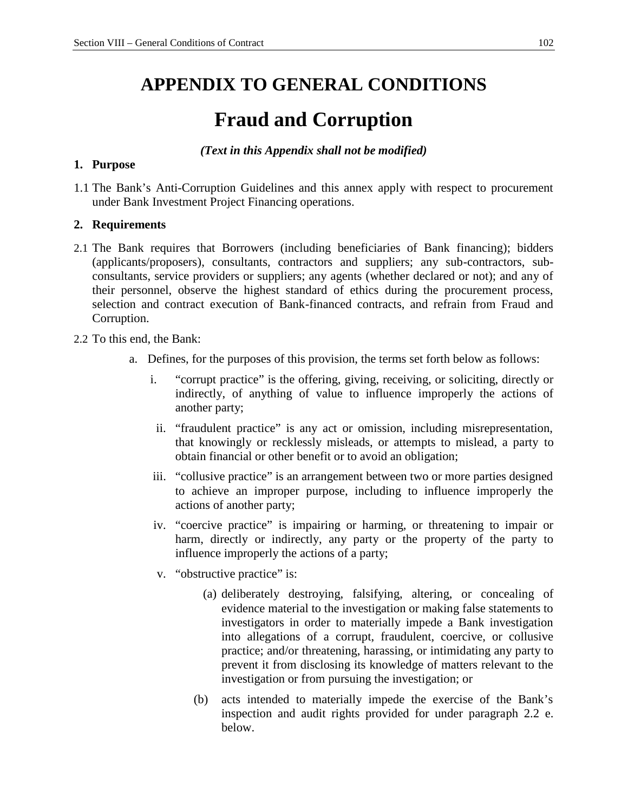## **APPENDIX TO GENERAL CONDITIONS**

## **Fraud and Corruption**

#### *(Text in this Appendix shall not be modified)*

#### **1. Purpose**

1.1 The Bank's Anti-Corruption Guidelines and this annex apply with respect to procurement under Bank Investment Project Financing operations.

#### **2. Requirements**

2.1 The Bank requires that Borrowers (including beneficiaries of Bank financing); bidders (applicants/proposers), consultants, contractors and suppliers; any sub-contractors, sub consultants, service providers or suppliers; any agents (whether declared or not); and any of their personnel, observe the highest standard of ethics during the procurement process, selection and contract execution of Bank-financed contracts, and refrain from Fraud and Corruption.

2.2 To this end, the Bank:

- a. Defines, for the purposes of this provision, the terms set forth below as follows:
	- i. "corrupt practice" is the offering, giving, receiving, or soliciting, directly or indirectly, of anything of value to influence improperly the actions of another party;
	- ii. "fraudulent practice" is any act or omission, including misrepresentation, that knowingly or recklessly misleads, or attempts to mislead, a party to obtain financial or other benefit or to avoid an obligation;
	- iii. "collusive practice" is an arrangement between two or more parties designed to achieve an improper purpose, including to influence improperly the actions of another party;
	- iv. "coercive practice" is impairing or harming, or threatening to impair or harm, directly or indirectly, any party or the property of the party to influence improperly the actions of a party;
	- v. "obstructive practice" is:
		- (a) deliberately destroying, falsifying, altering, or concealing of evidence material to the investigation or making false statements to investigators in order to materially impede a Bank investigation into allegations of a corrupt, fraudulent, coercive, or collusive practice; and/or threatening, harassing, or intimidating any party to prevent it from disclosing its knowledge of matters relevant to the investigation or from pursuing the investigation; or
		- (b) acts intended to materially impede the exercise of the Bank's inspection and audit rights provided for under paragraph 2.2 e. below.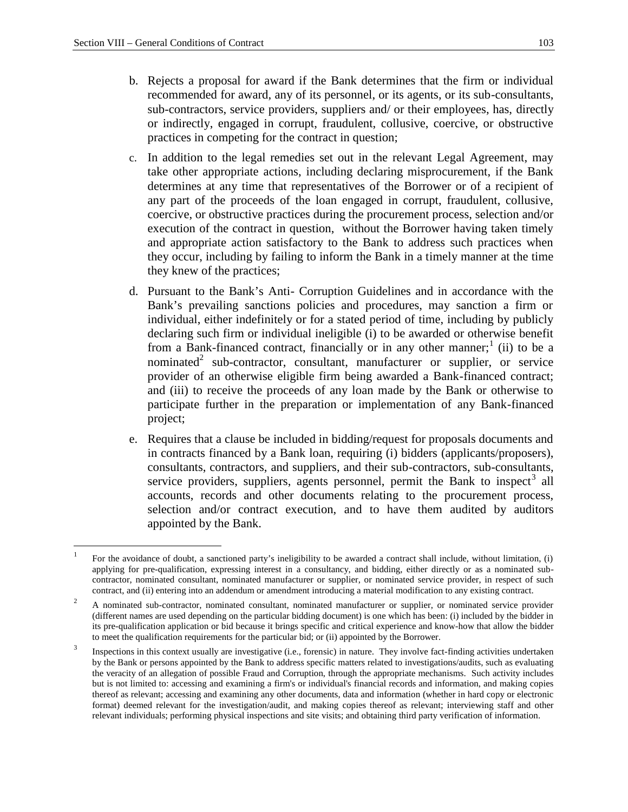- b. Rejects a proposal for award if the Bank determines that the firm or individual recommended for award, any of its personnel, or its agents, or its sub-consultants, sub-contractors, service providers, suppliers and/ or their employees, has, directly or indirectly, engaged in corrupt, fraudulent, collusive, coercive, or obstructive practices in competing for the contract in question;
- c. In addition to the legal remedies set out in the relevant Legal Agreement, may take other appropriate actions, including declaring misprocurement, if the Bank determines at any time that representatives of the Borrower or of a recipient of any part of the proceeds of the loan engaged in corrupt, fraudulent, collusive, coercive, or obstructive practices during the procurement process, selection and/or execution of the contract in question, without the Borrower having taken timely and appropriate action satisfactory to the Bank to address such practices when they occur, including by failing to inform the Bank in a timely manner at the time they knew of the practices;
- d. Pursuant to the Bank's Anti- Corruption Guidelines and in accordance with the Bank's prevailing sanctions policies and procedures, may sanction a firm or individual, either indefinitely or for a stated period of time, including by publicly declaring such firm or individual ineligible (i) to be awarded or otherwise benefit from a Bank-financed contract, financially or in any other manner;<sup>1</sup> (ii) to be a nominated<sup>2</sup> sub-contractor, consultant, manufacturer or supplier, or service provider of an otherwise eligible firm being awarded a Bank-financed contract; and (iii) to receive the proceeds of any loan made by the Bank or otherwise to participate further in the preparation or implementation of any Bank-financed project;
- e. Requires that a clause be included in bidding/request for proposals documents and in contracts financed by a Bank loan, requiring (i) bidders (applicants/proposers), consultants, contractors, and suppliers, and their sub-contractors, sub-consultants, service providers, suppliers, agents personnel, permit the Bank to inspect<sup>3</sup> all accounts, records and other documents relating to the procurement process, selection and/or contract execution, and to have them audited by auditors appointed by the Bank.

<sup>1</sup> For the avoidance of doubt, a sanctioned party's ineligibility to be awarded a contract shall include, without limitation, (i) applying for pre-qualification, expressing interest in a consultancy, and bidding, either directly or as a nominated sub contractor, nominated consultant, nominated manufacturer or supplier, or nominated service provider, in respect of such contract, and (ii) entering into an addendum or amendment introducing a material modification to any existing contract.

<sup>&</sup>lt;sup>2</sup> A nominated sub-contractor, nominated consultant, nominated manufacturer or supplier, or nominated service provider (different names are used depending on the particular bidding document) is one which has been: (i) included by the bidder in its pre-qualification application or bid because it brings specific and critical experience and know-how that allow the bidder to meet the qualification requirements for the particular bid; or (ii) appointed by the Borrower.

 $3$  Inspections in this context usually are investigative (i.e., forensic) in nature. They involve fact-finding activities undertaken by the Bank or persons appointed by the Bank to address specific matters related to investigations/audits, such as evaluating the veracity of an allegation of possible Fraud and Corruption, through the appropriate mechanisms. Such activity includes but is not limited to: accessing and examining a firm's or individual's financial records and information, and making copies thereof as relevant; accessing and examining any other documents, data and information (whether in hard copy or electronic format) deemed relevant for the investigation/audit, and making copies thereof as relevant; interviewing staff and other relevant individuals; performing physical inspections and site visits; and obtaining third party verification of information.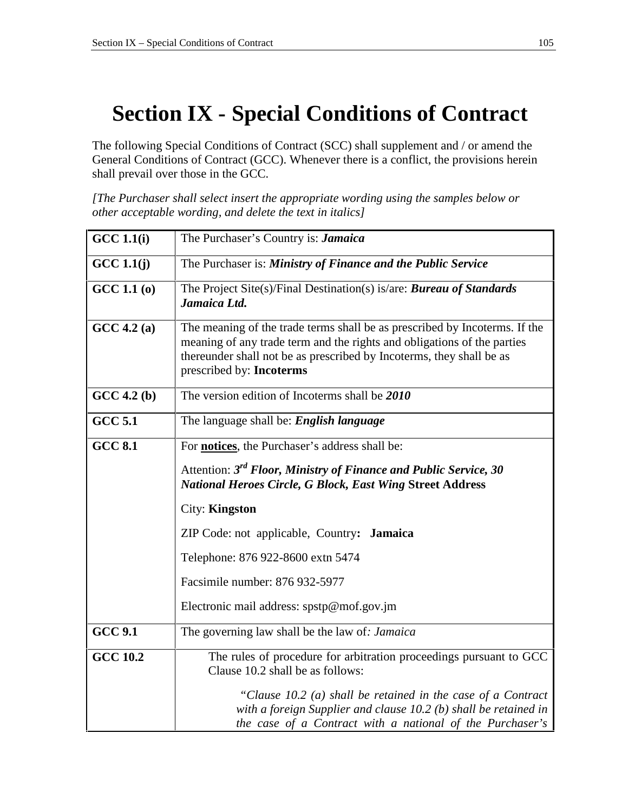# **Section IX - Special Conditions of Contract**

The following Special Conditions of Contract (SCC) shall supplement and / or amend the General Conditions of Contract (GCC). Whenever there is a conflict, the provisions herein shall prevail over those in the GCC*.*

*[The Purchaser shall select insert the appropriate wording using the samples below or other acceptable wording, and delete the text in italics]*

| <b>GCC 1.1(i)</b> | The Purchaser's Country is: <b>Jamaica</b>                                                                                                                                                                                                                |  |  |
|-------------------|-----------------------------------------------------------------------------------------------------------------------------------------------------------------------------------------------------------------------------------------------------------|--|--|
| GCC 1.1(j)        | The Purchaser is: Ministry of Finance and the Public Service                                                                                                                                                                                              |  |  |
| GCC 1.1(0)        | The Project Site(s)/Final Destination(s) is/are: <b>Bureau of Standards</b><br>Jamaica Ltd.                                                                                                                                                               |  |  |
| GCC 4.2(a)        | The meaning of the trade terms shall be as prescribed by Incoterms. If the<br>meaning of any trade term and the rights and obligations of the parties<br>thereunder shall not be as prescribed by Incoterms, they shall be as<br>prescribed by: Incoterms |  |  |
| GCC 4.2(b)        | The version edition of Incoterms shall be 2010                                                                                                                                                                                                            |  |  |
| <b>GCC 5.1</b>    | The language shall be: English language                                                                                                                                                                                                                   |  |  |
| <b>GCC 8.1</b>    | For <b>notices</b> , the Purchaser's address shall be:                                                                                                                                                                                                    |  |  |
|                   | Attention: 3 <sup>rd</sup> Floor, Ministry of Finance and Public Service, 30<br><b>National Heroes Circle, G Block, East Wing Street Address</b>                                                                                                          |  |  |
|                   | <b>City: Kingston</b>                                                                                                                                                                                                                                     |  |  |
|                   | ZIP Code: not applicable, Country: Jamaica                                                                                                                                                                                                                |  |  |
|                   | Telephone: 876 922-8600 extn 5474                                                                                                                                                                                                                         |  |  |
|                   | Facsimile number: 876 932-5977                                                                                                                                                                                                                            |  |  |
|                   | Electronic mail address: spstp@mof.gov.jm                                                                                                                                                                                                                 |  |  |
| GCC 9.1           | The governing law shall be the law of: Jamaica                                                                                                                                                                                                            |  |  |
| <b>GCC 10.2</b>   | The rules of procedure for arbitration proceedings pursuant to GCC<br>Clause 10.2 shall be as follows:                                                                                                                                                    |  |  |
|                   | "Clause $10.2$ (a) shall be retained in the case of a Contract<br>with a foreign Supplier and clause $10.2$ (b) shall be retained in<br>the case of a Contract with a national of the Purchaser's                                                         |  |  |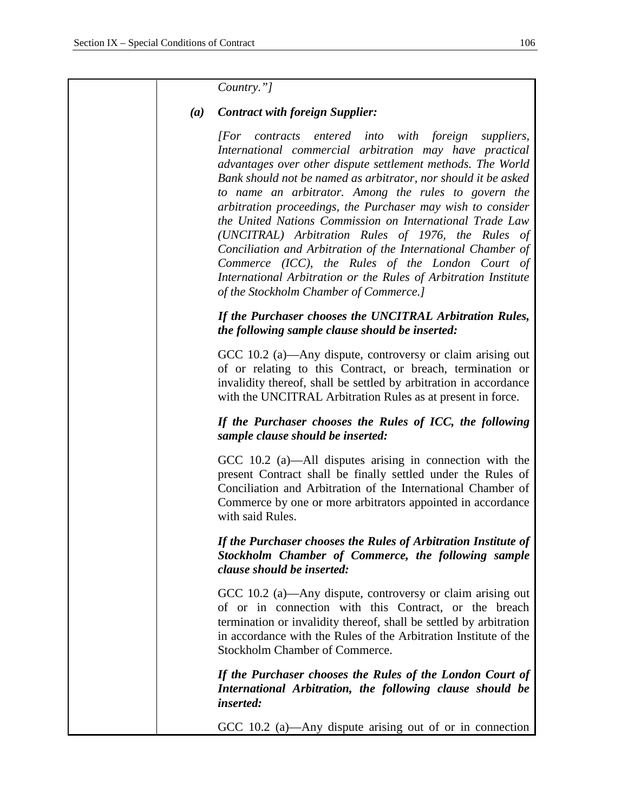#### *Country."]*

#### *(a) Contract with foreign Supplier:*

*[For contracts entered into with foreign suppliers, International commercial arbitration may have practical advantages over other dispute settlement methods. The World Bank should not be named as arbitrator, nor should it be asked to name an arbitrator. Among the rules to govern the arbitration proceedings, the Purchaser may wish to consider the United Nations Commission on International Trade Law (UNCITRAL) Arbitration Rules of 1976, the Rules of Conciliation and Arbitration of the International Chamber of Commerce (ICC), the Rules of the London Court of International Arbitration or the Rules of Arbitration Institute of the Stockholm Chamber of Commerce.]*

### *If the Purchaser chooses the UNCITRAL Arbitration Rules, the following sample clause should be inserted:*

GCC 10.2 (a)—Any dispute, controversy or claim arising out of or relating to this Contract, or breach, termination or invalidity thereof, shall be settled by arbitration in accordance with the UNCITRAL Arbitration Rules as at present in force.

### *If the Purchaser chooses the Rules of ICC, the following sample clause should be inserted:*

GCC 10.2 (a)—All disputes arising in connection with the present Contract shall be finally settled under the Rules of Conciliation and Arbitration of the International Chamber of Commerce by one or more arbitrators appointed in accordance with said Rules.

*If the Purchaser chooses the Rules of Arbitration Institute of Stockholm Chamber of Commerce, the following sample clause should be inserted:*

GCC 10.2 (a)—Any dispute, controversy or claim arising out of or in connection with this Contract, or the breach termination or invalidity thereof, shall be settled by arbitration in accordance with the Rules of the Arbitration Institute of the Stockholm Chamber of Commerce.

*If the Purchaser chooses the Rules of the London Court of International Arbitration, the following clause should be inserted:*

GCC 10.2 (a)—Any dispute arising out of or in connection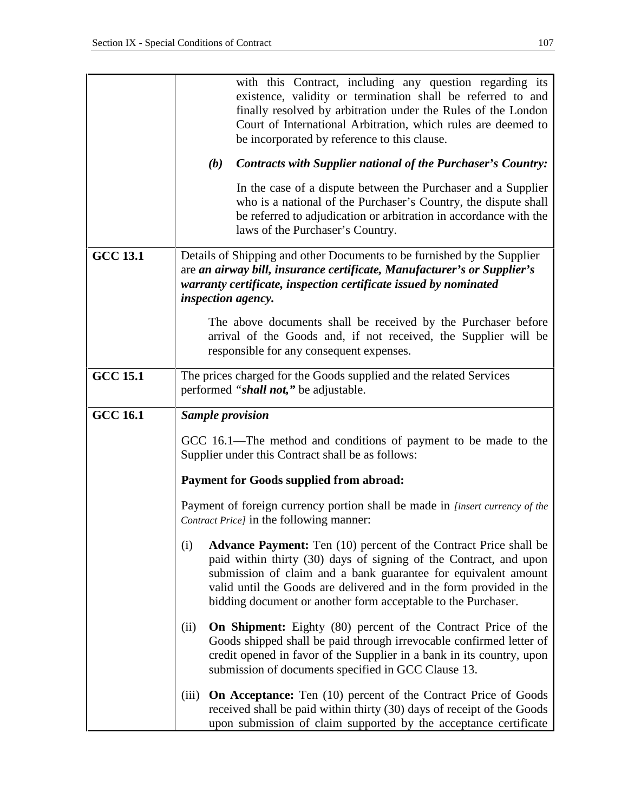|                 | with this Contract, including any question regarding its<br>existence, validity or termination shall be referred to and<br>finally resolved by arbitration under the Rules of the London<br>Court of International Arbitration, which rules are deemed to<br>be incorporated by reference to this clause.                                                     |
|-----------------|---------------------------------------------------------------------------------------------------------------------------------------------------------------------------------------------------------------------------------------------------------------------------------------------------------------------------------------------------------------|
|                 | (b)<br><b>Contracts with Supplier national of the Purchaser's Country:</b>                                                                                                                                                                                                                                                                                    |
|                 | In the case of a dispute between the Purchaser and a Supplier<br>who is a national of the Purchaser's Country, the dispute shall<br>be referred to adjudication or arbitration in accordance with the<br>laws of the Purchaser's Country.                                                                                                                     |
| <b>GCC 13.1</b> | Details of Shipping and other Documents to be furnished by the Supplier<br>are an airway bill, insurance certificate, Manufacturer's or Supplier's<br>warranty certificate, inspection certificate issued by nominated<br>inspection agency.                                                                                                                  |
|                 | The above documents shall be received by the Purchaser before<br>arrival of the Goods and, if not received, the Supplier will be<br>responsible for any consequent expenses.                                                                                                                                                                                  |
| <b>GCC 15.1</b> | The prices charged for the Goods supplied and the related Services<br>performed "shall not," be adjustable.                                                                                                                                                                                                                                                   |
| <b>GCC 16.1</b> | <b>Sample provision</b>                                                                                                                                                                                                                                                                                                                                       |
|                 | GCC 16.1—The method and conditions of payment to be made to the<br>Supplier under this Contract shall be as follows:                                                                                                                                                                                                                                          |
|                 | <b>Payment for Goods supplied from abroad:</b>                                                                                                                                                                                                                                                                                                                |
|                 | Payment of foreign currency portion shall be made in [insert currency of the<br>Contract Price] in the following manner:                                                                                                                                                                                                                                      |
|                 | (i)<br><b>Advance Payment:</b> Ten (10) percent of the Contract Price shall be<br>paid within thirty (30) days of signing of the Contract, and upon<br>submission of claim and a bank guarantee for equivalent amount<br>valid until the Goods are delivered and in the form provided in the<br>bidding document or another form acceptable to the Purchaser. |
|                 | <b>On Shipment:</b> Eighty (80) percent of the Contract Price of the<br>(ii)<br>Goods shipped shall be paid through irrevocable confirmed letter of<br>credit opened in favor of the Supplier in a bank in its country, upon<br>submission of documents specified in GCC Clause 13.                                                                           |
|                 | <b>On Acceptance:</b> Ten (10) percent of the Contract Price of Goods<br>(iii)<br>received shall be paid within thirty (30) days of receipt of the Goods<br>upon submission of claim supported by the acceptance certificate                                                                                                                                  |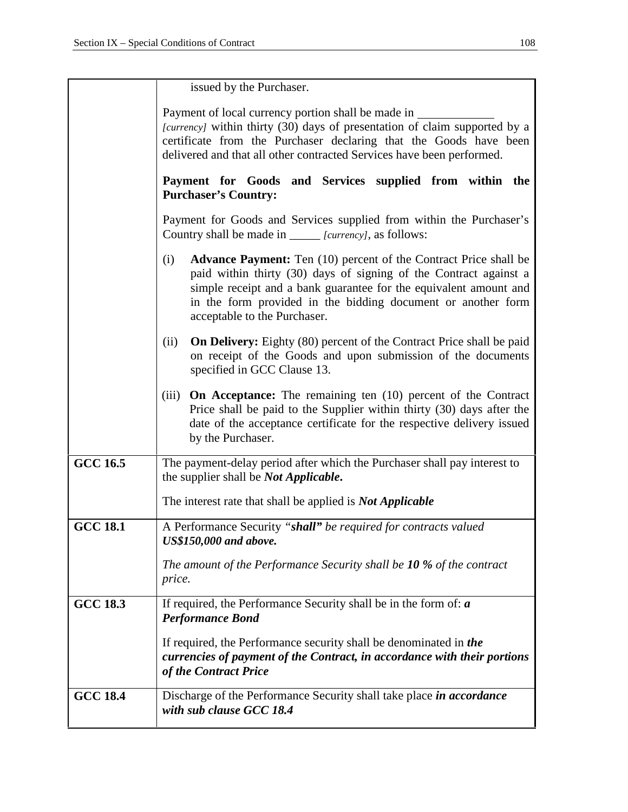|                 | issued by the Purchaser.                                                                                                                                                                                                                                                                                                 |  |  |  |  |
|-----------------|--------------------------------------------------------------------------------------------------------------------------------------------------------------------------------------------------------------------------------------------------------------------------------------------------------------------------|--|--|--|--|
|                 | Payment of local currency portion shall be made in<br>[currency] within thirty (30) days of presentation of claim supported by a<br>certificate from the Purchaser declaring that the Goods have been<br>delivered and that all other contracted Services have been performed.                                           |  |  |  |  |
|                 | Payment for Goods and Services supplied from within the<br><b>Purchaser's Country:</b>                                                                                                                                                                                                                                   |  |  |  |  |
|                 | Payment for Goods and Services supplied from within the Purchaser's<br>Country shall be made in ______ [currency], as follows:                                                                                                                                                                                           |  |  |  |  |
|                 | <b>Advance Payment:</b> Ten (10) percent of the Contract Price shall be<br>(i)<br>paid within thirty (30) days of signing of the Contract against a<br>simple receipt and a bank guarantee for the equivalent amount and<br>in the form provided in the bidding document or another form<br>acceptable to the Purchaser. |  |  |  |  |
|                 | <b>On Delivery:</b> Eighty (80) percent of the Contract Price shall be paid<br>(ii)<br>on receipt of the Goods and upon submission of the documents<br>specified in GCC Clause 13.                                                                                                                                       |  |  |  |  |
|                 | <b>On Acceptance:</b> The remaining ten (10) percent of the Contract<br>(iii)<br>Price shall be paid to the Supplier within thirty (30) days after the<br>date of the acceptance certificate for the respective delivery issued<br>by the Purchaser.                                                                     |  |  |  |  |
| <b>GCC 16.5</b> | The payment-delay period after which the Purchaser shall pay interest to<br>the supplier shall be <i>Not Applicable</i> .                                                                                                                                                                                                |  |  |  |  |
|                 | The interest rate that shall be applied is <i>Not Applicable</i>                                                                                                                                                                                                                                                         |  |  |  |  |
| <b>GCC 18.1</b> | A Performance Security "shall" be required for contracts valued<br>US\$150,000 and above.                                                                                                                                                                                                                                |  |  |  |  |
|                 | The amount of the Performance Security shall be 10 % of the contract<br>price.                                                                                                                                                                                                                                           |  |  |  |  |
| <b>GCC 18.3</b> | If required, the Performance Security shall be in the form of: $a$<br><b>Performance Bond</b>                                                                                                                                                                                                                            |  |  |  |  |
|                 | If required, the Performance security shall be denominated in the<br>currencies of payment of the Contract, in accordance with their portions<br>of the Contract Price                                                                                                                                                   |  |  |  |  |
| <b>GCC 18.4</b> | Discharge of the Performance Security shall take place in accordance<br>with sub clause GCC 18.4                                                                                                                                                                                                                         |  |  |  |  |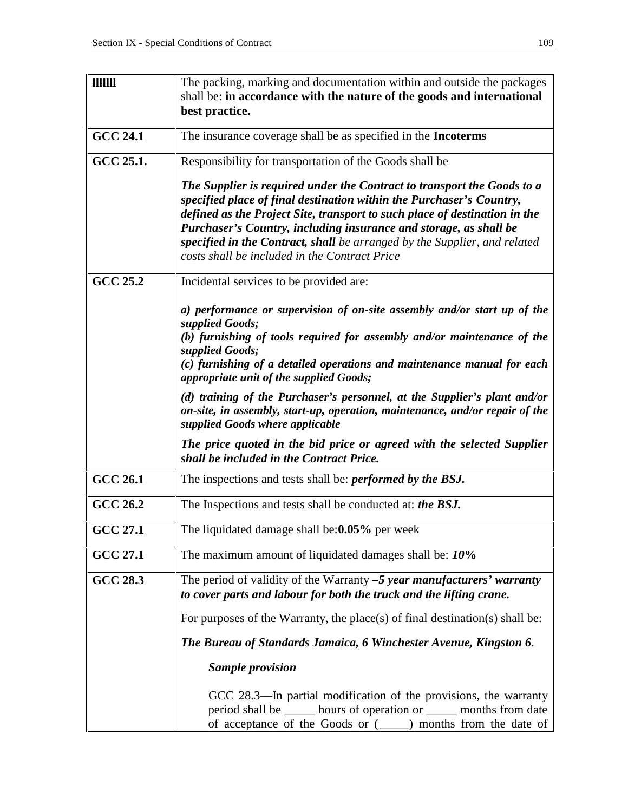| <b>IIIIIII</b>  | The packing, marking and documentation within and outside the packages<br>shall be: in accordance with the nature of the goods and international<br>best practice.                                                                                                                                                                                                                                                               |
|-----------------|----------------------------------------------------------------------------------------------------------------------------------------------------------------------------------------------------------------------------------------------------------------------------------------------------------------------------------------------------------------------------------------------------------------------------------|
| <b>GCC 24.1</b> | The insurance coverage shall be as specified in the Incoterms                                                                                                                                                                                                                                                                                                                                                                    |
| GCC 25.1.       | Responsibility for transportation of the Goods shall be                                                                                                                                                                                                                                                                                                                                                                          |
|                 | The Supplier is required under the Contract to transport the Goods to a<br>specified place of final destination within the Purchaser's Country,<br>defined as the Project Site, transport to such place of destination in the<br>Purchaser's Country, including insurance and storage, as shall be<br>specified in the Contract, shall be arranged by the Supplier, and related<br>costs shall be included in the Contract Price |
| <b>GCC 25.2</b> | Incidental services to be provided are:                                                                                                                                                                                                                                                                                                                                                                                          |
|                 | a) performance or supervision of on-site assembly and/or start up of the<br>supplied Goods;<br>(b) furnishing of tools required for assembly and/or maintenance of the<br>supplied Goods;<br>(c) furnishing of a detailed operations and maintenance manual for each<br>appropriate unit of the supplied Goods;                                                                                                                  |
|                 | (d) training of the Purchaser's personnel, at the Supplier's plant and/or<br>on-site, in assembly, start-up, operation, maintenance, and/or repair of the<br>supplied Goods where applicable                                                                                                                                                                                                                                     |
|                 | The price quoted in the bid price or agreed with the selected Supplier<br>shall be included in the Contract Price.                                                                                                                                                                                                                                                                                                               |
| <b>GCC 26.1</b> | The inspections and tests shall be: <i>performed by the BSJ</i> .                                                                                                                                                                                                                                                                                                                                                                |
| <b>GCC 26.2</b> | The Inspections and tests shall be conducted at: the BSJ.                                                                                                                                                                                                                                                                                                                                                                        |
| GCC 27.1        | The liquidated damage shall be:0.05% per week                                                                                                                                                                                                                                                                                                                                                                                    |
| GCC 27.1        | The maximum amount of liquidated damages shall be: 10%                                                                                                                                                                                                                                                                                                                                                                           |
| <b>GCC 28.3</b> | The period of validity of the Warranty $-5$ year manufacturers' warranty<br>to cover parts and labour for both the truck and the lifting crane.                                                                                                                                                                                                                                                                                  |
|                 | For purposes of the Warranty, the place(s) of final destination(s) shall be:                                                                                                                                                                                                                                                                                                                                                     |
|                 | The Bureau of Standards Jamaica, 6 Winchester Avenue, Kingston 6.                                                                                                                                                                                                                                                                                                                                                                |
|                 | <b>Sample provision</b>                                                                                                                                                                                                                                                                                                                                                                                                          |
|                 | GCC 28.3—In partial modification of the provisions, the warranty<br>period shall be ______ hours of operation or ______ months from date<br>of acceptance of the Goods or (_____) months from the date of                                                                                                                                                                                                                        |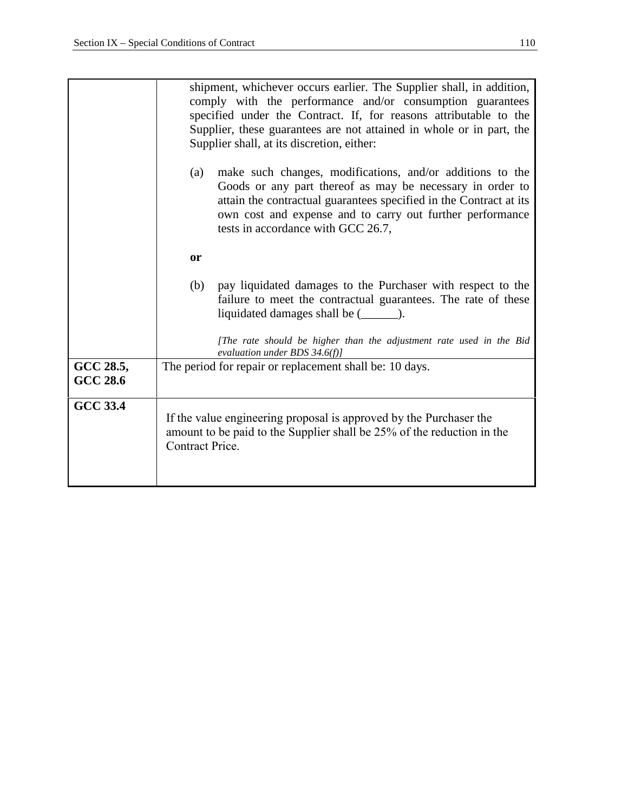|                              | shipment, whichever occurs earlier. The Supplier shall, in addition,<br>comply with the performance and/or consumption guarantees<br>specified under the Contract. If, for reasons attributable to the<br>Supplier, these guarantees are not attained in whole or in part, the<br>Supplier shall, at its discretion, either: |  |
|------------------------------|------------------------------------------------------------------------------------------------------------------------------------------------------------------------------------------------------------------------------------------------------------------------------------------------------------------------------|--|
|                              | make such changes, modifications, and/or additions to the<br>(a)<br>Goods or any part thereof as may be necessary in order to<br>attain the contractual guarantees specified in the Contract at its<br>own cost and expense and to carry out further performance<br>tests in accordance with GCC 26.7,                       |  |
|                              | <b>or</b>                                                                                                                                                                                                                                                                                                                    |  |
|                              | pay liquidated damages to the Purchaser with respect to the<br>(b)<br>failure to meet the contractual guarantees. The rate of these<br>liquidated damages shall be (                                                                                                                                                         |  |
|                              | [The rate should be higher than the adjustment rate used in the Bid<br>evaluation under BDS $34.6(f)$ ]                                                                                                                                                                                                                      |  |
| GCC 28.5,<br><b>GCC 28.6</b> | The period for repair or replacement shall be: 10 days.                                                                                                                                                                                                                                                                      |  |
| <b>GCC 33.4</b>              | If the value engineering proposal is approved by the Purchaser the<br>amount to be paid to the Supplier shall be 25% of the reduction in the<br>Contract Price.                                                                                                                                                              |  |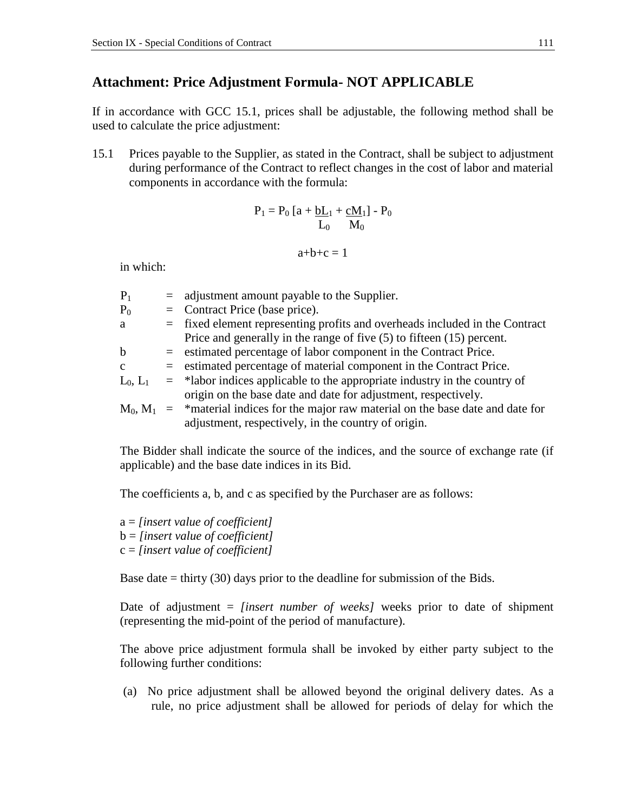### **Attachment: Price Adjustment Formula- NOT APPLICABLE**

If in accordance with GCC 15.1, prices shall be adjustable, the following method shall be used to calculate the price adjustment:

15.1 Prices payable to the Supplier, as stated in the Contract, shall be subject to adjustment during performance of the Contract to reflect changes in the cost of labor and material components in accordance with the formula:

$$
P_1 = P_0 [a + bL_1 + cM_1] - P_0
$$
  

$$
L_0 \t M_0
$$

$$
a+b+c=1
$$

in which:

| $P_1$         | $=$ adjustment amount payable to the Supplier.                                             |
|---------------|--------------------------------------------------------------------------------------------|
| $P_0$         | $=$ Contract Price (base price).                                                           |
| a             | $=$ fixed element representing profits and overheads included in the Contract              |
|               | Price and generally in the range of five $(5)$ to fifteen $(15)$ percent.                  |
| $\mathbf b$   | $=$ estimated percentage of labor component in the Contract Price.                         |
| $\mathbf{C}$  | $=$ estimated percentage of material component in the Contract Price.                      |
| $L_0$ , $L_1$ | $=$ *labor indices applicable to the appropriate industry in the country of                |
|               | origin on the base date and date for adjustment, respectively.                             |
|               | $M_0$ , $M_1$ = *material indices for the major raw material on the base date and date for |
|               | adjustment, respectively, in the country of origin.                                        |
|               |                                                                                            |

The Bidder shall indicate the source of the indices, and the source of exchange rate (if applicable) and the base date indices in its Bid.

The coefficients a, b, and c as specified by the Purchaser are as follows:

a = *[insert value of coefficient]* b = *[insert value of coefficient]* c = *[insert value of coefficient]*

Base date  $=$  thirty (30) days prior to the deadline for submission of the Bids.

Date of adjustment = *[insert number of weeks]* weeks prior to date of shipment (representing the mid-point of the period of manufacture).

The above price adjustment formula shall be invoked by either party subject to the following further conditions:

(a) No price adjustment shall be allowed beyond the original delivery dates. As a rule, no price adjustment shall be allowed for periods of delay for which the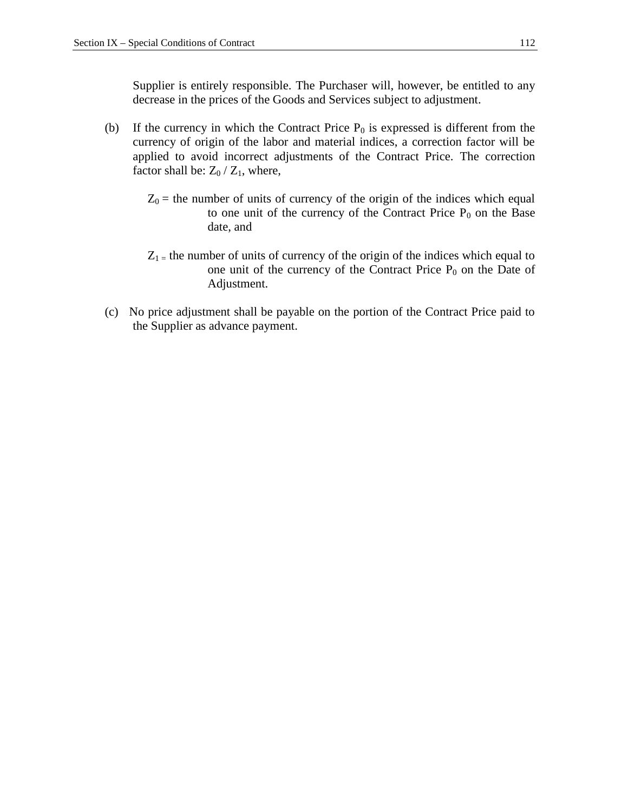Supplier is entirely responsible. The Purchaser will, however, be entitled to any decrease in the prices of the Goods and Services subject to adjustment.

- (b) If the currency in which the Contract Price  $P_0$  is expressed is different from the currency of origin of the labor and material indices, a correction factor will be applied to avoid incorrect adjustments of the Contract Price. The correction factor shall be:  $Z_0 / Z_1$ , where,
	- $Z_0$  = the number of units of currency of the origin of the indices which equal to one unit of the currency of the Contract Price  $P_0$  on the Base date, and
	- $Z_1$  = the number of units of currency of the origin of the indices which equal to one unit of the currency of the Contract Price  $P_0$  on the Date of Adjustment.
- (c) No price adjustment shall be payable on the portion of the Contract Price paid to the Supplier as advance payment.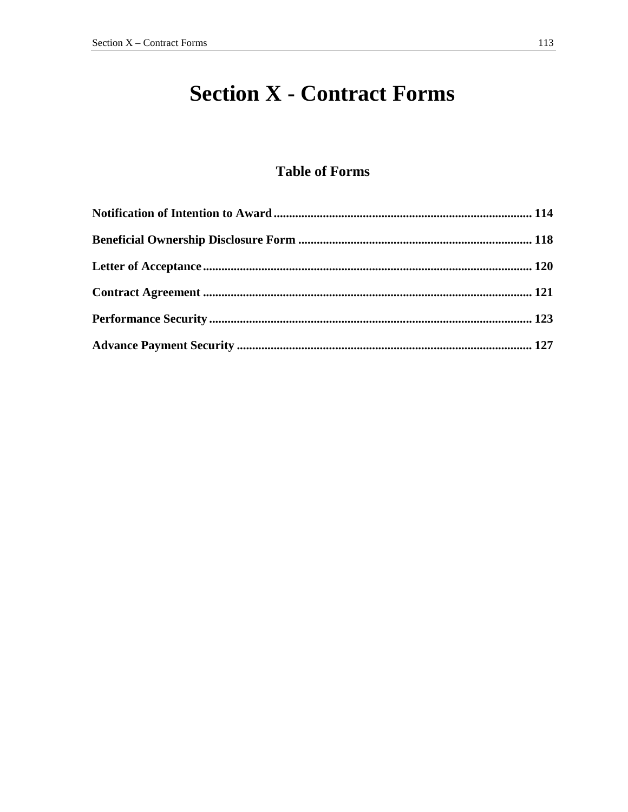# **Section X - Contract Forms**

### **Table of Forms**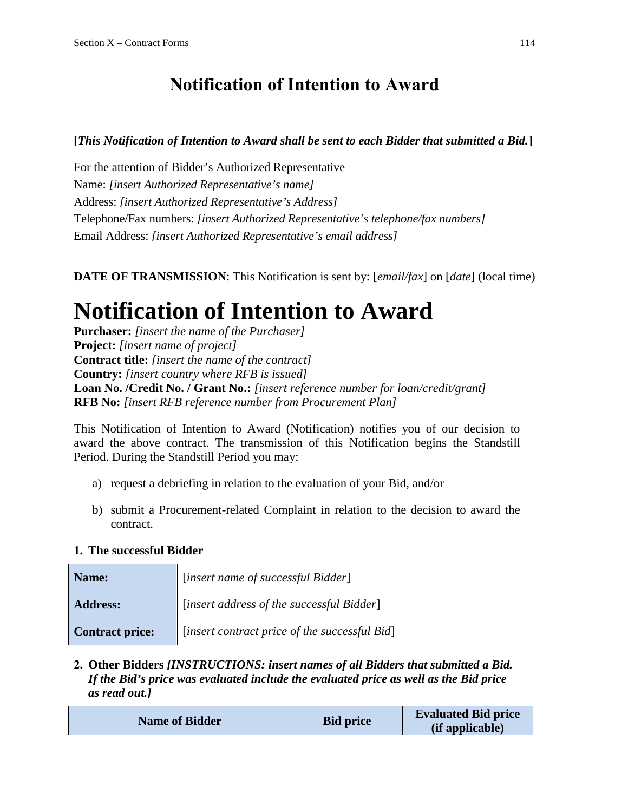## **Notification of Intention to Award**

**[***This Notification of Intention to Award shall be sent to each Bidder that submitted a Bid.***]**

For the attention of Bidder's Authorized Representative Name: *[insert Authorized Representative's name]* Address: *[insert Authorized Representative's Address]* Telephone/Fax numbers: *[insert Authorized Representative's telephone/fax numbers]* Email Address: *[insert Authorized Representative's email address]*

**DATE OF TRANSMISSION**: This Notification is sent by: [*email/fax*] on [*date*] (local time)

# **Notification of Intention to Award**

**Purchaser:** *[insert the name of the Purchaser]* **Project:** *[insert name of project]* **Contract title:** *[insert the name of the contract]* **Country:** *[insert country where RFB is issued]* **Loan No. /Credit No. / Grant No.:** *[insert reference number for loan/credit/grant]* **RFB No:** *[insert RFB reference number from Procurement Plan]*

This Notification of Intention to Award (Notification) notifies you of our decision to award the above contract. The transmission of this Notification begins the Standstill Period. During the Standstill Period you may:

- a) request a debriefing in relation to the evaluation of your Bid, and/or
- b) submit a Procurement-related Complaint in relation to the decision to award the contract.

### **1. The successful Bidder**

| Name:                  | [insert name of successful Bidder]            |
|------------------------|-----------------------------------------------|
| <b>Address:</b>        | [insert address of the successful Bidder]     |
| <b>Contract price:</b> | [insert contract price of the successful Bid] |

**2. Other Bidders** *[INSTRUCTIONS: insert names of all Bidders that submitted a Bid. If the Bid's price was evaluated include the evaluated price as well as the Bid price as read out.]*

| <b>Name of Bidder</b> | <b>Bid price</b> | <b>Evaluated Bid price</b> |  |
|-----------------------|------------------|----------------------------|--|
|                       |                  | (if applicable)            |  |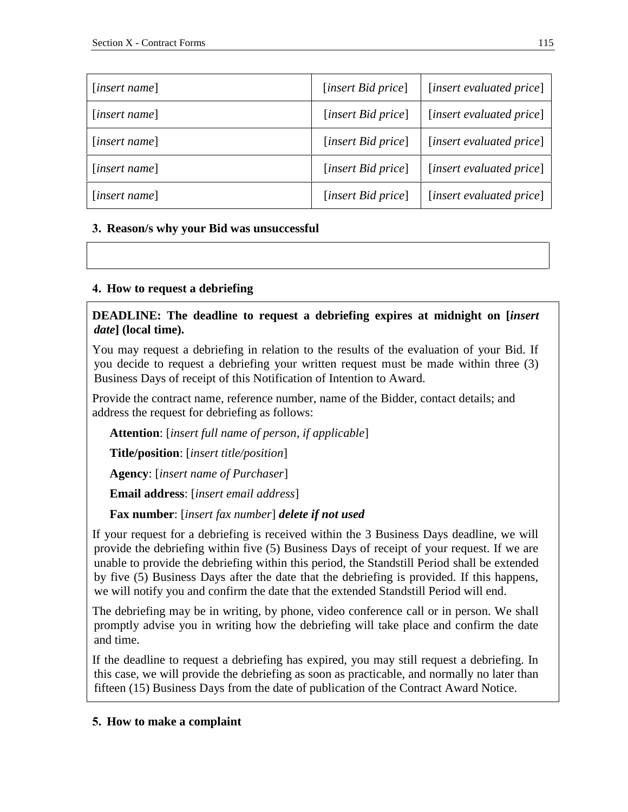| [ <i>insert name</i> ] | [insert Bid price] | [insert evaluated price] |
|------------------------|--------------------|--------------------------|
| [insert name]          | [insert Bid price] | [insert evaluated price] |
| [ <i>insert name</i> ] | [insert Bid price] | [insert evaluated price] |
| [ <i>insert name</i> ] | [insert Bid price] | [insert evaluated price] |
| [insert name]          | [insert Bid price] | [insert evaluated price] |

### **3. Reason/s why your Bid was unsuccessful**

### **4. How to request a debriefing**

**DEADLINE: The deadline to request a debriefing expires at midnight on [***insert date***] (local time).**

You may request a debriefing in relation to the results of the evaluation of your Bid. If you decide to request a debriefing your written request must be made within three (3) Business Days of receipt of this Notification of Intention to Award.

Provide the contract name, reference number, name of the Bidder, contact details; and address the request for debriefing as follows:

**Attention**: [*insert full name of person, if applicable*]

**Title/position**: [*insert title/position*]

**Agency**: [*insert name of Purchaser*]

**Email address**: [*insert email address*]

**Fax number**: [*insert fax number*] *delete if not used*

If your request for a debriefing is received within the 3 Business Days deadline, we will provide the debriefing within five (5) Business Days of receipt of your request. If we are unable to provide the debriefing within this period, the Standstill Period shall be extended by five (5) Business Days after the date that the debriefing is provided. If this happens, we will notify you and confirm the date that the extended Standstill Period will end.

The debriefing may be in writing, by phone, video conference call or in person. We shall promptly advise you in writing how the debriefing will take place and confirm the date and time.

If the deadline to request a debriefing has expired, you may still request a debriefing. In this case, we will provide the debriefing as soon as practicable, and normally no later than fifteen (15) Business Days from the date of publication of the Contract Award Notice.

### **5. How to make a complaint**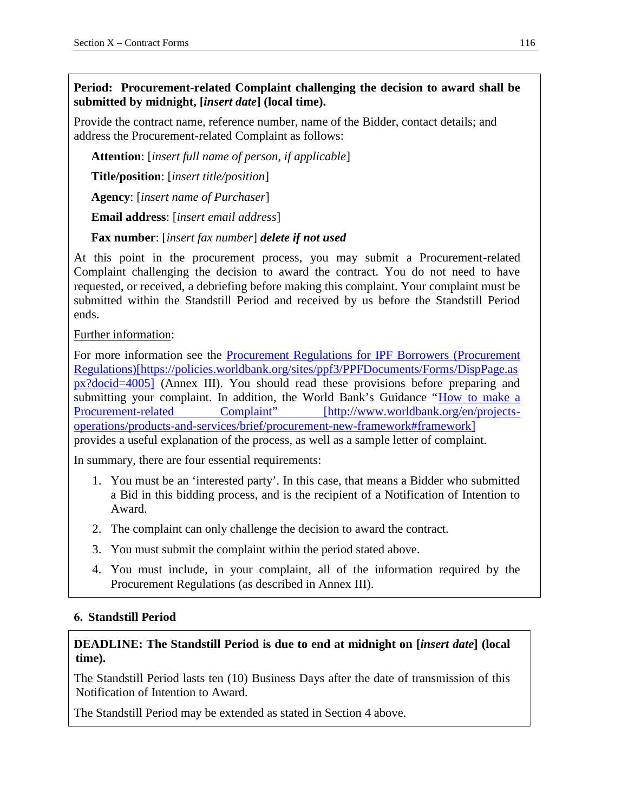### **Period: Procurement-related Complaint challenging the decision to award shall be submitted by midnight, [***insert date***] (local time).**

Provide the contract name, reference number, name of the Bidder, contact details; and address the Procurement-related Complaint as follows:

**Attention**: [*insert full name of person, if applicable*]

**Title/position**: [*insert title/position*]

**Agency**: [*insert name of Purchaser*]

**Email address**: [*insert email address*]

**Fax number**: [*insert fax number*] *delete if not used*

At this point in the procurement process, you may submit a Procurement-related Complaint challenging the decision to award the contract. You do not need to have requested, or received, a debriefing before making this complaint. Your complaint must be submitted within the Standstill Period and received by us before the Standstill Period ends.

Further information:

For more information see the **Procurement Regulations for IPF Borrowers (Procurement**) Regulations)[https://policies.worldbank.org/sites/ppf3/PPFDocuments/Forms/DispPage.as px?docid=4005] (Annex III). You should read these provisions before preparing and submitting your complaint. In addition, the World Bank's Guidance "How to make a Procurement-related Complaint" [http://www.worldbank.org/en/projectsoperations/products-and-services/brief/procurement-new-framework#framework] provides a useful explanation of the process, as well as a sample letter of complaint.

In summary, there are four essential requirements:

- 1. You must be an 'interested party'. In this case, that means a Bidder who submitted a Bid in this bidding process, and is the recipient of a Notification of Intention to Award.
- 2. The complaint can only challenge the decision to award the contract.
- 3. You must submit the complaint within the period stated above.
- 4. You must include, in your complaint, all of the information required by the Procurement Regulations (as described in Annex III).

### **6. Standstill Period**

### **DEADLINE: The Standstill Period is due to end at midnight on [***insert date***] (local time).**

The Standstill Period lasts ten (10) Business Days after the date of transmission of this Notification of Intention to Award.

The Standstill Period may be extended as stated in Section 4 above.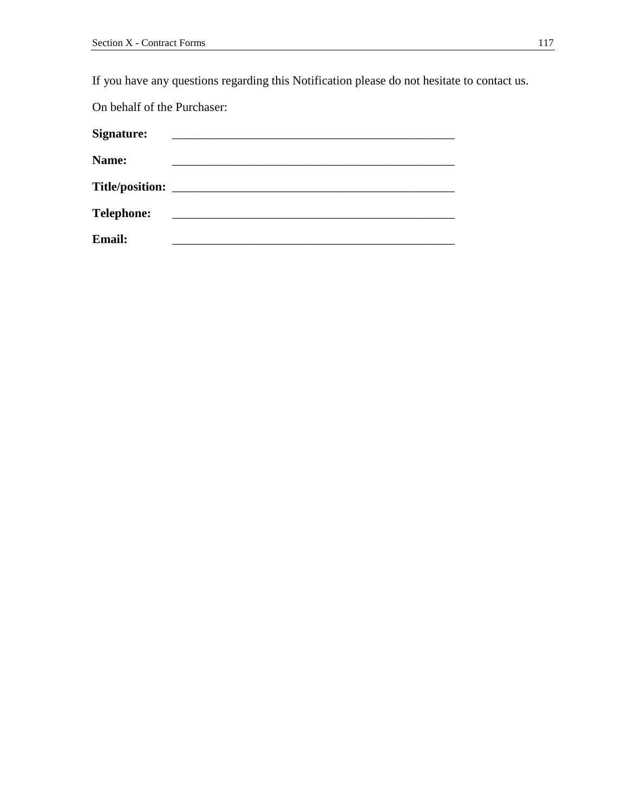If you have any questions regarding this Notification please do not hesitate to contact us.

On behalf of the Purchaser:

| Signature:        | <u> 2000 - Jan Alexander de Amerikaanse kommunister († 20. december - 20. december - 20. december - 20. december - 20. december - 20. december - 20. december - 20. december - 20. december - 20. december - 20. december - 20. </u> |  |
|-------------------|--------------------------------------------------------------------------------------------------------------------------------------------------------------------------------------------------------------------------------------|--|
| Name:             | the control of the control of the control of the control of the control of the control of                                                                                                                                            |  |
|                   |                                                                                                                                                                                                                                      |  |
| <b>Telephone:</b> |                                                                                                                                                                                                                                      |  |
| <b>Email:</b>     |                                                                                                                                                                                                                                      |  |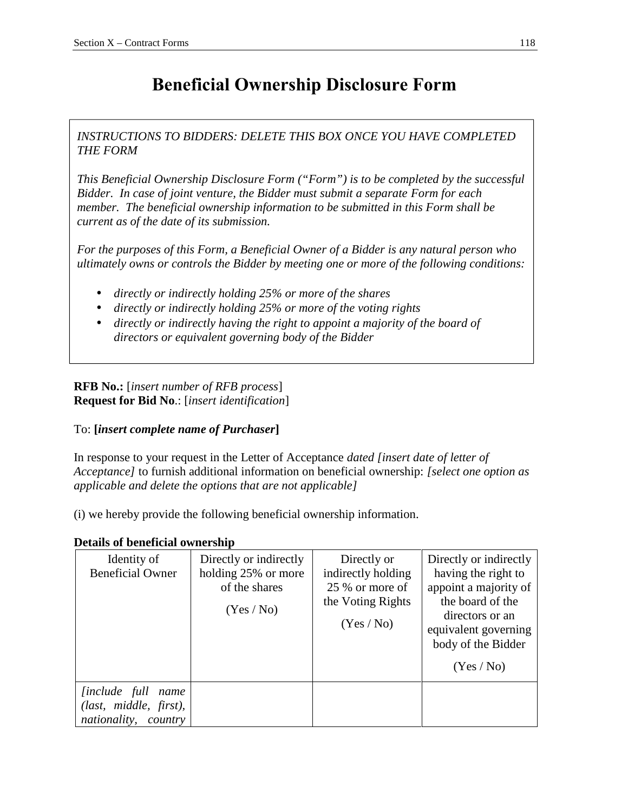## **Beneficial Ownership Disclosure Form**

*INSTRUCTIONS TO BIDDERS: DELETE THIS BOX ONCE YOU HAVE COMPLETED THE FORM*

*This Beneficial Ownership Disclosure Form ("Form") is to be completed by the successful Bidder. In case of joint venture, the Bidder must submit a separate Form for each member. The beneficial ownership information to be submitted in this Form shall be current as of the date of its submission.*

*For the purposes of this Form, a Beneficial Owner of a Bidder is any natural person who ultimately owns or controls the Bidder by meeting one or more of the following conditions:*

- *directly or indirectly holding 25% or more of the shares*
- *directly or indirectly holding 25% or more of the voting rights*
- *directly or indirectly having the right to appoint a majority of the board of directors or equivalent governing body of the Bidder*

**RFB No.:** [*insert number of RFB process*] **Request for Bid No**.: [*insert identification*]

### To: **[***insert complete name of Purchaser***]**

In response to your request in the Letter of Acceptance *dated [insert date of letter of Acceptance]* to furnish additional information on beneficial ownership: *[select one option as applicable and delete the options that are not applicable]*

(i) we hereby provide the following beneficial ownership information.

#### **Details of beneficial ownership**

| Identity of<br><b>Beneficial Owner</b>                                      | Directly or indirectly<br>holding 25% or more<br>of the shares<br>(Yes / No) | Directly or<br>indirectly holding<br>25 % or more of<br>the Voting Rights<br>(Yes / No) | Directly or indirectly<br>having the right to<br>appoint a majority of<br>the board of the<br>directors or an<br>equivalent governing<br>body of the Bidder<br>(Yes / No) |
|-----------------------------------------------------------------------------|------------------------------------------------------------------------------|-----------------------------------------------------------------------------------------|---------------------------------------------------------------------------------------------------------------------------------------------------------------------------|
| <i>linclude full name</i><br>(last, middle, first),<br>nationality, country |                                                                              |                                                                                         |                                                                                                                                                                           |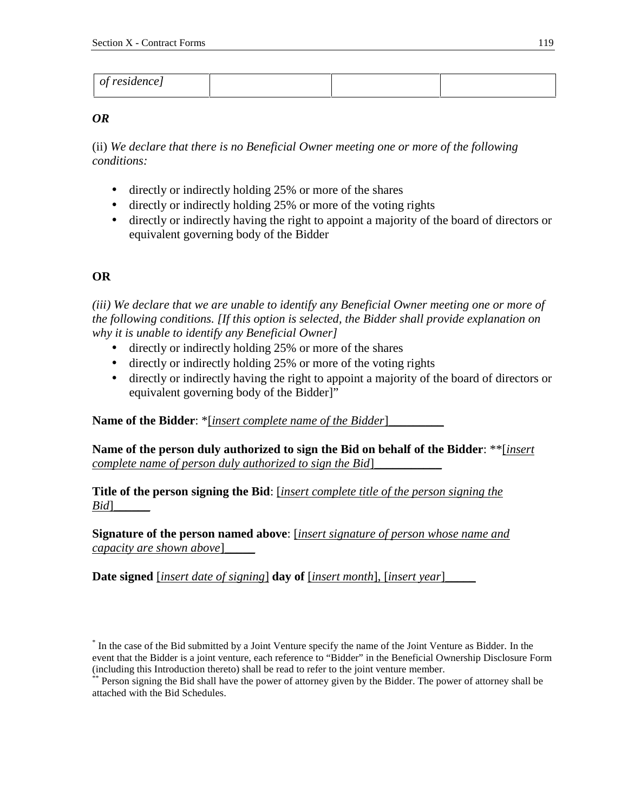| $\sim$ $\sim$ $\sim$<br>$\sim$<br>$\overline{\phantom{a}}$ |  |  |
|------------------------------------------------------------|--|--|

#### *OR*

(ii) *We declare that there is no Beneficial Owner meeting one or more of the following conditions:*

- directly or indirectly holding 25% or more of the shares
- directly or indirectly holding 25% or more of the voting rights
- directly or indirectly having the right to appoint a majority of the board of directors or equivalent governing body of the Bidder

#### **OR**

*(iii) We declare that we are unable to identify any Beneficial Owner meeting one or more of the following conditions. [If this option is selected, the Bidder shall provide explanation on why it is unable to identify any Beneficial Owner]*

- directly or indirectly holding 25% or more of the shares
- directly or indirectly holding 25% or more of the voting rights
- directly or indirectly having the right to appoint a majority of the board of directors or equivalent governing body of the Bidder]"

**Name of the Bidder**: \*[*insert complete name of the Bidder*]\_\_\_\_\_\_\_\_\_

**Name of the person duly authorized to sign the Bid on behalf of the Bidder**: \*\*[*insert complete name of person duly authorized to sign the Bid*]\_\_\_\_\_\_\_\_\_\_\_

**Title of the person signing the Bid**: [*insert complete title of the person signing the Bid*]

**Signature of the person named above**: [*insert signature of person whose name and capacity are shown above*]\_\_\_\_\_

**Date signed** [*insert date of signing*] **day of** [*insert month*], [*insert year*]\_\_\_\_\_

\* In the case of the Bid submitted by a Joint Venture specify the name of the Joint Venture as Bidder. In the event that the Bidder is a joint venture, each reference to "Bidder" in the Beneficial Ownership Disclosure Form (including this Introduction thereto) shall be read to refer to the joint venture member. \*\* Person signing the Bid shall have the power of attorney given by the Bidder. The power of attorney shall be

attached with the Bid Schedules.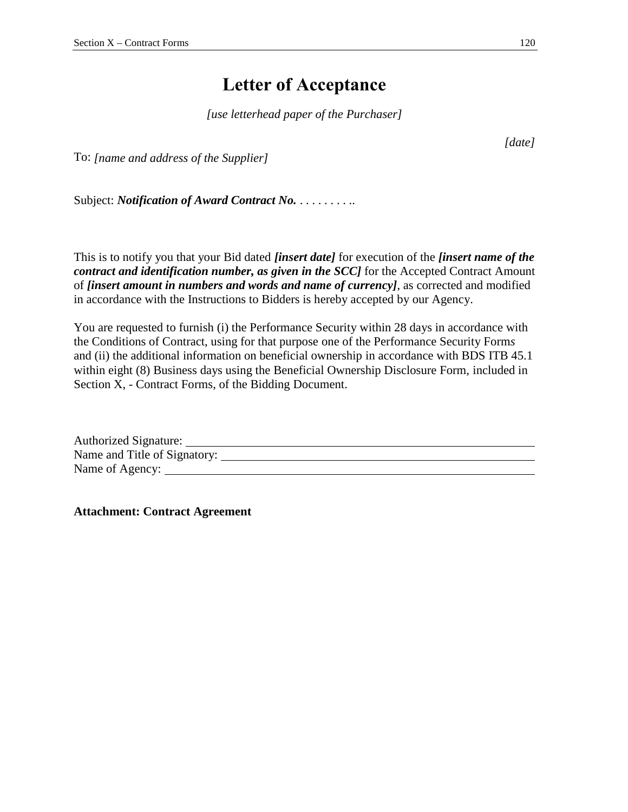### **Letter of Acceptance**

*[use letterhead paper of the Purchaser]*

To: *[name and address of the Supplier]*

Subject: *Notification of Award Contract No.* . . . . . . . . .

This is to notify you that your Bid dated *[insert date]* for execution of the *[insert name of the contract and identification number, as given in the SCC]* for the Accepted Contract Amount of *[insert amount in numbers and words and name of currency]*, as corrected and modified in accordance with the Instructions to Bidders is hereby accepted by our Agency.

You are requested to furnish (i) the Performance Security within 28 days in accordance with the Conditions of Contract, using for that purpose one of the Performance Security Form*s* and (ii) the additional information on beneficial ownership in accordance with BDS ITB 45.1 within eight (8) Business days using the Beneficial Ownership Disclosure Form, included in Section X, - Contract Forms, of the Bidding Document.

| <b>Authorized Signature:</b> |  |
|------------------------------|--|
| Name and Title of Signatory: |  |
| Name of Agency:              |  |

**Attachment: Contract Agreement**

*[date]*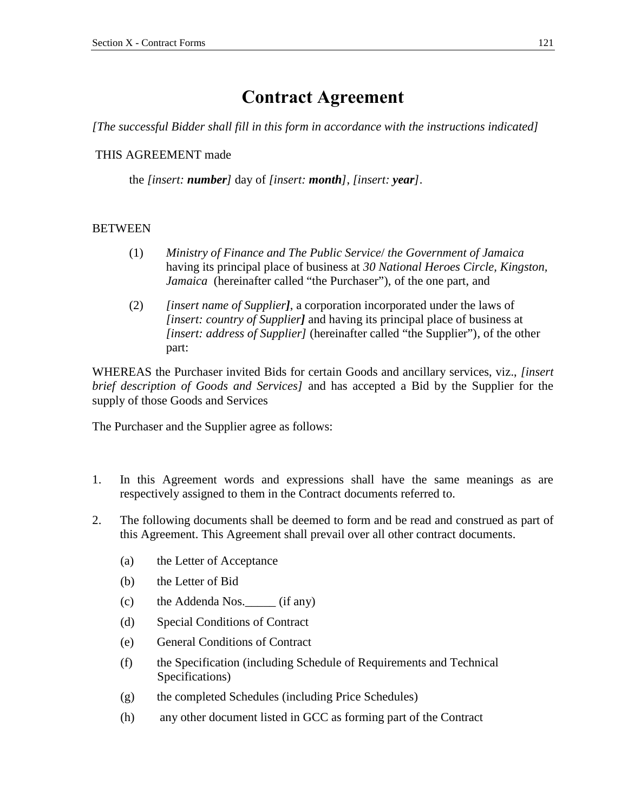### **Contract Agreement**

*[The successful Bidder shall fill in this form in accordance with the instructions indicated]*

#### THIS AGREEMENT made

the *[insert: number]* day of *[insert: month]*, *[insert: year]*.

#### **BETWEEN**

- (1) *Ministry of Finance and The Public Service*/ *the Government of Jamaica* having its principal place of business at *30 National Heroes Circle, Kingston, Jamaica* (hereinafter called "the Purchaser"), of the one part, and
- (2) *[insert name of Supplier]*, a corporation incorporated under the laws of *[insert: country of Supplier]* and having its principal place of business at *[insert: address of Supplier]* (hereinafter called "the Supplier"), of the other part:

WHEREAS the Purchaser invited Bids for certain Goods and ancillary services, viz., *[insert brief description of Goods and Services]* and has accepted a Bid by the Supplier for the supply of those Goods and Services

The Purchaser and the Supplier agree as follows:

- 1. In this Agreement words and expressions shall have the same meanings as are respectively assigned to them in the Contract documents referred to.
- 2. The following documents shall be deemed to form and be read and construed as part of this Agreement. This Agreement shall prevail over all other contract documents.
	- (a) the Letter of Acceptance
	- (b) the Letter of Bid
	- (c) the Addenda Nos.\_\_\_\_\_ (if any)
	- (d) Special Conditions of Contract
	- (e) General Conditions of Contract
	- (f) the Specification (including Schedule of Requirements and Technical Specifications)
	- (g) the completed Schedules (including Price Schedules)
	- (h) any other document listed in GCC as forming part of the Contract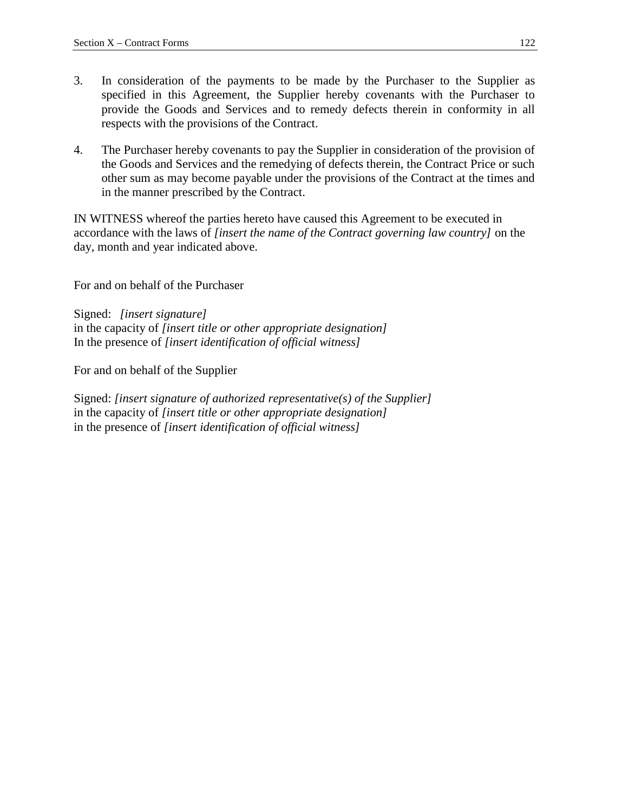- 3. In consideration of the payments to be made by the Purchaser to the Supplier as specified in this Agreement, the Supplier hereby covenants with the Purchaser to provide the Goods and Services and to remedy defects therein in conformity in all respects with the provisions of the Contract.
- 4. The Purchaser hereby covenants to pay the Supplier in consideration of the provision of the Goods and Services and the remedying of defects therein, the Contract Price or such other sum as may become payable under the provisions of the Contract at the times and in the manner prescribed by the Contract.

IN WITNESS whereof the parties hereto have caused this Agreement to be executed in accordance with the laws of *[insert the name of the Contract governing law country]* on the day, month and year indicated above.

For and on behalf of the Purchaser

Signed: *[insert signature]* in the capacity of *[insert title or other appropriate designation]* In the presence of *[insert identification of official witness]*

For and on behalf of the Supplier

Signed: *[insert signature of authorized representative(s) of the Supplier]* in the capacity of *[insert title or other appropriate designation]* in the presence of *[insert identification of official witness]*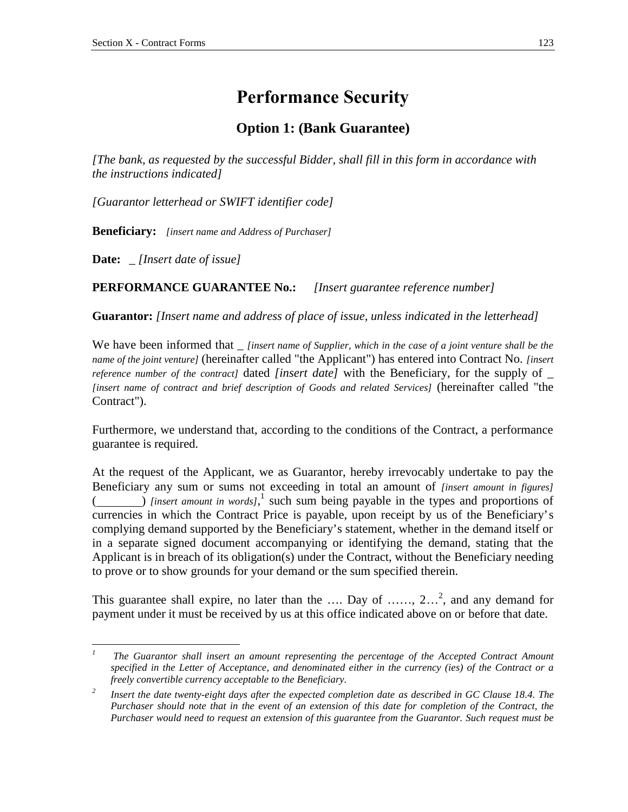### **Performance Security**

### **Option 1: (Bank Guarantee)**

*[The bank, as requested by the successful Bidder, shall fill in this form in accordance with the instructions indicated]*

*[Guarantor letterhead or SWIFT identifier code]*

**Beneficiary:** *[insert name and Address of Purchaser]*

**Date:** \_ *[Insert date of issue]*

**PERFORMANCE GUARANTEE No.:** *[Insert guarantee reference number]*

**Guarantor:** *[Insert name and address of place of issue, unless indicated in the letterhead]*

We have been informed that \_ *[insert name of Supplier, which in the case of a joint venture shall be the name of the joint venture]* (hereinafter called "the Applicant") has entered into Contract No. *[insert reference number of the contract]* dated *[insert date]* with the Beneficiary, for the supply of \_ *[insert name of contract and brief description of Goods and related Services]* (hereinafter called "the Contract").

Furthermore, we understand that, according to the conditions of the Contract, a performance guarantee is required.

At the request of the Applicant, we as Guarantor, hereby irrevocably undertake to pay the Beneficiary any sum or sums not exceeding in total an amount of *[insert amount in figures]* ( $\blacksquare$ ) *[insert amount in words]*,<sup>1</sup> such sum being payable in the types and proportions of currencies in which the Contract Price is payable, upon receipt by us of the Beneficiary's complying demand supported by the Beneficiary's statement, whether in the demand itself or in a separate signed document accompanying or identifying the demand, stating that the Applicant is in breach of its obligation(s) under the Contract, without the Beneficiary needing to prove or to show grounds for your demand or the sum specified therein.

This guarantee shall expire, no later than the .... Day of ......,  $2...^2$ , and any demand for payment under it must be received by us at this office indicated above on or before that date.

*<sup>1</sup> The Guarantor shall insert an amount representing the percentage of the Accepted Contract Amount specified in the Letter of Acceptance, and denominated either in the currency (ies) of the Contract or a freely convertible currency acceptable to the Beneficiary.*

*<sup>2</sup> Insert the date twenty-eight days after the expected completion date as described in GC Clause 18.4. The Purchaser should note that in the event of an extension of this date for completion of the Contract, the Purchaser would need to request an extension of this guarantee from the Guarantor. Such request must be*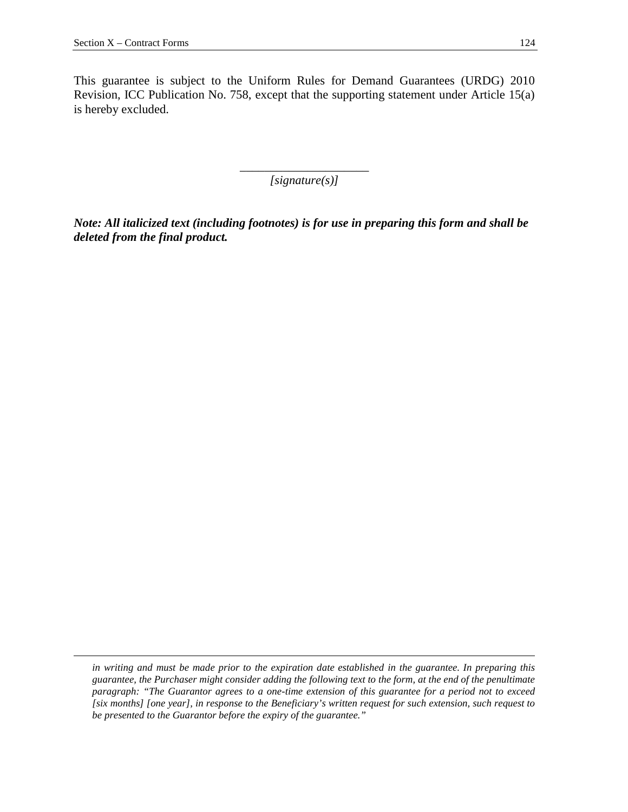This guarantee is subject to the Uniform Rules for Demand Guarantees (URDG) 2010 Revision, ICC Publication No. 758, except that the supporting statement under Article 15(a) is hereby excluded.

*[signature(s)]*

\_\_\_\_\_\_\_\_\_\_\_\_\_\_\_\_\_\_\_\_\_

*Note: All italicized text (including footnotes) is for use in preparing this form and shall be deleted from the final product.*

*in writing and must be made prior to the expiration date established in the guarantee. In preparing this guarantee, the Purchaser might consider adding the following text to the form, at the end of the penultimate paragraph: "The Guarantor agrees to a one-time extension of this guarantee for a period not to exceed [six months] [one year], in response to the Beneficiary's written request for such extension, such request to be presented to the Guarantor before the expiry of the guarantee."*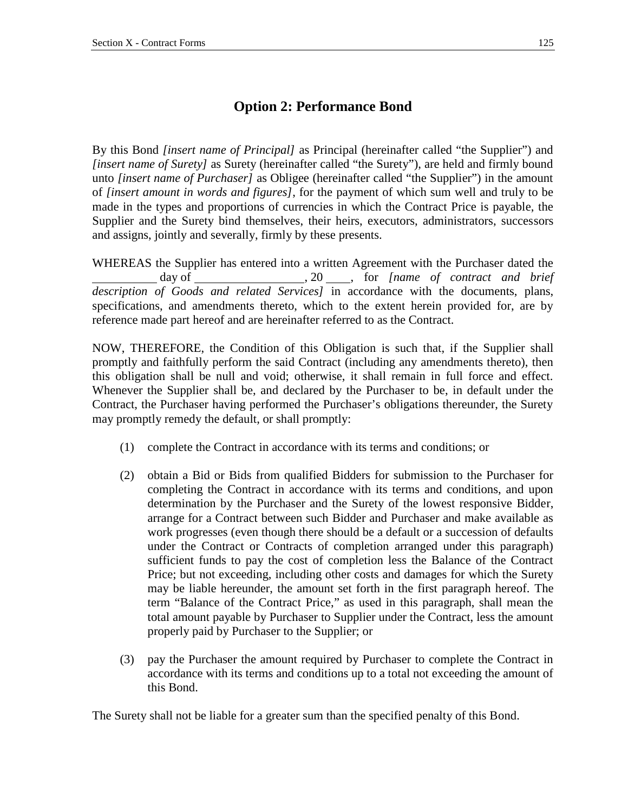### **Option 2: Performance Bond**

By this Bond *[insert name of Principal]* as Principal (hereinafter called "the Supplier") and *finsert name of Surety]* as Surety (hereinafter called "the Surety"), are held and firmly bound unto *[insert name of Purchaser]* as Obligee (hereinafter called "the Supplier") in the amount of *[insert amount in words and figures]*, for the payment of which sum well and truly to be made in the types and proportions of currencies in which the Contract Price is payable, the Supplier and the Surety bind themselves, their heirs, executors, administrators, successors and assigns, jointly and severally, firmly by these presents.

WHEREAS the Supplier has entered into a written Agreement with the Purchaser dated the day of <u>contract and brief</u> , 20 , for *[name of contract and brief description of Goods and related Services]* in accordance with the documents, plans, specifications, and amendments thereto, which to the extent herein provided for, are by reference made part hereof and are hereinafter referred to as the Contract.

NOW, THEREFORE, the Condition of this Obligation is such that, if the Supplier shall promptly and faithfully perform the said Contract (including any amendments thereto), then this obligation shall be null and void; otherwise, it shall remain in full force and effect. Whenever the Supplier shall be, and declared by the Purchaser to be, in default under the Contract, the Purchaser having performed the Purchaser's obligations thereunder, the Surety may promptly remedy the default, or shall promptly:

- (1) complete the Contract in accordance with its terms and conditions; or
- (2) obtain a Bid or Bids from qualified Bidders for submission to the Purchaser for completing the Contract in accordance with its terms and conditions, and upon determination by the Purchaser and the Surety of the lowest responsive Bidder, arrange for a Contract between such Bidder and Purchaser and make available as work progresses (even though there should be a default or a succession of defaults under the Contract or Contracts of completion arranged under this paragraph) sufficient funds to pay the cost of completion less the Balance of the Contract Price; but not exceeding, including other costs and damages for which the Surety may be liable hereunder, the amount set forth in the first paragraph hereof. The term "Balance of the Contract Price," as used in this paragraph, shall mean the total amount payable by Purchaser to Supplier under the Contract, less the amount properly paid by Purchaser to the Supplier; or
- (3) pay the Purchaser the amount required by Purchaser to complete the Contract in accordance with its terms and conditions up to a total not exceeding the amount of this Bond.

The Surety shall not be liable for a greater sum than the specified penalty of this Bond.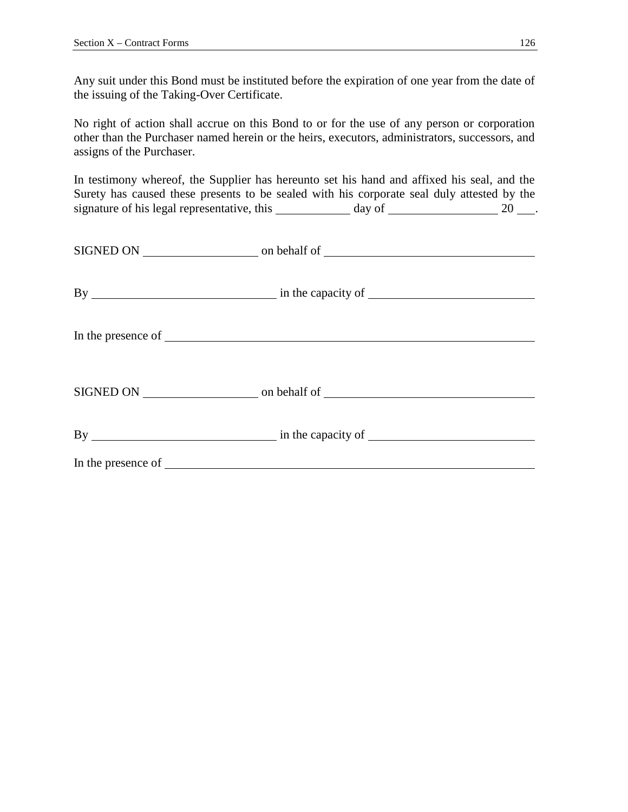Any suit under this Bond must be instituted before the expiration of one year from the date of the issuing of the Taking-Over Certificate.

No right of action shall accrue on this Bond to or for the use of any person or corporation other than the Purchaser named herein or the heirs, executors, administrators, successors, and assigns of the Purchaser.

In testimony whereof, the Supplier has hereunto set his hand and affixed his seal, and the Surety has caused these presents to be sealed with his corporate seal duly attested by the signature of his legal representative, this  $\frac{d}{dx}$  day of  $\frac{1}{20}$ .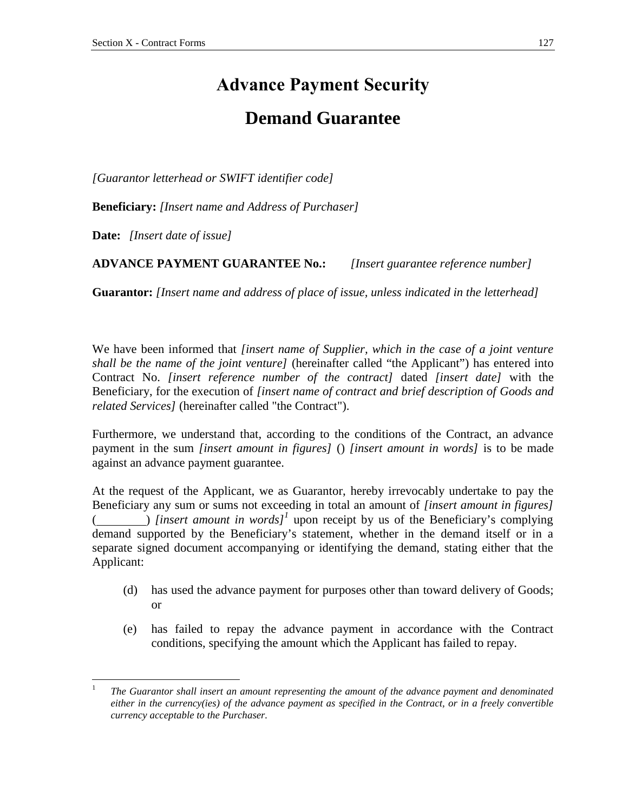## **Advance Payment Security**

## **Demand Guarantee**

*[Guarantor letterhead or SWIFT identifier code]*

**Beneficiary:** *[Insert name and Address of Purchaser]*

**Date:** *[Insert date of issue]*

**ADVANCE PAYMENT GUARANTEE No.:** *[Insert guarantee reference number]*

**Guarantor:** *[Insert name and address of place of issue, unless indicated in the letterhead]*

We have been informed that *[insert name of Supplier, which in the case of a joint venture shall be the name of the joint venture]* (hereinafter called "the Applicant") has entered into Contract No. *[insert reference number of the contract]* dated *[insert date]* with the Beneficiary, for the execution of *[insert name of contract and brief description of Goods and related Services]* (hereinafter called "the Contract").

Furthermore, we understand that, according to the conditions of the Contract, an advance payment in the sum *[insert amount in figures]* () *[insert amount in words]* is to be made against an advance payment guarantee.

At the request of the Applicant, we as Guarantor, hereby irrevocably undertake to pay the Beneficiary any sum or sums not exceeding in total an amount of *[insert amount in figures]*  $($  *[insert amount in words]<sup>1</sup>* upon receipt by us of the Beneficiary's complying demand supported by the Beneficiary's statement, whether in the demand itself or in a separate signed document accompanying or identifying the demand, stating either that the Applicant:

- (d) has used the advance payment for purposes other than toward delivery of Goods; or
- (e) has failed to repay the advance payment in accordance with the Contract conditions, specifying the amount which the Applicant has failed to repay.

<sup>1</sup> *The Guarantor shall insert an amount representing the amount of the advance payment and denominated either in the currency(ies) of the advance payment as specified in the Contract, or in a freely convertible currency acceptable to the Purchaser.*